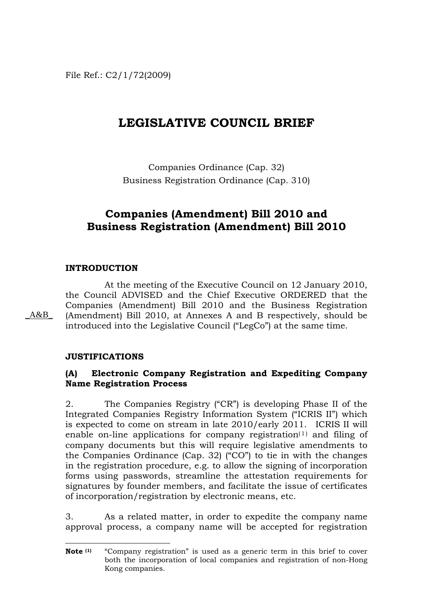File Ref.: C2/1/72(2009)

# **LEGISLATIVE COUNCIL BRIEF**

Companies Ordinance (Cap. 32) Business Registration Ordinance (Cap. 310)

# **Companies (Amendment) Bill 2010 and Business Registration (Amendment) Bill 2010**

#### **INTRODUCTION**

 $A&B$ 

At the meeting of the Executive Council on 12 January 2010, the Council ADVISED and the Chief Executive ORDERED that the Companies (Amendment) Bill 2010 and the Business Registration (Amendment) Bill 2010, at Annexes A and B respectively, should be introduced into the Legislative Council ("LegCo") at the same time.

**JUSTIFICATIONS** 

#### **(A) Electronic Company Registration and Expediting Company Name Registration Process**

2. The Companies Registry ("CR") is developing Phase II of the Integrated Companies Registry Information System ("ICRIS II") which is expected to come on stream in late 2010/early 2011. ICRIS II will enable on-line applications for company registration<sup> $(1)$  $(1)$  $(1)$ </sup> and filing of company documents but this will require legislative amendments to the Companies Ordinance (Cap. 32) ("CO") to tie in with the changes in the registration procedure, e.g. to allow the signing of incorporation forms using passwords, streamline the attestation requirements for signatures by founder members, and facilitate the issue of certificates of incorporation/registration by electronic means, etc.

3. As a related matter, in order to expedite the company name approval process, a company name will be accepted for registration

<span id="page-0-0"></span><sup>1</sup> **Note** (1) "Company registration" is used as a generic term in this brief to cover both the incorporation of local companies and registration of non-Hong Kong companies.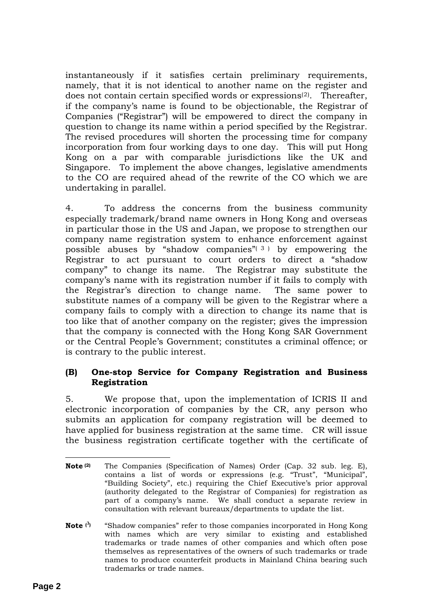instantaneously if it satisfies certain preliminary requirements, namely, that it is not identical to another name on the register and does not contain certain specified words or expressions<sup>([2](#page-1-0))</sup>. Thereafter, if the company's name is found to be objectionable, the Registrar of Companies ("Registrar") will be empowered to direct the company in question to change its name within a period specified by the Registrar. The revised procedures will shorten the processing time for company incorporation from four working days to one day. This will put Hong Kong on a par with comparable jurisdictions like the UK and Singapore. To implement the above changes, legislative amendments to the CO are required ahead of the rewrite of the CO which we are undertaking in parallel.

4. To address the concerns from the business community especially trademark/brand name owners in Hong Kong and overseas in particular those in the US and Japan, we propose to strengthen our company name registration system to enhance enforcement against possible abuses by "shadow companies" $(3)$  $(3)$  $(3)$  by empowering the Registrar to act pursuant to court orders to direct a "shadow company" to change its name. The Registrar may substitute the company's name with its registration number if it fails to comply with the Registrar's direction to change name. The same power to substitute names of a company will be given to the Registrar where a company fails to comply with a direction to change its name that is too like that of another company on the register; gives the impression that the company is connected with the Hong Kong SAR Government or the Central People's Government; constitutes a criminal offence; or is contrary to the public interest.

#### **(B) One-stop Service for Company Registration and Business Registration**

5. We propose that, upon the implementation of ICRIS II and electronic incorporation of companies by the CR, any person who submits an application for company registration will be deemed to have applied for business registration at the same time. CR will issue the business registration certificate together with the certificate of

<span id="page-1-0"></span><sup>1</sup> **Note (2)** The Companies (Specification of Names) Order (Cap. 32 sub. leg. E), contains a list of words or expressions (e.g. "Trust", "Municipal", "Building Society", etc.) requiring the Chief Executive's prior approval (authority delegated to the Registrar of Companies) for registration as part of a company's name. We shall conduct a separate review in consultation with relevant bureaux/departments to update the list.

<span id="page-1-1"></span>**Note (<sup>3</sup>)** "Shadow companies" refer to those companies incorporated in Hong Kong with names which are very similar to existing and established trademarks or trade names of other companies and which often pose themselves as representatives of the owners of such trademarks or trade names to produce counterfeit products in Mainland China bearing such trademarks or trade names.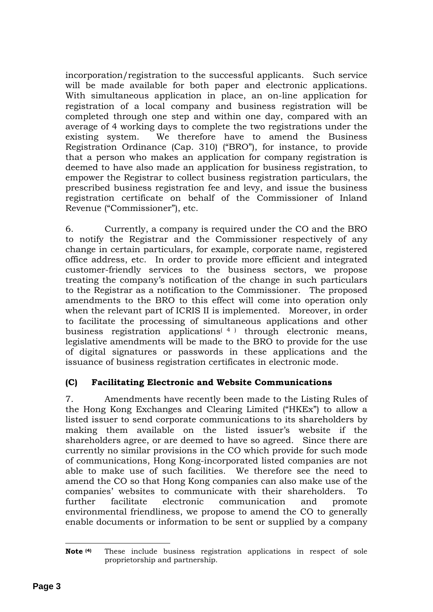incorporation/registration to the successful applicants. Such service will be made available for both paper and electronic applications. With simultaneous application in place, an on-line application for registration of a local company and business registration will be completed through one step and within one day, compared with an average of 4 working days to complete the two registrations under the existing system. We therefore have to amend the Business Registration Ordinance (Cap. 310) ("BRO"), for instance, to provide that a person who makes an application for company registration is deemed to have also made an application for business registration, to empower the Registrar to collect business registration particulars, the prescribed business registration fee and levy, and issue the business registration certificate on behalf of the Commissioner of Inland Revenue ("Commissioner"), etc.

6. Currently, a company is required under the CO and the BRO to notify the Registrar and the Commissioner respectively of any change in certain particulars, for example, corporate name, registered office address, etc. In order to provide more efficient and integrated customer-friendly services to the business sectors, we propose treating the company's notification of the change in such particulars to the Registrar as a notification to the Commissioner. The proposed amendments to the BRO to this effect will come into operation only when the relevant part of ICRIS II is implemented. Moreover, in order to facilitate the processing of simultaneous applications and other business registration applications( [4](#page-2-0) ) through electronic means, legislative amendments will be made to the BRO to provide for the use of digital signatures or passwords in these applications and the issuance of business registration certificates in electronic mode.

# **(C) Facilitating Electronic and Website Communications**

7. Amendments have recently been made to the Listing Rules of the Hong Kong Exchanges and Clearing Limited ("HKEx") to allow a listed issuer to send corporate communications to its shareholders by making them available on the listed issuer's website if the shareholders agree, or are deemed to have so agreed. Since there are currently no similar provisions in the CO which provide for such mode of communications, Hong Kong-incorporated listed companies are not able to make use of such facilities. We therefore see the need to amend the CO so that Hong Kong companies can also make use of the companies' websites to communicate with their shareholders. To further facilitate electronic communication and promote environmental friendliness, we propose to amend the CO to generally enable documents or information to be sent or supplied by a company

1

<span id="page-2-0"></span>**Note (4)** These include business registration applications in respect of sole proprietorship and partnership.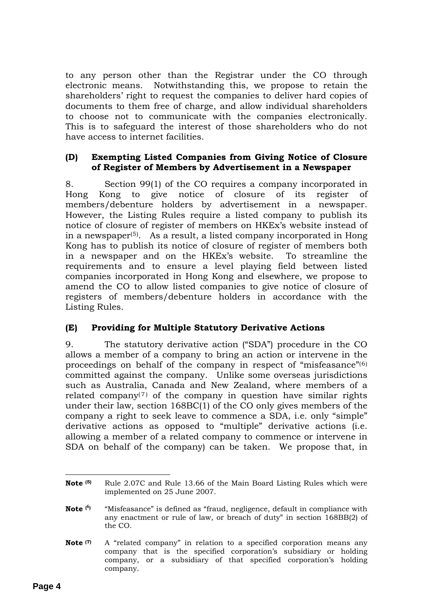to any person other than the Registrar under the CO through electronic means. Notwithstanding this, we propose to retain the shareholders' right to request the companies to deliver hard copies of documents to them free of charge, and allow individual shareholders to choose not to communicate with the companies electronically. This is to safeguard the interest of those shareholders who do not have access to internet facilities.

#### **(D) Exempting Listed Companies from Giving Notice of Closure of Register of Members by Advertisement in a Newspaper**

8. Section 99(1) of the CO requires a company incorporated in Hong Kong to give notice of closure of its register of members/debenture holders by advertisement in a newspaper. However, the Listing Rules require a listed company to publish its notice of closure of register of members on HKEx's website instead of in a newspaper<sup>([5](#page-3-0))</sup>. As a result, a listed company incorporated in Hong Kong has to publish its notice of closure of register of members both in a newspaper and on the HKEx's website. To streamline the requirements and to ensure a level playing field between listed companies incorporated in Hong Kong and elsewhere, we propose to amend the CO to allow listed companies to give notice of closure of registers of members/debenture holders in accordance with the Listing Rules.

# **(E) Providing for Multiple Statutory Derivative Actions**

9. The statutory derivative action ("SDA") procedure in the CO allows a member of a company to bring an action or intervene in the proceedings on behalf of the company in respect of "misfeasance"([6](#page-3-1)) committed against the company. Unlike some overseas jurisdictions such as Australia, Canada and New Zealand, where members of a related company<sup> $(7)$  $(7)$  $(7)$ </sup> of the company in question have similar rights under their law, section 168BC(1) of the CO only gives members of the company a right to seek leave to commence a SDA, i.e. only "simple" derivative actions as opposed to "multiple" derivative actions (i.e. allowing a member of a related company to commence or intervene in SDA on behalf of the company) can be taken. We propose that, in

<span id="page-3-2"></span>**Note (7)** A "related company" in relation to a specified corporation means any company that is the specified corporation's subsidiary or holding company, or a subsidiary of that specified corporation's holding company.

<span id="page-3-0"></span><sup>&</sup>lt;u>.</u> **Note (5)** Rule 2.07C and Rule 13.66 of the Main Board Listing Rules which were implemented on 25 June 2007.

<span id="page-3-1"></span>**Note (<sup>6</sup>)** "Misfeasance" is defined as "fraud, negligence, default in compliance with any enactment or rule of law, or breach of duty" in section 168BB(2) of the CO.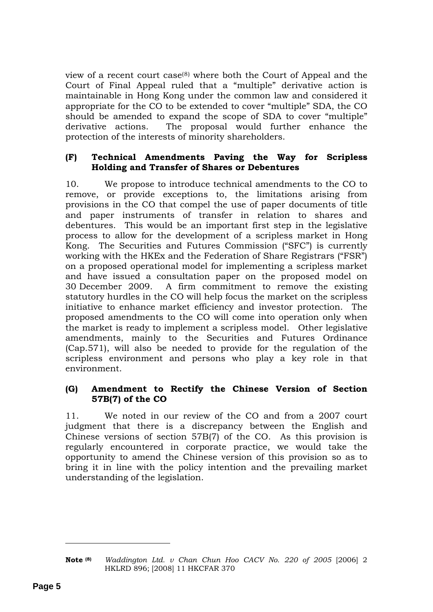view of a recent court case([8](#page-4-0)) where both the Court of Appeal and the Court of Final Appeal ruled that a "multiple" derivative action is maintainable in Hong Kong under the common law and considered it appropriate for the CO to be extended to cover "multiple" SDA, the CO should be amended to expand the scope of SDA to cover "multiple" derivative actions. The proposal would further enhance the protection of the interests of minority shareholders.

#### **(F) Technical Amendments Paving the Way for Scripless Holding and Transfer of Shares or Debentures**

10. We propose to introduce technical amendments to the CO to remove, or provide exceptions to, the limitations arising from provisions in the CO that compel the use of paper documents of title and paper instruments of transfer in relation to shares and debentures. This would be an important first step in the legislative process to allow for the development of a scripless market in Hong Kong. The Securities and Futures Commission ("SFC") is currently working with the HKEx and the Federation of Share Registrars ("FSR") on a proposed operational model for implementing a scripless market and have issued a consultation paper on the proposed model on 30 December 2009. A firm commitment to remove the existing statutory hurdles in the CO will help focus the market on the scripless initiative to enhance market efficiency and investor protection. The proposed amendments to the CO will come into operation only when the market is ready to implement a scripless model. Other legislative amendments, mainly to the Securities and Futures Ordinance (Cap.571), will also be needed to provide for the regulation of the scripless environment and persons who play a key role in that environment.

#### **(G) Amendment to Rectify the Chinese Version of Section 57B(7) of the CO**

11. We noted in our review of the CO and from a 2007 court judgment that there is a discrepancy between the English and Chinese versions of section 57B(7) of the CO. As this provision is regularly encountered in corporate practice, we would take the opportunity to amend the Chinese version of this provision so as to bring it in line with the policy intention and the prevailing market understanding of the legislation.

1

<span id="page-4-0"></span>**Note (8)** *Waddington Ltd. v Chan Chun Hoo CACV No. 220 of 2005* [2006] 2 HKLRD 896; [2008] 11 HKCFAR 370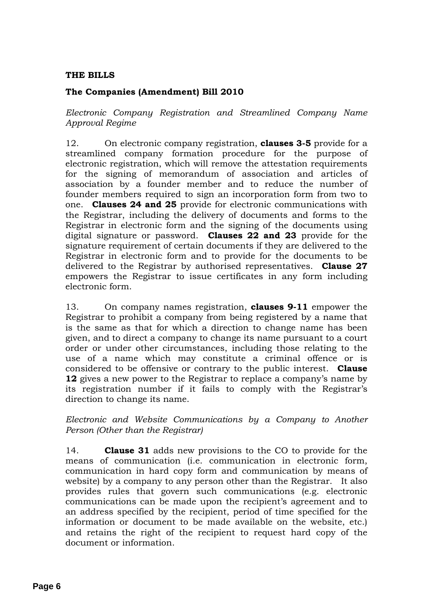#### **THE BILLS**

# **The Companies (Amendment) Bill 2010**

*Electronic Company Registration and Streamlined Company Name Approval Regime* 

12. On electronic company registration, **clauses 3-5** provide for a streamlined company formation procedure for the purpose of electronic registration, which will remove the attestation requirements for the signing of memorandum of association and articles of association by a founder member and to reduce the number of founder members required to sign an incorporation form from two to one. **Clauses 24 and 25** provide for electronic communications with the Registrar, including the delivery of documents and forms to the Registrar in electronic form and the signing of the documents using digital signature or password. **Clauses 22 and 23** provide for the signature requirement of certain documents if they are delivered to the Registrar in electronic form and to provide for the documents to be delivered to the Registrar by authorised representatives. **Clause 27** empowers the Registrar to issue certificates in any form including electronic form.

13. On company names registration, **clauses 9-11** empower the Registrar to prohibit a company from being registered by a name that is the same as that for which a direction to change name has been given, and to direct a company to change its name pursuant to a court order or under other circumstances, including those relating to the use of a name which may constitute a criminal offence or is considered to be offensive or contrary to the public interest. **Clause 12** gives a new power to the Registrar to replace a company's name by its registration number if it fails to comply with the Registrar's direction to change its name.

*Electronic and Website Communications by a Company to Another Person (Other than the Registrar)* 

14. **Clause 31** adds new provisions to the CO to provide for the means of communication (i.e. communication in electronic form, communication in hard copy form and communication by means of website) by a company to any person other than the Registrar. It also provides rules that govern such communications (e.g. electronic communications can be made upon the recipient's agreement and to an address specified by the recipient, period of time specified for the information or document to be made available on the website, etc.) and retains the right of the recipient to request hard copy of the document or information.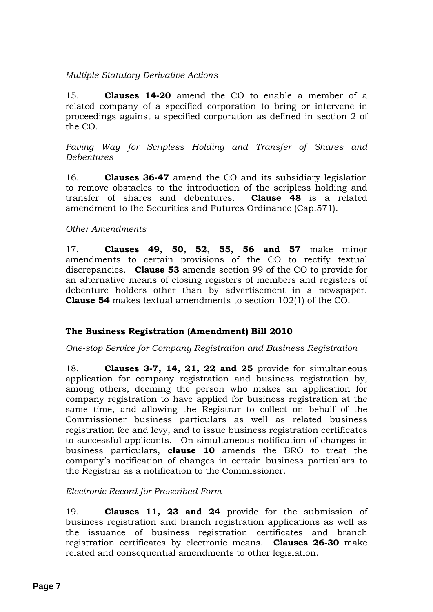## *Multiple Statutory Derivative Actions*

15. **Clauses 14-20** amend the CO to enable a member of a related company of a specified corporation to bring or intervene in proceedings against a specified corporation as defined in section 2 of the CO.

*Paving Way for Scripless Holding and Transfer of Shares and Debentures* 

16. **Clauses 36-47** amend the CO and its subsidiary legislation to remove obstacles to the introduction of the scripless holding and transfer of shares and debentures. **Clause 48** is a related amendment to the Securities and Futures Ordinance (Cap.571).

# *Other Amendments*

17. **Clauses 49, 50, 52, 55, 56 and 57** make minor amendments to certain provisions of the CO to rectify textual discrepancies. **Clause 53** amends section 99 of the CO to provide for an alternative means of closing registers of members and registers of debenture holders other than by advertisement in a newspaper. **Clause 54** makes textual amendments to section 102(1) of the CO.

# **The Business Registration (Amendment) Bill 2010**

*One-stop Service for Company Registration and Business Registration*

18. **Clauses 3-7, 14, 21, 22 and 25** provide for simultaneous application for company registration and business registration by, among others, deeming the person who makes an application for company registration to have applied for business registration at the same time, and allowing the Registrar to collect on behalf of the Commissioner business particulars as well as related business registration fee and levy, and to issue business registration certificates to successful applicants. On simultaneous notification of changes in business particulars, **clause 10** amends the BRO to treat the company's notification of changes in certain business particulars to the Registrar as a notification to the Commissioner.

#### *Electronic Record for Prescribed Form*

19. **Clauses 11, 23 and 24** provide for the submission of business registration and branch registration applications as well as the issuance of business registration certificates and branch registration certificates by electronic means. **Clauses 26-30** make related and consequential amendments to other legislation.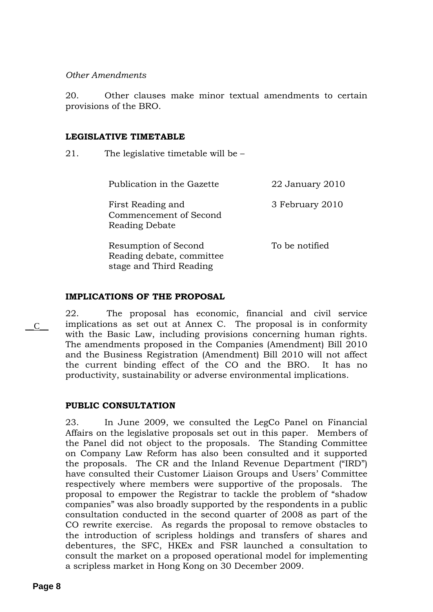#### *Other Amendments*

20. Other clauses make minor textual amendments to certain provisions of the BRO.

#### **LEGISLATIVE TIMETABLE**

21. The legislative timetable will be –

| Publication in the Gazette                                                   | $22$ January $2010$ |
|------------------------------------------------------------------------------|---------------------|
| First Reading and<br>Commencement of Second<br>Reading Debate                | 3 February 2010     |
| Resumption of Second<br>Reading debate, committee<br>stage and Third Reading | To be notified      |

#### **IMPLICATIONS OF THE PROPOSAL**

22. The proposal has economic, financial and civil service implications as set out at Annex C. The proposal is in conformity with the Basic Law, including provisions concerning human rights. The amendments proposed in the Companies (Amendment) Bill 2010 and the Business Registration (Amendment) Bill 2010 will not affect the current binding effect of the CO and the BRO. It has no productivity, sustainability or adverse environmental implications.

# **PUBLIC CONSULTATION**

23. In June 2009, we consulted the LegCo Panel on Financial Affairs on the legislative proposals set out in this paper. Members of the Panel did not object to the proposals. The Standing Committee on Company Law Reform has also been consulted and it supported the proposals. The CR and the Inland Revenue Department ("IRD") have consulted their Customer Liaison Groups and Users' Committee respectively where members were supportive of the proposals. The proposal to empower the Registrar to tackle the problem of "shadow companies" was also broadly supported by the respondents in a public consultation conducted in the second quarter of 2008 as part of the CO rewrite exercise. As regards the proposal to remove obstacles to the introduction of scripless holdings and transfers of shares and debentures, the SFC, HKEx and FSR launched a consultation to consult the market on a proposed operational model for implementing a scripless market in Hong Kong on 30 December 2009.

 $\overline{C}$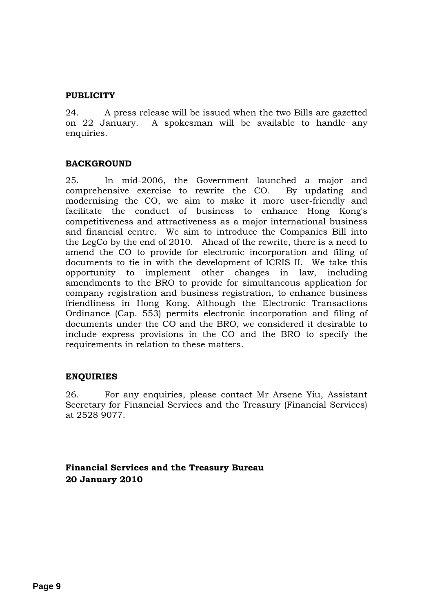#### **PUBLICITY**

24. A press release will be issued when the two Bills are gazetted on 22 January. A spokesman will be available to handle any enquiries.

#### **BACKGROUND**

25. In mid-2006, the Government launched a major and comprehensive exercise to rewrite the CO. By updating and modernising the CO, we aim to make it more user-friendly and facilitate the conduct of business to enhance Hong Kong's competitiveness and attractiveness as a major international business and financial centre. We aim to introduce the Companies Bill into the LegCo by the end of 2010. Ahead of the rewrite, there is a need to amend the CO to provide for electronic incorporation and filing of documents to tie in with the development of ICRIS II. We take this opportunity to implement other changes in law, including amendments to the BRO to provide for simultaneous application for company registration and business registration, to enhance business friendliness in Hong Kong. Although the Electronic Transactions Ordinance (Cap. 553) permits electronic incorporation and filing of documents under the CO and the BRO, we considered it desirable to include express provisions in the CO and the BRO to specify the requirements in relation to these matters.

#### **ENQUIRIES**

26. For any enquiries, please contact Mr Arsene Yiu, Assistant Secretary for Financial Services and the Treasury (Financial Services) at 2528 9077.

**Financial Services and the Treasury Bureau 20 January 2010**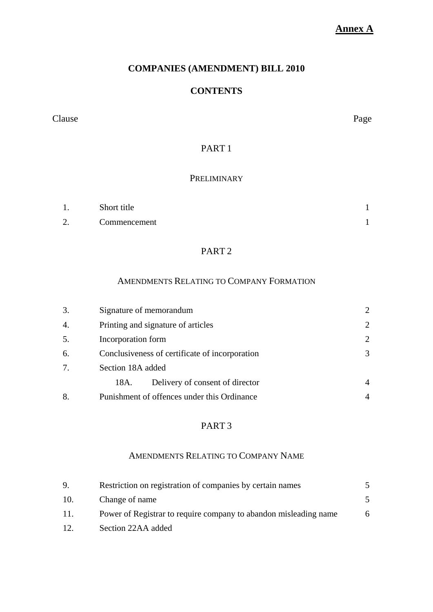# **Annex A**

# **COMPANIES (AMENDMENT) BILL 2010**

# **CONTENTS**

Clause Page

# PART 1

#### **PRELIMINARY**

|           | Short title  |  |
|-----------|--------------|--|
| $\bigcap$ | Commencement |  |

# PART 2

## AMENDMENTS RELATING TO COMPANY FORMATION

| 3.               | Signature of memorandum                        | $\mathcal{D}_{\mathcal{L}}$ |
|------------------|------------------------------------------------|-----------------------------|
| $\overline{4}$ . | Printing and signature of articles             | 2                           |
| 5.               | Incorporation form                             | 2                           |
| 6.               | Conclusiveness of certificate of incorporation | 3                           |
|                  | Section 18A added                              |                             |
|                  | Delivery of consent of director<br>18A.        | 4                           |
| 8.               | Punishment of offences under this Ordinance    | 4                           |

# PART 3

# AMENDMENTS RELATING TO COMPANY NAME

| 9.  | Restriction on registration of companies by certain names        |   |
|-----|------------------------------------------------------------------|---|
| 10. | Change of name                                                   |   |
| 11. | Power of Registrar to require company to abandon misleading name | 6 |
| 12. | Section 22AA added                                               |   |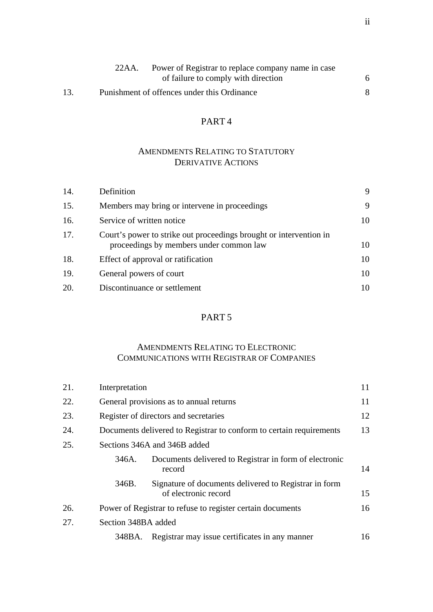|     | 22AA. | Power of Registrar to replace company name in case |  |
|-----|-------|----------------------------------------------------|--|
|     |       | of failure to comply with direction                |  |
| 13. |       | Punishment of offences under this Ordinance        |  |

#### PART 4

# AMENDMENTS RELATING TO STATUTORY DERIVATIVE ACTIONS

| 14. | Definition                                                                                                    | 9  |
|-----|---------------------------------------------------------------------------------------------------------------|----|
| 15. | Members may bring or intervene in proceedings                                                                 | 9  |
| 16. | Service of written notice                                                                                     | 10 |
| 17. | Court's power to strike out proceedings brought or intervention in<br>proceedings by members under common law | 10 |
| 18. | Effect of approval or ratification                                                                            | 10 |
| 19. | General powers of court                                                                                       | 10 |
| 20. | Discontinuance or settlement                                                                                  | 10 |

#### PART 5

# AMENDMENTS RELATING TO ELECTRONIC COMMUNICATIONS WITH REGISTRAR OF COMPANIES

| 21. | Interpretation      |                                                                               | 11 |
|-----|---------------------|-------------------------------------------------------------------------------|----|
| 22. |                     | General provisions as to annual returns                                       | 11 |
| 23. |                     | Register of directors and secretaries                                         | 12 |
| 24. |                     | Documents delivered to Registrar to conform to certain requirements           | 13 |
| 25. |                     | Sections 346A and 346B added                                                  |    |
|     | 346A.               | Documents delivered to Registrar in form of electronic<br>record              | 14 |
|     | 346B.               | Signature of documents delivered to Registrar in form<br>of electronic record | 15 |
| 26. |                     | Power of Registrar to refuse to register certain documents                    | 16 |
| 27. | Section 348BA added |                                                                               |    |
|     | 348BA.              | Registrar may issue certificates in any manner                                | 16 |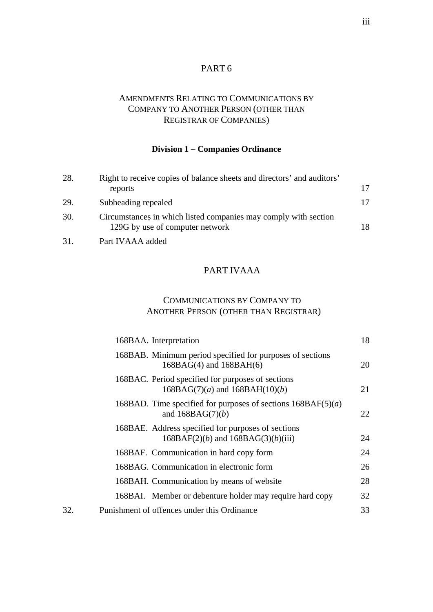# PART 6

# AMENDMENTS RELATING TO COMMUNICATIONS BY COMPANY TO ANOTHER PERSON (OTHER THAN REGISTRAR OF COMPANIES)

## **Division 1 – Companies Ordinance**

| 28. | Right to receive copies of balance sheets and directors' and auditors'                             |     |
|-----|----------------------------------------------------------------------------------------------------|-----|
|     | reports                                                                                            |     |
| 29. | Subheading repealed                                                                                |     |
| 30. | Circumstances in which listed companies may comply with section<br>129G by use of computer network | 18. |

31. Part IVAAA added

#### PART IVAAA

## COMMUNICATIONS BY COMPANY TO ANOTHER PERSON (OTHER THAN REGISTRAR)

|     | 168BAA. Interpretation                                                                       | 18 |
|-----|----------------------------------------------------------------------------------------------|----|
|     | 168BAB. Minimum period specified for purposes of sections<br>$168BAG(4)$ and $168BAH(6)$     | 20 |
|     | 168BAC. Period specified for purposes of sections<br>$168BAG(7)(a)$ and $168BAH(10)(b)$      | 21 |
|     | 168BAD. Time specified for purposes of sections $168BAF(5)(a)$<br>and $168BAG(7)(b)$         | 22 |
|     | 168BAE. Address specified for purposes of sections<br>$168BAF(2)(b)$ and $168BAG(3)(b)(iii)$ | 24 |
|     | 168BAF. Communication in hard copy form                                                      | 24 |
|     | 168BAG. Communication in electronic form                                                     | 26 |
|     | 168BAH. Communication by means of website                                                    | 28 |
|     | 168BAI. Member or debenture holder may require hard copy                                     | 32 |
| 32. | Punishment of offences under this Ordinance                                                  | 33 |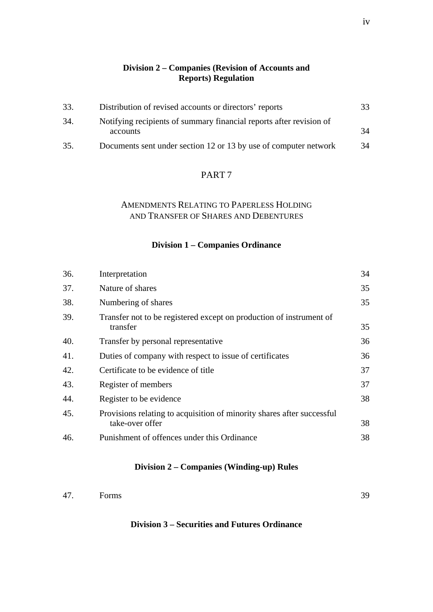#### **Division 2 – Companies (Revision of Accounts and Reports) Regulation**

| 33. | Distribution of revised accounts or directors' reports                          | 33 |
|-----|---------------------------------------------------------------------------------|----|
| 34. | Notifying recipients of summary financial reports after revision of<br>accounts | 34 |
| 35. | Documents sent under section 12 or 13 by use of computer network                | 34 |

## PART 7

#### AMENDMENTS RELATING TO PAPERLESS HOLDING AND TRANSFER OF SHARES AND DEBENTURES

#### **Division 1 – Companies Ordinance**

| 36. | Interpretation                                                                            | 34 |
|-----|-------------------------------------------------------------------------------------------|----|
| 37. | Nature of shares                                                                          | 35 |
| 38. | Numbering of shares                                                                       | 35 |
| 39. | Transfer not to be registered except on production of instrument of<br>transfer           | 35 |
| 40. | Transfer by personal representative                                                       | 36 |
| 41. | Duties of company with respect to issue of certificates                                   | 36 |
| 42. | Certificate to be evidence of title                                                       | 37 |
| 43. | Register of members                                                                       | 37 |
| 44. | Register to be evidence                                                                   | 38 |
| 45. | Provisions relating to acquisition of minority shares after successful<br>take-over offer | 38 |
| 46. | Punishment of offences under this Ordinance                                               | 38 |

#### **Division 2 – Companies (Winding-up) Rules**

| 47. | Forms | 39<br>ັ |
|-----|-------|---------|
|     |       |         |

#### **Division 3 – Securities and Futures Ordinance**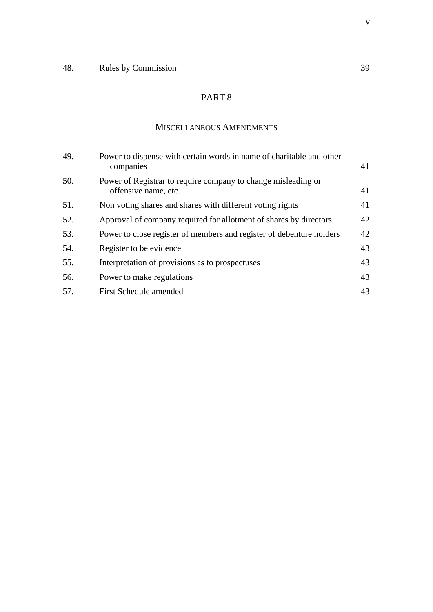# 48. Rules by Commission 39

# PART 8

# MISCELLANEOUS AMENDMENTS

| Power to dispense with certain words in name of charitable and other<br>companies     | 41 |
|---------------------------------------------------------------------------------------|----|
| Power of Registrar to require company to change misleading or<br>offensive name, etc. | 41 |
| Non voting shares and shares with different voting rights                             | 41 |
| Approval of company required for allotment of shares by directors                     | 42 |
| Power to close register of members and register of debenture holders                  | 42 |
| Register to be evidence                                                               | 43 |
| Interpretation of provisions as to prospectuses                                       | 43 |
| Power to make regulations                                                             | 43 |
| <b>First Schedule amended</b>                                                         | 43 |
|                                                                                       |    |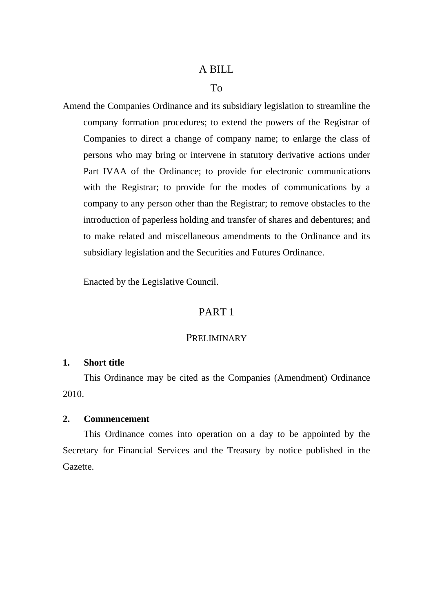# A BILL

#### To

Amend the Companies Ordinance and its subsidiary legislation to streamline the company formation procedures; to extend the powers of the Registrar of Companies to direct a change of company name; to enlarge the class of persons who may bring or intervene in statutory derivative actions under Part IVAA of the Ordinance; to provide for electronic communications with the Registrar; to provide for the modes of communications by a company to any person other than the Registrar; to remove obstacles to the introduction of paperless holding and transfer of shares and debentures; and to make related and miscellaneous amendments to the Ordinance and its subsidiary legislation and the Securities and Futures Ordinance.

Enacted by the Legislative Council.

# PART 1

#### PRELIMINARY

#### **1. Short title**

This Ordinance may be cited as the Companies (Amendment) Ordinance 2010.

#### **2. Commencement**

This Ordinance comes into operation on a day to be appointed by the Secretary for Financial Services and the Treasury by notice published in the Gazette.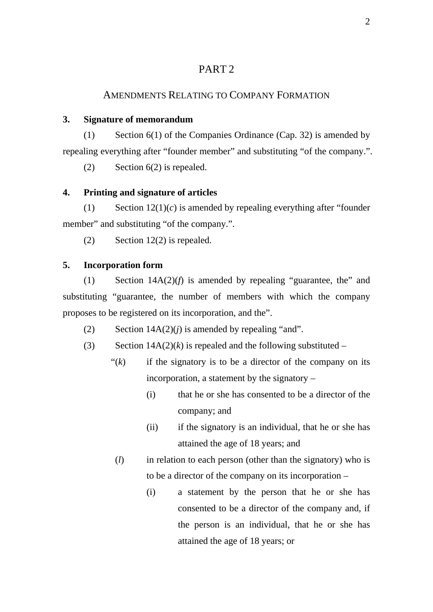# PART 2

# AMENDMENTS RELATING TO COMPANY FORMATION

#### **3. Signature of memorandum**

(1) Section 6(1) of the Companies Ordinance (Cap. 32) is amended by repealing everything after "founder member" and substituting "of the company.".

(2) Section 6(2) is repealed.

#### **4. Printing and signature of articles**

(1) Section  $12(1)(c)$  is amended by repealing everything after "founder" member" and substituting "of the company.".

(2) Section 12(2) is repealed.

## **5. Incorporation form**

(1) Section 14A(2)(*f*) is amended by repealing "guarantee, the" and substituting "guarantee, the number of members with which the company proposes to be registered on its incorporation, and the".

- (2) Section  $14A(2)(i)$  is amended by repealing "and".
- (3) Section  $14A(2)(k)$  is repealed and the following substituted
	- " $(k)$  if the signatory is to be a director of the company on its incorporation, a statement by the signatory –
		- (i) that he or she has consented to be a director of the company; and
		- (ii) if the signatory is an individual, that he or she has attained the age of 18 years; and
	- (*l*) in relation to each person (other than the signatory) who is to be a director of the company on its incorporation –
		- (i) a statement by the person that he or she has consented to be a director of the company and, if the person is an individual, that he or she has attained the age of 18 years; or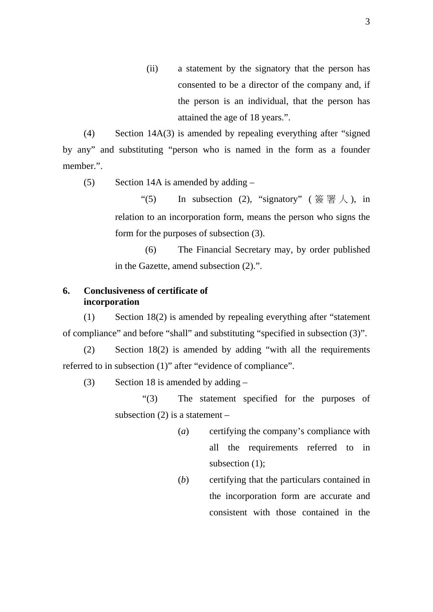(ii) a statement by the signatory that the person has consented to be a director of the company and, if the person is an individual, that the person has attained the age of 18 years.".

(4) Section 14A(3) is amended by repealing everything after "signed by any" and substituting "person who is named in the form as a founder member.".

(5) Section 14A is amended by adding –

"(5) In subsection (2), "signatory" (  $\mathfrak{F} \boxtimes \mathcal{A}$ ), in relation to an incorporation form, means the person who signs the form for the purposes of subsection (3).

(6) The Financial Secretary may, by order published in the Gazette, amend subsection (2).".

# **6. Conclusiveness of certificate of incorporation**

(1) Section 18(2) is amended by repealing everything after "statement of compliance" and before "shall" and substituting "specified in subsection (3)".

(2) Section 18(2) is amended by adding "with all the requirements referred to in subsection (1)" after "evidence of compliance".

(3) Section 18 is amended by adding  $-$ 

"(3) The statement specified for the purposes of subsection  $(2)$  is a statement –

- (*a*) certifying the company's compliance with all the requirements referred to in subsection (1):
- (*b*) certifying that the particulars contained in the incorporation form are accurate and consistent with those contained in the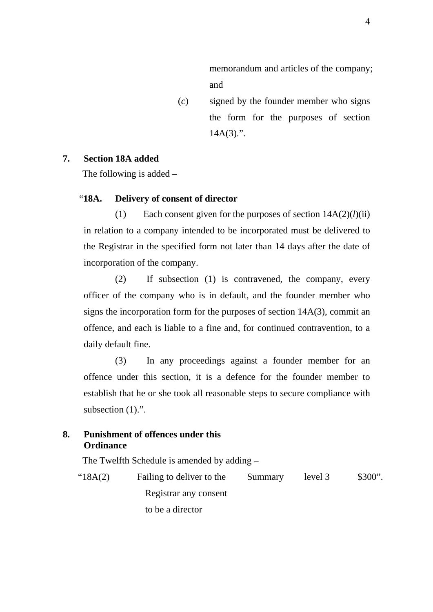memorandum and articles of the company; and

(*c*) signed by the founder member who signs the form for the purposes of section  $14A(3)$ .".

#### **7. Section 18A added**

The following is added –

#### "**18A. Delivery of consent of director**

(1) Each consent given for the purposes of section 14A(2)(*l*)(ii) in relation to a company intended to be incorporated must be delivered to the Registrar in the specified form not later than 14 days after the date of incorporation of the company.

(2) If subsection (1) is contravened, the company, every officer of the company who is in default, and the founder member who signs the incorporation form for the purposes of section 14A(3), commit an offence, and each is liable to a fine and, for continued contravention, to a daily default fine.

(3) In any proceedings against a founder member for an offence under this section, it is a defence for the founder member to establish that he or she took all reasonable steps to secure compliance with subsection  $(1)$ .".

#### **8. Punishment of offences under this Ordinance**

The Twelfth Schedule is amended by adding –

"18A(2) Failing to deliver to the Registrar any consent to be a director Summary level 3 \$300".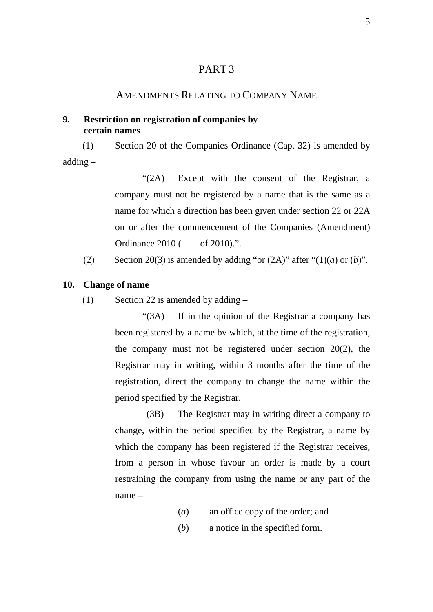#### PART 3

# AMENDMENTS RELATING TO COMPANY NAME

#### **9. Restriction on registration of companies by certain names**

 (1) Section 20 of the Companies Ordinance (Cap. 32) is amended by adding –

> "(2A) Except with the consent of the Registrar, a company must not be registered by a name that is the same as a name for which a direction has been given under section 22 or 22A on or after the commencement of the Companies (Amendment) Ordinance  $2010($  of  $2010)$ .".

(2) Section 20(3) is amended by adding "or  $(2A)$ " after " $(1)(a)$  or  $(b)$ ".

#### **10. Change of name**

(1) Section 22 is amended by adding  $-$ 

"(3A) If in the opinion of the Registrar a company has been registered by a name by which, at the time of the registration, the company must not be registered under section 20(2), the Registrar may in writing, within 3 months after the time of the registration, direct the company to change the name within the period specified by the Registrar.

(3B) The Registrar may in writing direct a company to change, within the period specified by the Registrar, a name by which the company has been registered if the Registrar receives, from a person in whose favour an order is made by a court restraining the company from using the name or any part of the name –

- (*a*) an office copy of the order; and
- (*b*) a notice in the specified form.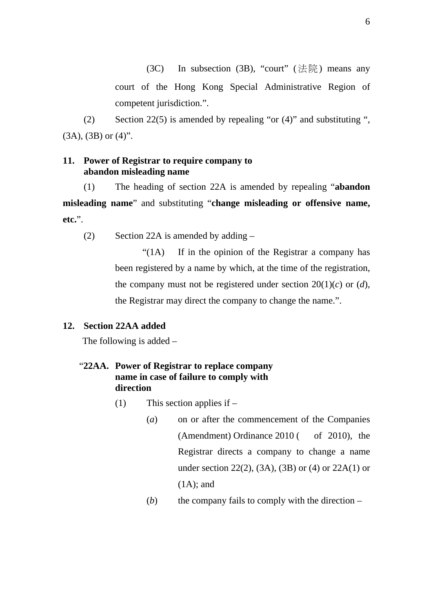(3C) In subsection (3B), "court" (法院) means any court of the Hong Kong Special Administrative Region of competent jurisdiction.".

(2) Section 22(5) is amended by repealing "or (4)" and substituting ",  $(3A)$ ,  $(3B)$  or  $(4)$ ".

#### **11. Power of Registrar to require company to abandon misleading name**

(1) The heading of section 22A is amended by repealing "**abandon misleading name**" and substituting "**change misleading or offensive name, etc.**".

(2) Section 22A is amended by adding –

"(1A) If in the opinion of the Registrar a company has been registered by a name by which, at the time of the registration, the company must not be registered under section  $20(1)(c)$  or  $(d)$ , the Registrar may direct the company to change the name.".

#### **12. Section 22AA added**

The following is added –

#### "**22AA. Power of Registrar to replace company name in case of failure to comply with direction**

- (1) This section applies if
	- (*a*) on or after the commencement of the Companies (Amendment) Ordinance  $2010$  ( of 2010), the Registrar directs a company to change a name under section 22(2), (3A), (3B) or (4) or 22A(1) or  $(1A)$ ; and
	- (*b*) the company fails to comply with the direction –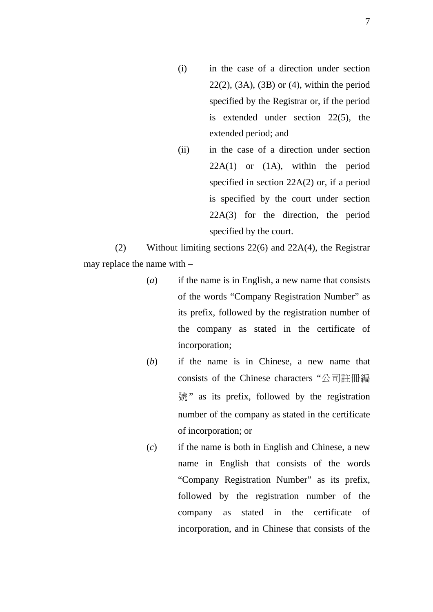- (i) in the case of a direction under section  $22(2)$ ,  $(3A)$ ,  $(3B)$  or  $(4)$ , within the period specified by the Registrar or, if the period is extended under section 22(5), the extended period; and
- (ii) in the case of a direction under section  $22A(1)$  or  $(1A)$ , within the period specified in section 22A(2) or, if a period is specified by the court under section 22A(3) for the direction, the period specified by the court.

(2) Without limiting sections 22(6) and 22A(4), the Registrar may replace the name with –

- (*a*) if the name is in English, a new name that consists of the words "Company Registration Number" as its prefix, followed by the registration number of the company as stated in the certificate of incorporation;
- (*b*) if the name is in Chinese, a new name that consists of the Chinese characters "公司註冊編 號" as its prefix, followed by the registration number of the company as stated in the certificate of incorporation; or
- (*c*) if the name is both in English and Chinese, a new name in English that consists of the words "Company Registration Number" as its prefix, followed by the registration number of the company as stated in the certificate of incorporation, and in Chinese that consists of the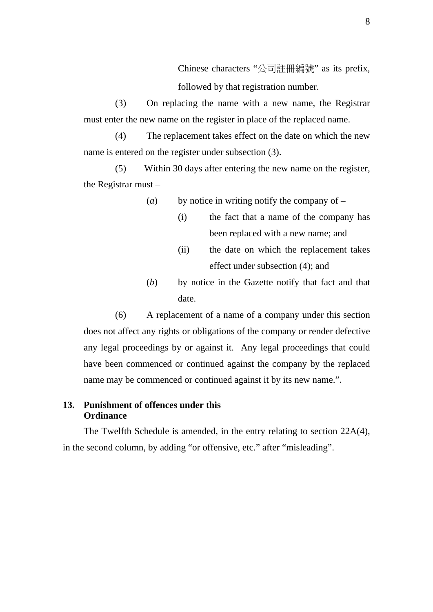Chinese characters "公司註冊編號" as its prefix, followed by that registration number.

(3) On replacing the name with a new name, the Registrar must enter the new name on the register in place of the replaced name.

(4) The replacement takes effect on the date on which the new name is entered on the register under subsection (3).

(5) Within 30 days after entering the new name on the register, the Registrar must –

(*a*) by notice in writing notify the company of  $-$ 

- (i) the fact that a name of the company has been replaced with a new name; and
- (ii) the date on which the replacement takes effect under subsection (4); and
- (*b*) by notice in the Gazette notify that fact and that date.

(6) A replacement of a name of a company under this section does not affect any rights or obligations of the company or render defective any legal proceedings by or against it. Any legal proceedings that could have been commenced or continued against the company by the replaced name may be commenced or continued against it by its new name.".

# **13. Punishment of offences under this Ordinance**

The Twelfth Schedule is amended, in the entry relating to section 22A(4), in the second column, by adding "or offensive, etc." after "misleading".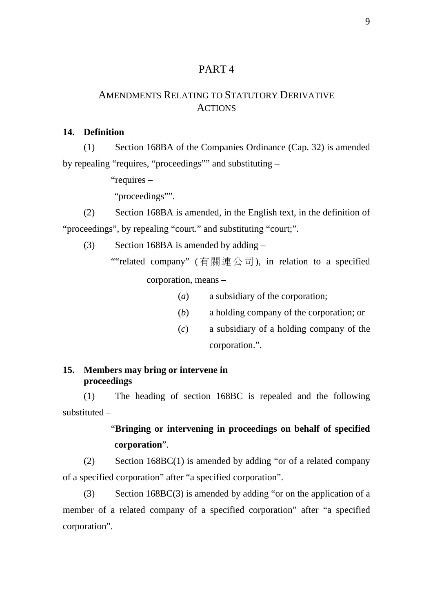# PART 4

# AMENDMENTS RELATING TO STATUTORY DERIVATIVE **ACTIONS**

## **14. Definition**

(1) Section 168BA of the Companies Ordinance (Cap. 32) is amended by repealing "requires, "proceedings"" and substituting –

"requires –

"proceedings"".

(2) Section 168BA is amended, in the English text, in the definition of "proceedings", by repealing "court." and substituting "court;".

(3) Section 168BA is amended by adding –

""related company" (有關連公司), in relation to a specified corporation, means –

- (*a*) a subsidiary of the corporation;
- (*b*) a holding company of the corporation; or
- (*c*) a subsidiary of a holding company of the corporation.".

# **15. Members may bring or intervene in proceedings**

(1) The heading of section 168BC is repealed and the following substituted –

# "**Bringing or intervening in proceedings on behalf of specified corporation**".

(2) Section 168BC(1) is amended by adding "or of a related company of a specified corporation" after "a specified corporation".

(3) Section 168BC(3) is amended by adding "or on the application of a member of a related company of a specified corporation" after "a specified corporation".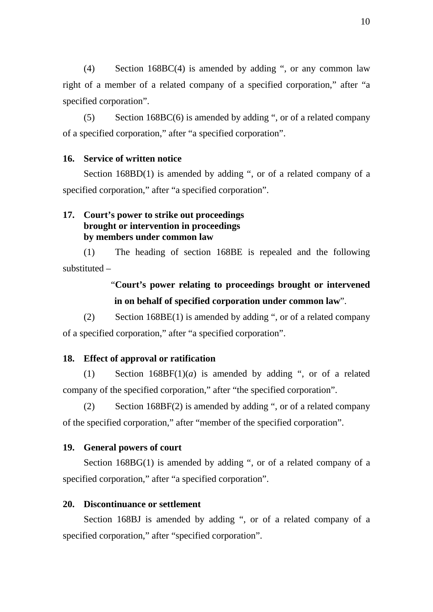(4) Section 168BC(4) is amended by adding ", or any common law right of a member of a related company of a specified corporation," after "a specified corporation".

(5) Section 168BC(6) is amended by adding ", or of a related company of a specified corporation," after "a specified corporation".

#### **16. Service of written notice**

Section 168BD(1) is amended by adding ", or of a related company of a specified corporation," after "a specified corporation".

# **17. Court's power to strike out proceedings brought or intervention in proceedings by members under common law**

(1) The heading of section 168BE is repealed and the following substituted –

# "**Court's power relating to proceedings brought or intervened in on behalf of specified corporation under common law**".

(2) Section 168BE(1) is amended by adding ", or of a related company of a specified corporation," after "a specified corporation".

#### **18. Effect of approval or ratification**

(1) Section  $168BF(1)(a)$  is amended by adding ", or of a related company of the specified corporation," after "the specified corporation".

(2) Section 168BF(2) is amended by adding ", or of a related company of the specified corporation," after "member of the specified corporation".

#### **19. General powers of court**

Section 168BG(1) is amended by adding ", or of a related company of a specified corporation," after "a specified corporation".

#### **20. Discontinuance or settlement**

Section 168BJ is amended by adding ", or of a related company of a specified corporation," after "specified corporation".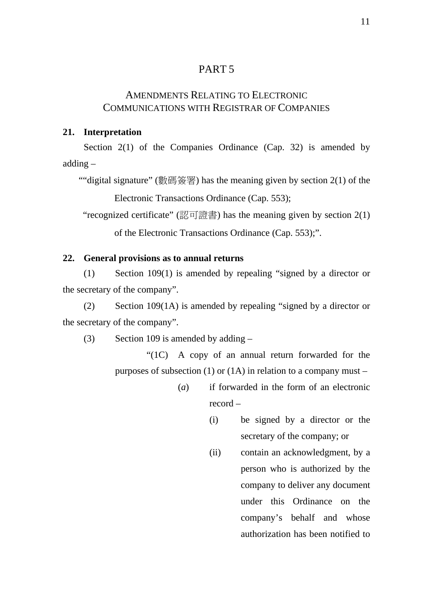# PART 5

# AMENDMENTS RELATING TO ELECTRONIC COMMUNICATIONS WITH REGISTRAR OF COMPANIES

#### **21. Interpretation**

Section 2(1) of the Companies Ordinance (Cap. 32) is amended by adding –

""digital signature" (數碼簽署) has the meaning given by section 2(1) of the

Electronic Transactions Ordinance (Cap. 553);

"recognized certificate" (認可證書) has the meaning given by section  $2(1)$ of the Electronic Transactions Ordinance (Cap. 553);".

#### **22. General provisions as to annual returns**

(1) Section 109(1) is amended by repealing "signed by a director or the secretary of the company".

(2) Section 109(1A) is amended by repealing "signed by a director or the secretary of the company".

(3) Section 109 is amended by adding  $-$ 

"(1C) A copy of an annual return forwarded for the purposes of subsection  $(1)$  or  $(1)$  in relation to a company must –

- (*a*) if forwarded in the form of an electronic record –
	- (i) be signed by a director or the secretary of the company; or
	- (ii) contain an acknowledgment, by a person who is authorized by the company to deliver any document under this Ordinance on the company's behalf and whose authorization has been notified to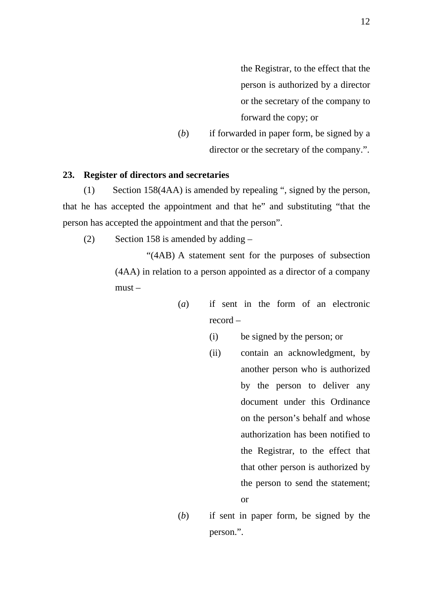the Registrar, to the effect that the person is authorized by a director or the secretary of the company to forward the copy; or

(*b*) if forwarded in paper form, be signed by a director or the secretary of the company.".

#### **23. Register of directors and secretaries**

(1) Section 158(4AA) is amended by repealing ", signed by the person, that he has accepted the appointment and that he" and substituting "that the person has accepted the appointment and that the person".

(2) Section 158 is amended by adding  $-$ 

"(4AB) A statement sent for the purposes of subsection (4AA) in relation to a person appointed as a director of a company must –

- (*a*) if sent in the form of an electronic record –
	- (i) be signed by the person; or
	- (ii) contain an acknowledgment, by another person who is authorized by the person to deliver any document under this Ordinance on the person's behalf and whose authorization has been notified to the Registrar, to the effect that that other person is authorized by the person to send the statement; or
- (*b*) if sent in paper form, be signed by the person.".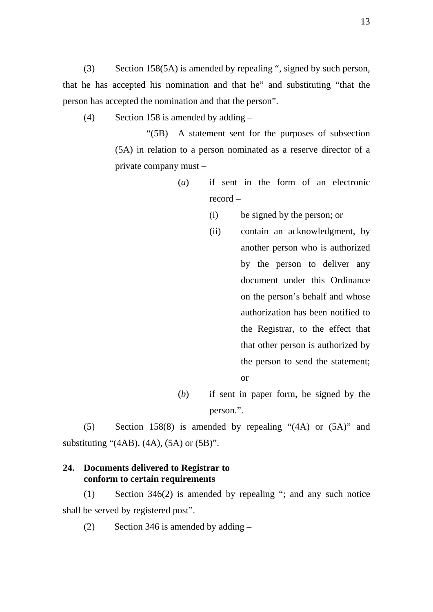(3) Section 158(5A) is amended by repealing ", signed by such person, that he has accepted his nomination and that he" and substituting "that the person has accepted the nomination and that the person".

(4) Section 158 is amended by adding –

"(5B) A statement sent for the purposes of subsection (5A) in relation to a person nominated as a reserve director of a private company must –

- (*a*) if sent in the form of an electronic record –
	- (i) be signed by the person; or
	- (ii) contain an acknowledgment, by another person who is authorized by the person to deliver any document under this Ordinance on the person's behalf and whose authorization has been notified to the Registrar, to the effect that that other person is authorized by the person to send the statement; or
- (*b*) if sent in paper form, be signed by the person.".

(5) Section 158(8) is amended by repealing "(4A) or (5A)" and substituting " $(4AB)$ ,  $(4A)$ ,  $(5A)$  or  $(5B)$ ".

#### **24. Documents delivered to Registrar to conform to certain requirements**

(1) Section 346(2) is amended by repealing "; and any such notice shall be served by registered post".

(2) Section 346 is amended by adding  $-$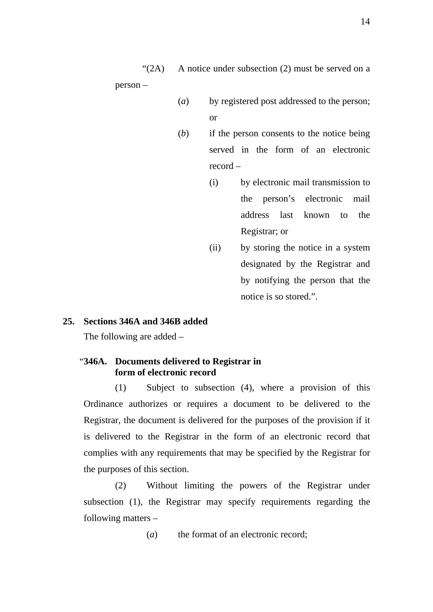- " $(2A)$  A notice under subsection  $(2)$  must be served on a person –
	- (*a*) by registered post addressed to the person; or
	- (*b*) if the person consents to the notice being served in the form of an electronic record –
		- (i) by electronic mail transmission to the person's electronic mail address last known to the Registrar; or
		- (ii) by storing the notice in a system designated by the Registrar and by notifying the person that the notice is so stored.".

#### **25. Sections 346A and 346B added**

The following are added –

#### "**346A. Documents delivered to Registrar in form of electronic record**

(1) Subject to subsection (4), where a provision of this Ordinance authorizes or requires a document to be delivered to the Registrar, the document is delivered for the purposes of the provision if it is delivered to the Registrar in the form of an electronic record that complies with any requirements that may be specified by the Registrar for the purposes of this section.

(2) Without limiting the powers of the Registrar under subsection (1), the Registrar may specify requirements regarding the following matters –

(*a*) the format of an electronic record;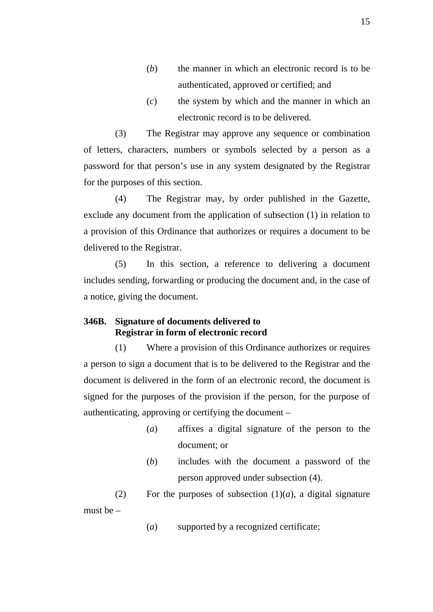- (*b*) the manner in which an electronic record is to be authenticated, approved or certified; and
- (*c*) the system by which and the manner in which an electronic record is to be delivered.

(3) The Registrar may approve any sequence or combination of letters, characters, numbers or symbols selected by a person as a password for that person's use in any system designated by the Registrar for the purposes of this section.

(4) The Registrar may, by order published in the Gazette, exclude any document from the application of subsection (1) in relation to a provision of this Ordinance that authorizes or requires a document to be delivered to the Registrar.

(5) In this section, a reference to delivering a document includes sending, forwarding or producing the document and, in the case of a notice, giving the document.

#### **346B. Signature of documents delivered to Registrar in form of electronic record**

(1) Where a provision of this Ordinance authorizes or requires a person to sign a document that is to be delivered to the Registrar and the document is delivered in the form of an electronic record, the document is signed for the purposes of the provision if the person, for the purpose of authenticating, approving or certifying the document –

- (*a*) affixes a digital signature of the person to the document; or
- (*b*) includes with the document a password of the person approved under subsection (4).

(2) For the purposes of subsection  $(1)(a)$ , a digital signature must be  $-$ 

(*a*) supported by a recognized certificate;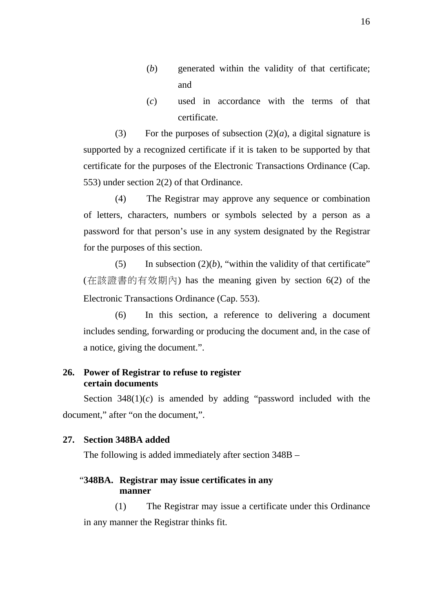- (*b*) generated within the validity of that certificate; and
- (*c*) used in accordance with the terms of that certificate.

(3) For the purposes of subsection  $(2)(a)$ , a digital signature is supported by a recognized certificate if it is taken to be supported by that certificate for the purposes of the Electronic Transactions Ordinance (Cap. 553) under section 2(2) of that Ordinance.

(4) The Registrar may approve any sequence or combination of letters, characters, numbers or symbols selected by a person as a password for that person's use in any system designated by the Registrar for the purposes of this section.

(5) In subsection  $(2)(b)$ , "within the validity of that certificate" (在該證書的有效期內) has the meaning given by section 6(2) of the Electronic Transactions Ordinance (Cap. 553).

(6) In this section, a reference to delivering a document includes sending, forwarding or producing the document and, in the case of a notice, giving the document.".

# **26. Power of Registrar to refuse to register certain documents**

Section  $348(1)(c)$  is amended by adding "password included with the document," after "on the document,".

#### **27. Section 348BA added**

The following is added immediately after section 348B –

# "**348BA. Registrar may issue certificates in any manner**

(1) The Registrar may issue a certificate under this Ordinance in any manner the Registrar thinks fit.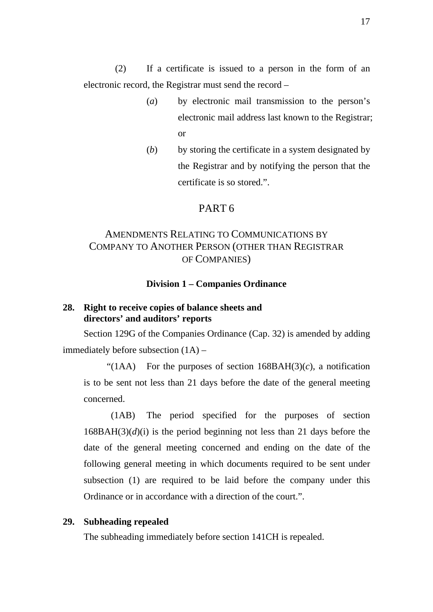(2) If a certificate is issued to a person in the form of an electronic record, the Registrar must send the record –

- (*a*) by electronic mail transmission to the person's electronic mail address last known to the Registrar; or
- (*b*) by storing the certificate in a system designated by the Registrar and by notifying the person that the certificate is so stored.".

## PART 6

# AMENDMENTS RELATING TO COMMUNICATIONS BY COMPANY TO ANOTHER PERSON (OTHER THAN REGISTRAR OF COMPANIES)

#### **Division 1 – Companies Ordinance**

## **28. Right to receive copies of balance sheets and directors' and auditors' reports**

Section 129G of the Companies Ordinance (Cap. 32) is amended by adding immediately before subsection (1A) –

"(1AA) For the purposes of section  $168BAH(3)(c)$ , a notification is to be sent not less than 21 days before the date of the general meeting concerned.

(1AB) The period specified for the purposes of section  $168BAH(3)(d)(i)$  is the period beginning not less than 21 days before the date of the general meeting concerned and ending on the date of the following general meeting in which documents required to be sent under subsection (1) are required to be laid before the company under this Ordinance or in accordance with a direction of the court.".

#### **29. Subheading repealed**

The subheading immediately before section 141CH is repealed.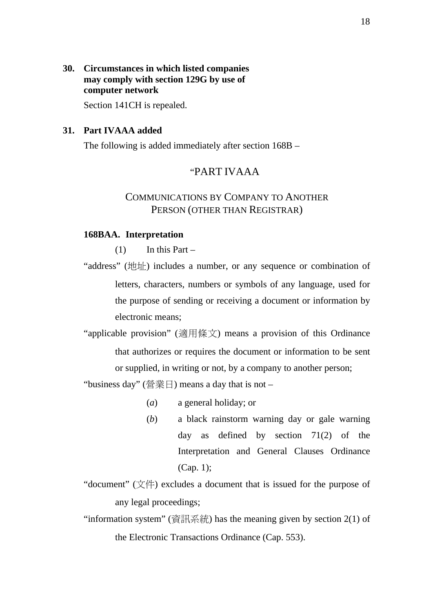## **30. Circumstances in which listed companies may comply with section 129G by use of computer network**

Section 141CH is repealed.

#### **31. Part IVAAA added**

The following is added immediately after section 168B –

# "PART IVAAA

# COMMUNICATIONS BY COMPANY TO ANOTHER PERSON (OTHER THAN REGISTRAR)

#### **168BAA. Interpretation**

 $(1)$  In this Part –

- "address" (地址) includes a number, or any sequence or combination of letters, characters, numbers or symbols of any language, used for the purpose of sending or receiving a document or information by electronic means;
- "applicable provision" (適用條文) means a provision of this Ordinance that authorizes or requires the document or information to be sent or supplied, in writing or not, by a company to another person;

"business day" (營業日) means a day that is not –

- (*a*) a general holiday; or
- (*b*) a black rainstorm warning day or gale warning day as defined by section 71(2) of the Interpretation and General Clauses Ordinance (Cap. 1);
- "document"  $(\overrightarrow{\chi} \#)$  excludes a document that is issued for the purpose of any legal proceedings;
- "information system" (資訊系統) has the meaning given by section 2(1) of the Electronic Transactions Ordinance (Cap. 553).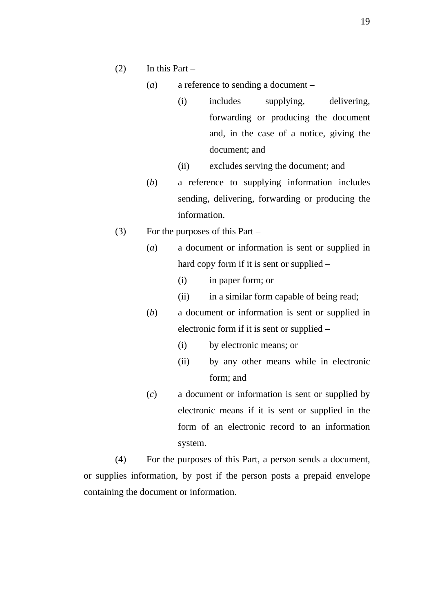- $(2)$  In this Part
	- (*a*) a reference to sending a document
		- (i) includes supplying, delivering, forwarding or producing the document and, in the case of a notice, giving the document; and
		- (ii) excludes serving the document; and
	- (*b*) a reference to supplying information includes sending, delivering, forwarding or producing the information.
- (3) For the purposes of this Part
	- (*a*) a document or information is sent or supplied in hard copy form if it is sent or supplied –
		- (i) in paper form; or
		- (ii) in a similar form capable of being read;
	- (*b*) a document or information is sent or supplied in electronic form if it is sent or supplied –
		- (i) by electronic means; or
		- (ii) by any other means while in electronic form; and
	- (*c*) a document or information is sent or supplied by electronic means if it is sent or supplied in the form of an electronic record to an information system.

(4) For the purposes of this Part, a person sends a document, or supplies information, by post if the person posts a prepaid envelope containing the document or information.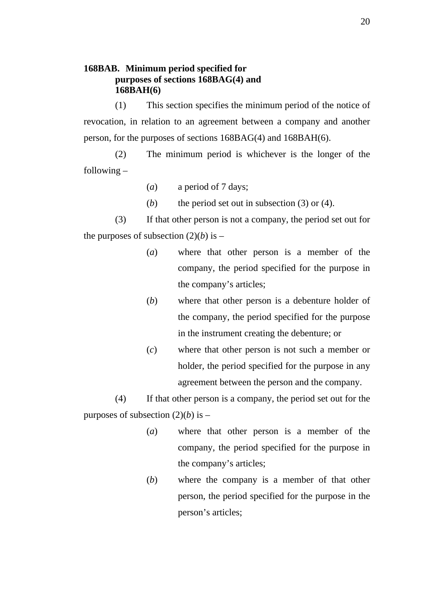# **168BAB. Minimum period specified for purposes of sections 168BAG(4) and 168BAH(6)**

(1) This section specifies the minimum period of the notice of revocation, in relation to an agreement between a company and another person, for the purposes of sections 168BAG(4) and 168BAH(6).

(2) The minimum period is whichever is the longer of the following –

- (*a*) a period of 7 days;
- (*b*) the period set out in subsection (3) or (4).

(3) If that other person is not a company, the period set out for the purposes of subsection  $(2)(b)$  is –

- (*a*) where that other person is a member of the company, the period specified for the purpose in the company's articles;
- (*b*) where that other person is a debenture holder of the company, the period specified for the purpose in the instrument creating the debenture; or
- (*c*) where that other person is not such a member or holder, the period specified for the purpose in any agreement between the person and the company.

(4) If that other person is a company, the period set out for the purposes of subsection  $(2)(b)$  is –

- (*a*) where that other person is a member of the company, the period specified for the purpose in the company's articles;
- (*b*) where the company is a member of that other person, the period specified for the purpose in the person's articles;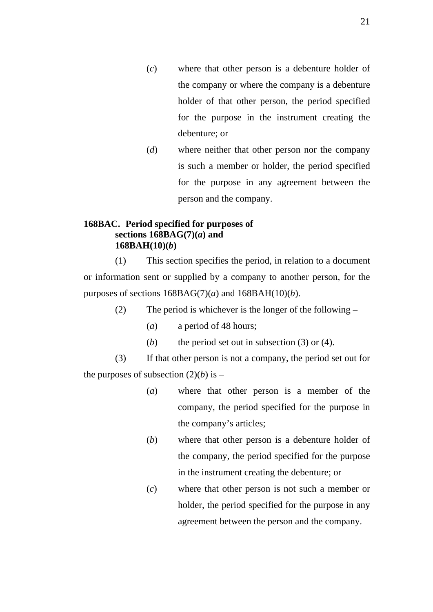- (*c*) where that other person is a debenture holder of the company or where the company is a debenture holder of that other person, the period specified for the purpose in the instrument creating the debenture; or
- (*d*) where neither that other person nor the company is such a member or holder, the period specified for the purpose in any agreement between the person and the company.

## **168BAC. Period specified for purposes of sections 168BAG(7)(***a***) and 168BAH(10)(***b***)**

(1) This section specifies the period, in relation to a document or information sent or supplied by a company to another person, for the purposes of sections  $168BAG(7)(a)$  and  $168BAH(10)(b)$ .

- (2) The period is whichever is the longer of the following
	- (*a*) a period of 48 hours;
	- $(b)$  the period set out in subsection  $(3)$  or  $(4)$ .

(3) If that other person is not a company, the period set out for the purposes of subsection  $(2)(b)$  is –

- (*a*) where that other person is a member of the company, the period specified for the purpose in the company's articles;
- (*b*) where that other person is a debenture holder of the company, the period specified for the purpose in the instrument creating the debenture; or
- (*c*) where that other person is not such a member or holder, the period specified for the purpose in any agreement between the person and the company.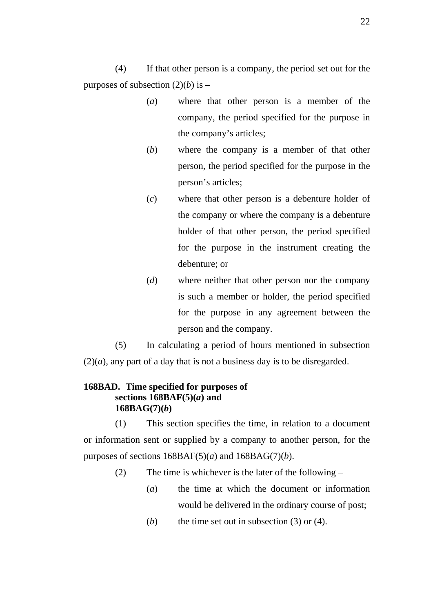(4) If that other person is a company, the period set out for the purposes of subsection  $(2)(b)$  is –

- (*a*) where that other person is a member of the company, the period specified for the purpose in the company's articles;
- (*b*) where the company is a member of that other person, the period specified for the purpose in the person's articles;
- (*c*) where that other person is a debenture holder of the company or where the company is a debenture holder of that other person, the period specified for the purpose in the instrument creating the debenture; or
- (*d*) where neither that other person nor the company is such a member or holder, the period specified for the purpose in any agreement between the person and the company.

(5) In calculating a period of hours mentioned in subsection  $(2)(a)$ , any part of a day that is not a business day is to be disregarded.

# **168BAD. Time specified for purposes of sections 168BAF(5)(***a***) and**   $168BAG(7)(b)$

(1) This section specifies the time, in relation to a document or information sent or supplied by a company to another person, for the purposes of sections  $168BAF(5)(a)$  and  $168BAG(7)(b)$ .

- (2) The time is whichever is the later of the following
	- (*a*) the time at which the document or information would be delivered in the ordinary course of post;
	- (*b*) the time set out in subsection (3) or (4).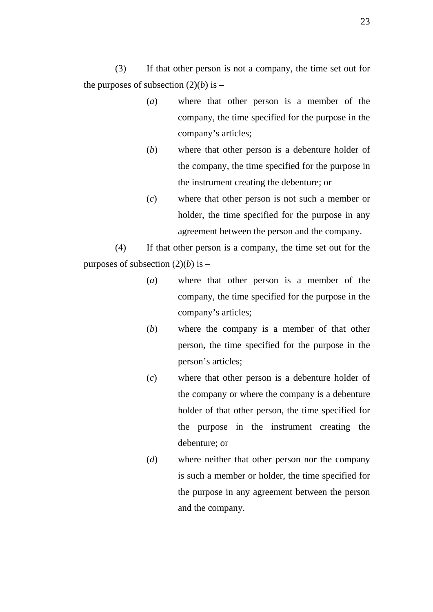(3) If that other person is not a company, the time set out for the purposes of subsection  $(2)(b)$  is –

- (*a*) where that other person is a member of the company, the time specified for the purpose in the company's articles;
- (*b*) where that other person is a debenture holder of the company, the time specified for the purpose in the instrument creating the debenture; or
- (*c*) where that other person is not such a member or holder, the time specified for the purpose in any agreement between the person and the company.

(4) If that other person is a company, the time set out for the purposes of subsection  $(2)(b)$  is –

- (*a*) where that other person is a member of the company, the time specified for the purpose in the company's articles;
- (*b*) where the company is a member of that other person, the time specified for the purpose in the person's articles;
- (*c*) where that other person is a debenture holder of the company or where the company is a debenture holder of that other person, the time specified for the purpose in the instrument creating the debenture; or
- (*d*) where neither that other person nor the company is such a member or holder, the time specified for the purpose in any agreement between the person and the company.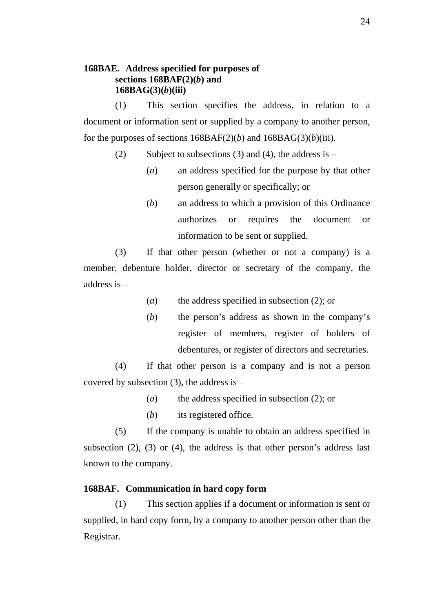## **168BAE. Address specified for purposes of sections 168BAF(2)(***b***) and 168BAG(3)(***b***)(iii)**

(1) This section specifies the address, in relation to a document or information sent or supplied by a company to another person, for the purposes of sections  $168BAF(2)(b)$  and  $168BAG(3)(b)(iii)$ .

- (2) Subject to subsections (3) and (4), the address is  $-$ 
	- (*a*) an address specified for the purpose by that other person generally or specifically; or
	- (*b*) an address to which a provision of this Ordinance authorizes or requires the document or information to be sent or supplied.

(3) If that other person (whether or not a company) is a member, debenture holder, director or secretary of the company, the address is –

(*a*) the address specified in subsection (2); or

(*b*) the person's address as shown in the company's register of members, register of holders of debentures, or register of directors and secretaries.

(4) If that other person is a company and is not a person covered by subsection  $(3)$ , the address is –

- (*a*) the address specified in subsection (2); or
- (*b*) its registered office.

(5) If the company is unable to obtain an address specified in subsection (2), (3) or (4), the address is that other person's address last known to the company.

### **168BAF. Communication in hard copy form**

(1) This section applies if a document or information is sent or supplied, in hard copy form, by a company to another person other than the Registrar.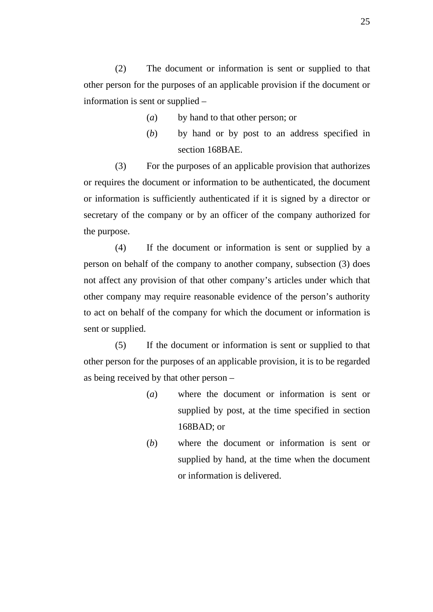(2) The document or information is sent or supplied to that other person for the purposes of an applicable provision if the document or information is sent or supplied –

- (*a*) by hand to that other person; or
- (*b*) by hand or by post to an address specified in section 168BAE.

(3) For the purposes of an applicable provision that authorizes or requires the document or information to be authenticated, the document or information is sufficiently authenticated if it is signed by a director or secretary of the company or by an officer of the company authorized for the purpose.

(4) If the document or information is sent or supplied by a person on behalf of the company to another company, subsection (3) does not affect any provision of that other company's articles under which that other company may require reasonable evidence of the person's authority to act on behalf of the company for which the document or information is sent or supplied.

(5) If the document or information is sent or supplied to that other person for the purposes of an applicable provision, it is to be regarded as being received by that other person –

- (*a*) where the document or information is sent or supplied by post, at the time specified in section 168BAD; or
- (*b*) where the document or information is sent or supplied by hand, at the time when the document or information is delivered.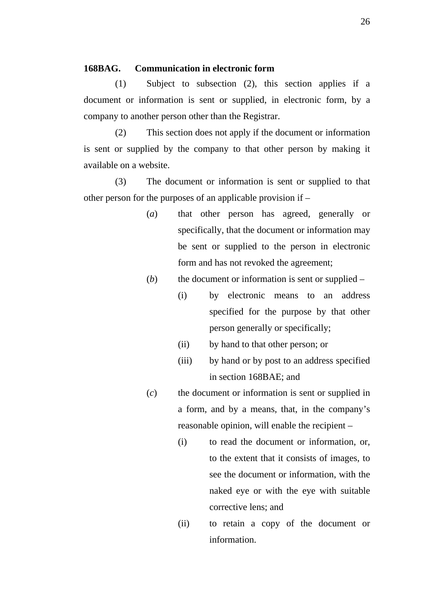### **168BAG. Communication in electronic form**

(1) Subject to subsection (2), this section applies if a document or information is sent or supplied, in electronic form, by a company to another person other than the Registrar.

(2) This section does not apply if the document or information is sent or supplied by the company to that other person by making it available on a website.

(3) The document or information is sent or supplied to that other person for the purposes of an applicable provision if –

- (*a*) that other person has agreed, generally or specifically, that the document or information may be sent or supplied to the person in electronic form and has not revoked the agreement;
- (*b*) the document or information is sent or supplied
	- (i) by electronic means to an address specified for the purpose by that other person generally or specifically;
	- (ii) by hand to that other person; or
	- (iii) by hand or by post to an address specified in section 168BAE; and
- (*c*) the document or information is sent or supplied in a form, and by a means, that, in the company's reasonable opinion, will enable the recipient –
	- (i) to read the document or information, or, to the extent that it consists of images, to see the document or information, with the naked eye or with the eye with suitable corrective lens; and
	- (ii) to retain a copy of the document or information.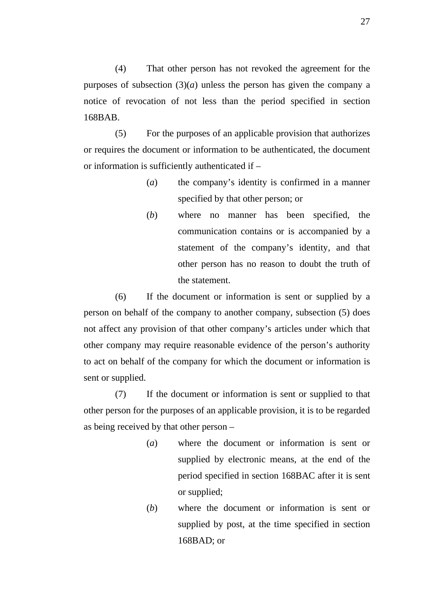(4) That other person has not revoked the agreement for the purposes of subsection  $(3)(a)$  unless the person has given the company a notice of revocation of not less than the period specified in section 168BAB.

(5) For the purposes of an applicable provision that authorizes or requires the document or information to be authenticated, the document or information is sufficiently authenticated if –

- (*a*) the company's identity is confirmed in a manner specified by that other person; or
- (*b*) where no manner has been specified, the communication contains or is accompanied by a statement of the company's identity, and that other person has no reason to doubt the truth of the statement.

(6) If the document or information is sent or supplied by a person on behalf of the company to another company, subsection (5) does not affect any provision of that other company's articles under which that other company may require reasonable evidence of the person's authority to act on behalf of the company for which the document or information is sent or supplied.

(7) If the document or information is sent or supplied to that other person for the purposes of an applicable provision, it is to be regarded as being received by that other person –

- (*a*) where the document or information is sent or supplied by electronic means, at the end of the period specified in section 168BAC after it is sent or supplied;
- (*b*) where the document or information is sent or supplied by post, at the time specified in section 168BAD; or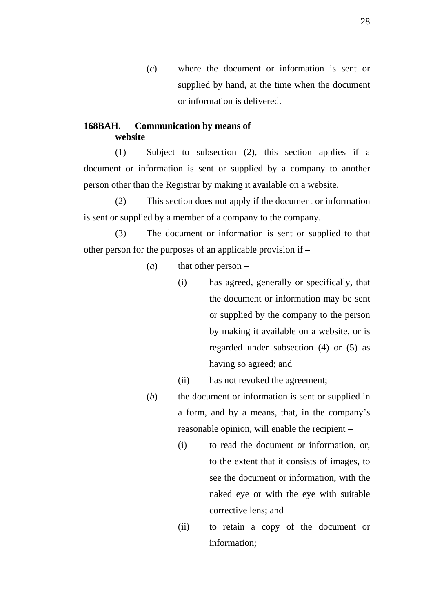(*c*) where the document or information is sent or supplied by hand, at the time when the document or information is delivered.

#### **168BAH. Communication by means of website**

(1) Subject to subsection (2), this section applies if a document or information is sent or supplied by a company to another person other than the Registrar by making it available on a website.

(2) This section does not apply if the document or information is sent or supplied by a member of a company to the company.

(3) The document or information is sent or supplied to that other person for the purposes of an applicable provision if –

- (*a*) that other person
	- (i) has agreed, generally or specifically, that the document or information may be sent or supplied by the company to the person by making it available on a website, or is regarded under subsection (4) or (5) as having so agreed; and
	- (ii) has not revoked the agreement;
- (*b*) the document or information is sent or supplied in a form, and by a means, that, in the company's reasonable opinion, will enable the recipient –
	- (i) to read the document or information, or, to the extent that it consists of images, to see the document or information, with the naked eye or with the eye with suitable corrective lens; and
	- (ii) to retain a copy of the document or information;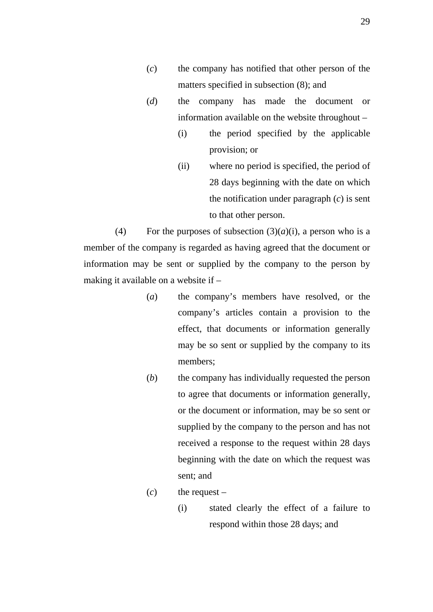- (*c*) the company has notified that other person of the matters specified in subsection (8); and
- (*d*) the company has made the document or information available on the website throughout –
	- (i) the period specified by the applicable provision; or
	- (ii) where no period is specified, the period of 28 days beginning with the date on which the notification under paragraph (*c*) is sent to that other person.

(4) For the purposes of subsection  $(3)(a)(i)$ , a person who is a member of the company is regarded as having agreed that the document or information may be sent or supplied by the company to the person by making it available on a website if –

- (*a*) the company's members have resolved, or the company's articles contain a provision to the effect, that documents or information generally may be so sent or supplied by the company to its members;
- (*b*) the company has individually requested the person to agree that documents or information generally, or the document or information, may be so sent or supplied by the company to the person and has not received a response to the request within 28 days beginning with the date on which the request was sent; and
- $(c)$  the request
	- (i) stated clearly the effect of a failure to respond within those 28 days; and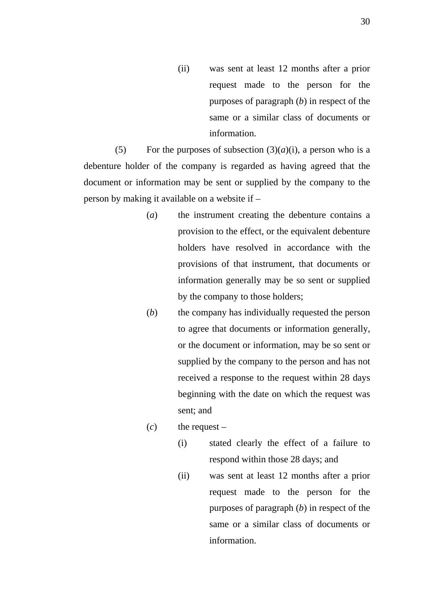(ii) was sent at least 12 months after a prior request made to the person for the purposes of paragraph (*b*) in respect of the same or a similar class of documents or information.

(5) For the purposes of subsection  $(3)(a)(i)$ , a person who is a debenture holder of the company is regarded as having agreed that the document or information may be sent or supplied by the company to the person by making it available on a website if –

- (*a*) the instrument creating the debenture contains a provision to the effect, or the equivalent debenture holders have resolved in accordance with the provisions of that instrument, that documents or information generally may be so sent or supplied by the company to those holders;
- (*b*) the company has individually requested the person to agree that documents or information generally, or the document or information, may be so sent or supplied by the company to the person and has not received a response to the request within 28 days beginning with the date on which the request was sent; and
- $(c)$  the request
	- (i) stated clearly the effect of a failure to respond within those 28 days; and
	- (ii) was sent at least 12 months after a prior request made to the person for the purposes of paragraph (*b*) in respect of the same or a similar class of documents or information.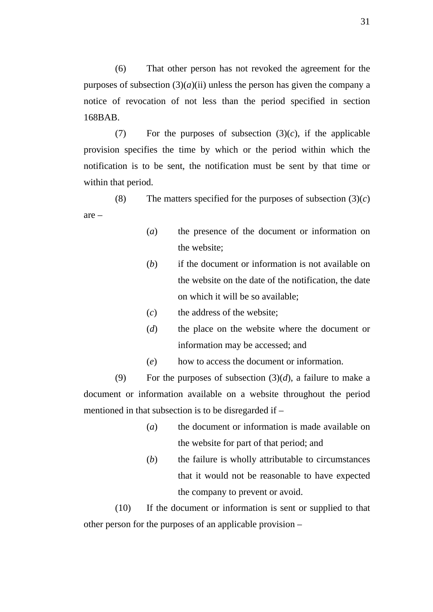(6) That other person has not revoked the agreement for the purposes of subsection  $(3)(a)(ii)$  unless the person has given the company a notice of revocation of not less than the period specified in section 168BAB.

(7) For the purposes of subsection  $(3)(c)$ , if the applicable provision specifies the time by which or the period within which the notification is to be sent, the notification must be sent by that time or within that period.

(8) The matters specified for the purposes of subsection (3)(*c*) are –

- (*a*) the presence of the document or information on the website;
- (*b*) if the document or information is not available on the website on the date of the notification, the date on which it will be so available;
- (*c*) the address of the website;
- (*d*) the place on the website where the document or information may be accessed; and
- (*e*) how to access the document or information.

(9) For the purposes of subsection (3)(*d*), a failure to make a document or information available on a website throughout the period mentioned in that subsection is to be disregarded if –

- (*a*) the document or information is made available on the website for part of that period; and
- (*b*) the failure is wholly attributable to circumstances that it would not be reasonable to have expected the company to prevent or avoid.

(10) If the document or information is sent or supplied to that other person for the purposes of an applicable provision –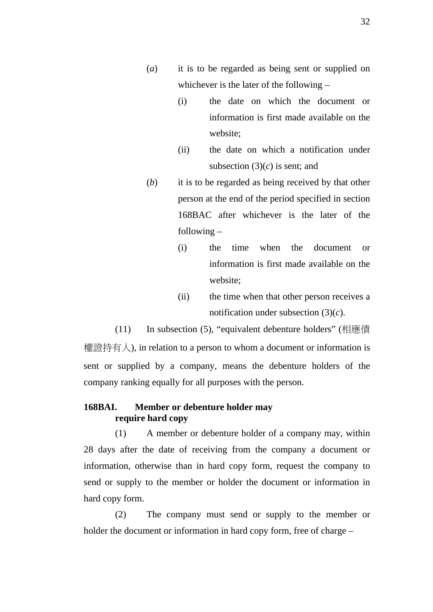- (*a*) it is to be regarded as being sent or supplied on whichever is the later of the following –
	- (i) the date on which the document or information is first made available on the website;
	- (ii) the date on which a notification under subsection  $(3)(c)$  is sent; and
- (*b*) it is to be regarded as being received by that other person at the end of the period specified in section 168BAC after whichever is the later of the following –
	- (i) the time when the document or information is first made available on the website;
	- (ii) the time when that other person receives a notification under subsection (3)(*c*).

(11) In subsection (5), "equivalent debenture holders" (相應債 權證持有人), in relation to a person to whom a document or information is sent or supplied by a company, means the debenture holders of the company ranking equally for all purposes with the person.

## **168BAI. Member or debenture holder may require hard copy**

(1) A member or debenture holder of a company may, within 28 days after the date of receiving from the company a document or information, otherwise than in hard copy form, request the company to send or supply to the member or holder the document or information in hard copy form.

(2) The company must send or supply to the member or holder the document or information in hard copy form, free of charge –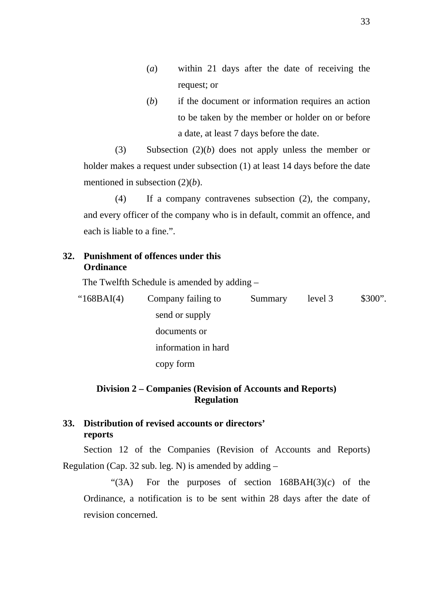- (*a*) within 21 days after the date of receiving the request; or
- (*b*) if the document or information requires an action to be taken by the member or holder on or before a date, at least 7 days before the date.

(3) Subsection (2)(*b*) does not apply unless the member or holder makes a request under subsection (1) at least 14 days before the date mentioned in subsection (2)(*b*).

(4) If a company contravenes subsection (2), the company, and every officer of the company who is in default, commit an offence, and each is liable to a fine.".

## **32. Punishment of offences under this Ordinance**

The Twelfth Schedule is amended by adding –

| " $168BAI(4)$ | Company failing to  | Summary | level 3 | \$300". |
|---------------|---------------------|---------|---------|---------|
|               | send or supply      |         |         |         |
|               | documents or        |         |         |         |
|               | information in hard |         |         |         |
|               | copy form           |         |         |         |

## **Division 2 – Companies (Revision of Accounts and Reports) Regulation**

## **33. Distribution of revised accounts or directors' reports**

Section 12 of the Companies (Revision of Accounts and Reports) Regulation (Cap. 32 sub. leg. N) is amended by adding –

" $(3A)$  For the purposes of section  $168BAH(3)(c)$  of the Ordinance, a notification is to be sent within 28 days after the date of revision concerned.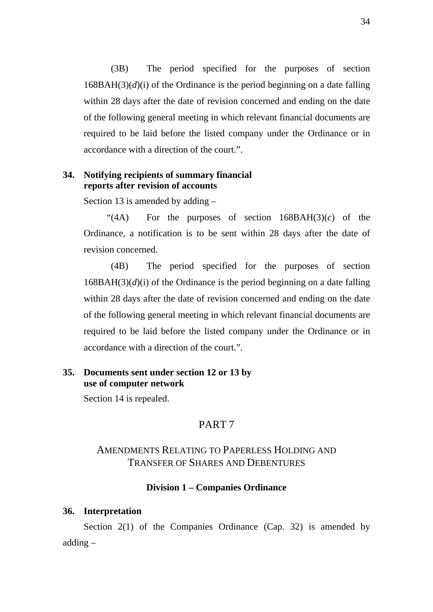(3B) The period specified for the purposes of section  $168BAH(3)(d)(i)$  of the Ordinance is the period beginning on a date falling within 28 days after the date of revision concerned and ending on the date of the following general meeting in which relevant financial documents are required to be laid before the listed company under the Ordinance or in accordance with a direction of the court.".

### **34. Notifying recipients of summary financial reports after revision of accounts**

Section 13 is amended by adding –

" $(4A)$  For the purposes of section  $168BAH(3)(c)$  of the Ordinance, a notification is to be sent within 28 days after the date of revision concerned.

(4B) The period specified for the purposes of section  $168BAH(3)(d)(i)$  of the Ordinance is the period beginning on a date falling within 28 days after the date of revision concerned and ending on the date of the following general meeting in which relevant financial documents are required to be laid before the listed company under the Ordinance or in accordance with a direction of the court."

### **35. Documents sent under section 12 or 13 by use of computer network**

Section 14 is repealed.

# PART 7

# AMENDMENTS RELATING TO PAPERLESS HOLDING AND TRANSFER OF SHARES AND DEBENTURES

#### **Division 1 – Companies Ordinance**

### **36. Interpretation**

Section 2(1) of the Companies Ordinance (Cap. 32) is amended by adding –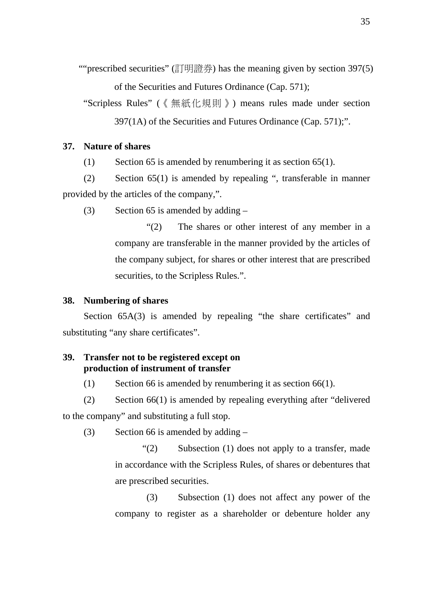""prescribed securities" (訂明證券) has the meaning given by section 397(5)

of the Securities and Futures Ordinance (Cap. 571);

"Scripless Rules" (《無紙化規則》) means rules made under section 397(1A) of the Securities and Futures Ordinance (Cap. 571);".

## **37. Nature of shares**

(1) Section 65 is amended by renumbering it as section 65(1).

(2) Section 65(1) is amended by repealing ", transferable in manner provided by the articles of the company,".

(3) Section 65 is amended by adding  $-$ 

"(2) The shares or other interest of any member in a company are transferable in the manner provided by the articles of the company subject, for shares or other interest that are prescribed securities, to the Scripless Rules.".

## **38. Numbering of shares**

Section 65A(3) is amended by repealing "the share certificates" and substituting "any share certificates".

## **39. Transfer not to be registered except on production of instrument of transfer**

(1) Section 66 is amended by renumbering it as section 66(1).

(2) Section 66(1) is amended by repealing everything after "delivered to the company" and substituting a full stop.

(3) Section 66 is amended by adding –

"(2) Subsection (1) does not apply to a transfer, made in accordance with the Scripless Rules, of shares or debentures that are prescribed securities.

(3) Subsection (1) does not affect any power of the company to register as a shareholder or debenture holder any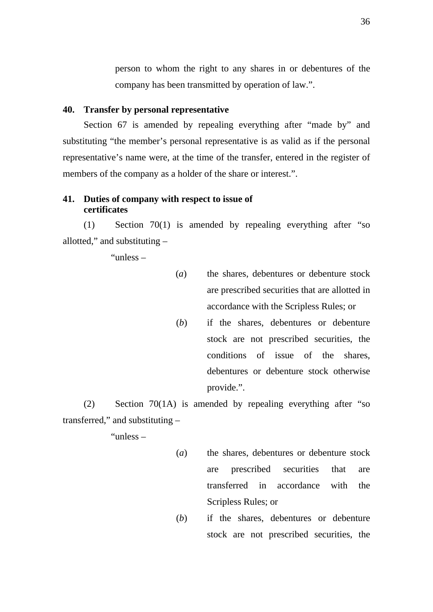person to whom the right to any shares in or debentures of the company has been transmitted by operation of law.".

### **40. Transfer by personal representative**

Section 67 is amended by repealing everything after "made by" and substituting "the member's personal representative is as valid as if the personal representative's name were, at the time of the transfer, entered in the register of members of the company as a holder of the share or interest.".

### **41. Duties of company with respect to issue of certificates**

(1) Section 70(1) is amended by repealing everything after "so allotted," and substituting –

"unless –

- (*a*) the shares, debentures or debenture stock are prescribed securities that are allotted in accordance with the Scripless Rules; or
	- (*b*) if the shares, debentures or debenture stock are not prescribed securities, the conditions of issue of the shares, debentures or debenture stock otherwise provide.".

(2) Section 70(1A) is amended by repealing everything after "so transferred," and substituting –

"unless –

- (*a*) the shares, debentures or debenture stock are prescribed securities that are transferred in accordance with the Scripless Rules; or
- (*b*) if the shares, debentures or debenture stock are not prescribed securities, the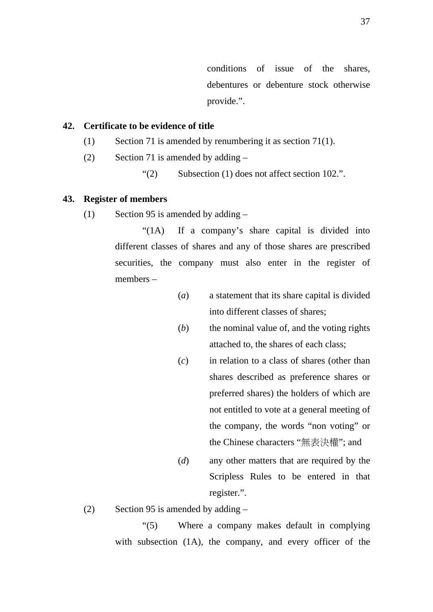conditions of issue of the shares, debentures or debenture stock otherwise provide.".

### **42. Certificate to be evidence of title**

- (1) Section 71 is amended by renumbering it as section 71(1).
- (2) Section 71 is amended by adding
	- "(2) Subsection (1) does not affect section 102.".

#### **43. Register of members**

(1) Section 95 is amended by adding –

"(1A) If a company's share capital is divided into different classes of shares and any of those shares are prescribed securities, the company must also enter in the register of members –

- (*a*) a statement that its share capital is divided into different classes of shares;
- (*b*) the nominal value of, and the voting rights attached to, the shares of each class;
- (*c*) in relation to a class of shares (other than shares described as preference shares or preferred shares) the holders of which are not entitled to vote at a general meeting of the company, the words "non voting" or the Chinese characters "無表決權"; and
- (*d*) any other matters that are required by the Scripless Rules to be entered in that register.".

(2) Section 95 is amended by adding –

"(5) Where a company makes default in complying with subsection (1A), the company, and every officer of the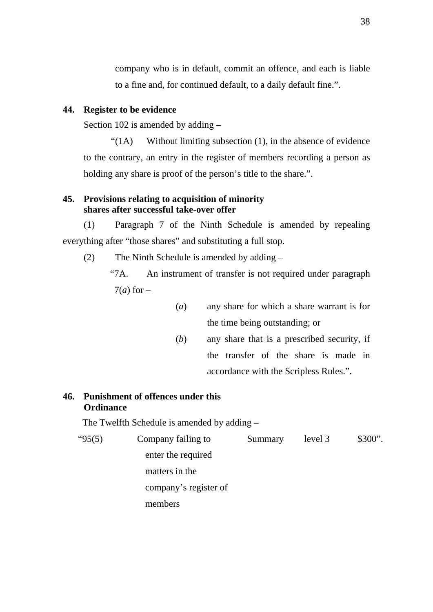company who is in default, commit an offence, and each is liable to a fine and, for continued default, to a daily default fine.".

#### **44. Register to be evidence**

Section 102 is amended by adding –

 $\mathcal{L}(1)$  Without limiting subsection (1), in the absence of evidence to the contrary, an entry in the register of members recording a person as holding any share is proof of the person's title to the share.".

### **45. Provisions relating to acquisition of minority shares after successful take-over offer**

(1) Paragraph 7 of the Ninth Schedule is amended by repealing everything after "those shares" and substituting a full stop.

(2) The Ninth Schedule is amended by adding –

"7A. An instrument of transfer is not required under paragraph  $7(a)$  for  $-$ 

- (*a*) any share for which a share warrant is for the time being outstanding; or
- (*b*) any share that is a prescribed security, if the transfer of the share is made in accordance with the Scripless Rules.".

# **46. Punishment of offences under this Ordinance**

The Twelfth Schedule is amended by adding –

| " $95(5)$ | Company failing to    | Summary | level 3 | \$300". |
|-----------|-----------------------|---------|---------|---------|
|           | enter the required    |         |         |         |
|           | matters in the        |         |         |         |
|           | company's register of |         |         |         |
|           | members               |         |         |         |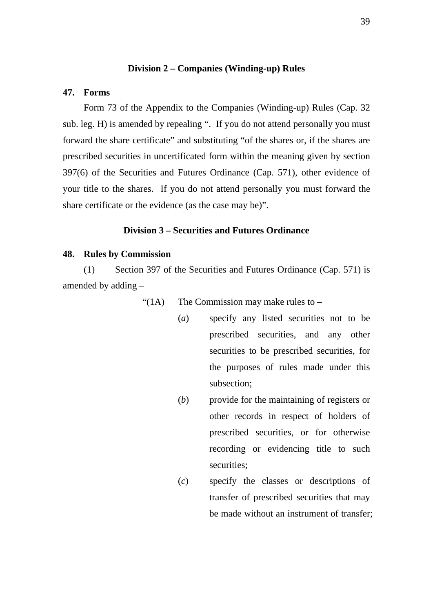#### **Division 2 – Companies (Winding-up) Rules**

#### **47. Forms**

Form 73 of the Appendix to the Companies (Winding-up) Rules (Cap. 32 sub. leg. H) is amended by repealing ". If you do not attend personally you must forward the share certificate" and substituting "of the shares or, if the shares are prescribed securities in uncertificated form within the meaning given by section 397(6) of the Securities and Futures Ordinance (Cap. 571), other evidence of your title to the shares. If you do not attend personally you must forward the share certificate or the evidence (as the case may be)".

### **Division 3 – Securities and Futures Ordinance**

### **48. Rules by Commission**

(1) Section 397 of the Securities and Futures Ordinance (Cap. 571) is amended by adding –

" $(1A)$  The Commission may make rules to –

- (*a*) specify any listed securities not to be prescribed securities, and any other securities to be prescribed securities, for the purposes of rules made under this subsection;
- (*b*) provide for the maintaining of registers or other records in respect of holders of prescribed securities, or for otherwise recording or evidencing title to such securities;
- (*c*) specify the classes or descriptions of transfer of prescribed securities that may be made without an instrument of transfer;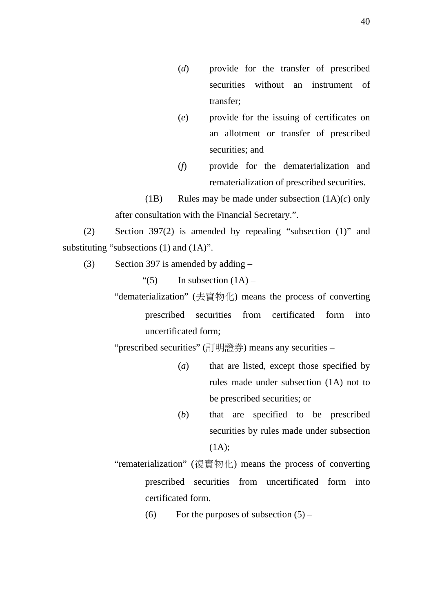- (*d*) provide for the transfer of prescribed securities without an instrument of transfer;
- (*e*) provide for the issuing of certificates on an allotment or transfer of prescribed securities; and
- (*f*) provide for the dematerialization and rematerialization of prescribed securities.

(1B) Rules may be made under subsection (1A)(*c*) only after consultation with the Financial Secretary.".

(2) Section 397(2) is amended by repealing "subsection (1)" and substituting "subsections (1) and (1A)".

(3) Section 397 is amended by adding –

"(5) In subsection  $(1A)$  –

"dematerialization" (去實物化) means the process of converting prescribed securities from certificated form into uncertificated form;

"prescribed securities" (訂明證券) means any securities –

- (*a*) that are listed, except those specified by rules made under subsection (1A) not to be prescribed securities; or
- (*b*) that are specified to be prescribed securities by rules made under subsection  $(1A);$
- "rematerialization" (復實物化) means the process of converting prescribed securities from uncertificated form into certificated form.
	- (6) For the purposes of subsection  $(5)$  –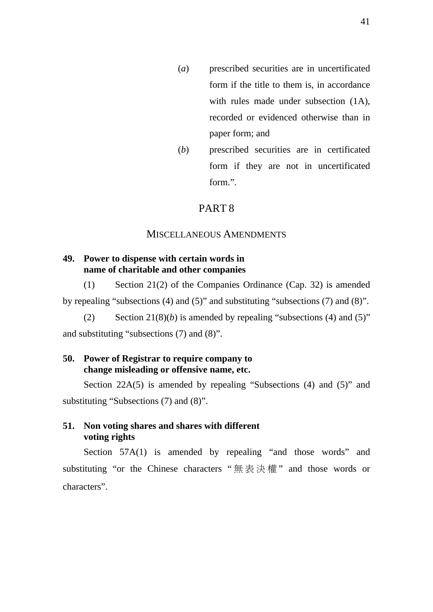- (*a*) prescribed securities are in uncertificated form if the title to them is, in accordance with rules made under subsection (1A), recorded or evidenced otherwise than in paper form; and
- (*b*) prescribed securities are in certificated form if they are not in uncertificated form".

### PART 8

#### MISCELLANEOUS AMENDMENTS

### **49. Power to dispense with certain words in name of charitable and other companies**

(1) Section 21(2) of the Companies Ordinance (Cap. 32) is amended by repealing "subsections (4) and (5)" and substituting "subsections (7) and (8)".

(2) Section  $21(8)(b)$  is amended by repealing "subsections (4) and (5)" and substituting "subsections (7) and (8)".

## **50. Power of Registrar to require company to change misleading or offensive name, etc.**

Section 22A(5) is amended by repealing "Subsections (4) and (5)" and substituting "Subsections (7) and (8)".

### **51. Non voting shares and shares with different voting rights**

Section 57A(1) is amended by repealing "and those words" and substituting "or the Chinese characters " 無表決權 " and those words or characters".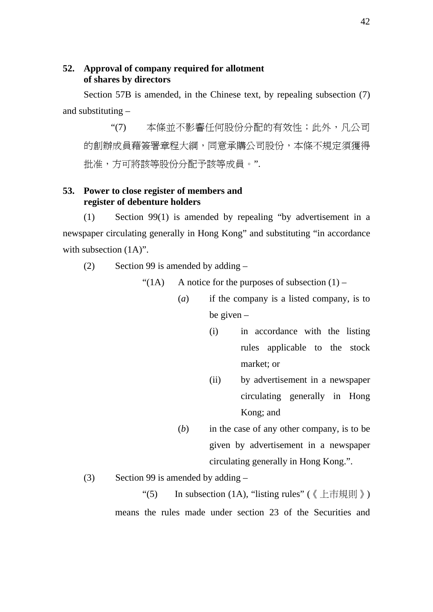## **52. Approval of company required for allotment of shares by directors**

Section 57B is amended, in the Chinese text, by repealing subsection (7) and substituting –

"(7) 本條並不影響任何股份分配的有效性;此外,凡公司 的創辦成員藉簽署章程大綱,同意承購公司股份,本條不規定須獲得 批准,方可將該等股份分配予該等成員。".

## **53. Power to close register of members and register of debenture holders**

(1) Section 99(1) is amended by repealing "by advertisement in a newspaper circulating generally in Hong Kong" and substituting "in accordance with subsection  $(1A)$ ".

(2) Section 99 is amended by adding –

"(1A) A notice for the purposes of subsection  $(1)$  –

- (*a*) if the company is a listed company, is to be given –
	- (i) in accordance with the listing rules applicable to the stock market; or
	- (ii) by advertisement in a newspaper circulating generally in Hong Kong; and
- (*b*) in the case of any other company, is to be given by advertisement in a newspaper circulating generally in Hong Kong.".

(3) Section 99 is amended by adding  $-$ 

"(5) In subsection (1A), "listing rules" (《上市規則》) means the rules made under section 23 of the Securities and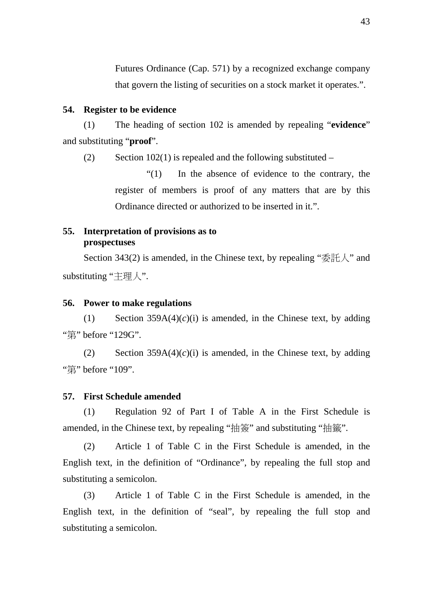Futures Ordinance (Cap. 571) by a recognized exchange company that govern the listing of securities on a stock market it operates.".

### **54. Register to be evidence**

(1) The heading of section 102 is amended by repealing "**evidence**" and substituting "**proof**".

(2) Section 102(1) is repealed and the following substituted –

"(1) In the absence of evidence to the contrary, the register of members is proof of any matters that are by this Ordinance directed or authorized to be inserted in it.".

### **55. Interpretation of provisions as to prospectuses**

Section 343(2) is amended, in the Chinese text, by repealing "委託人" and substituting "主理人".

### **56. Power to make regulations**

(1) Section  $359A(4)(c)(i)$  is amended, in the Chinese text, by adding "第" before "129G".

(2) Section  $359A(4)(c)(i)$  is amended, in the Chinese text, by adding "第" before "109".

#### **57. First Schedule amended**

(1) Regulation 92 of Part I of Table A in the First Schedule is amended, in the Chinese text, by repealing "抽簽" and substituting "抽籤".

(2) Article 1 of Table C in the First Schedule is amended, in the English text, in the definition of "Ordinance", by repealing the full stop and substituting a semicolon.

(3) Article 1 of Table C in the First Schedule is amended, in the English text, in the definition of "seal", by repealing the full stop and substituting a semicolon.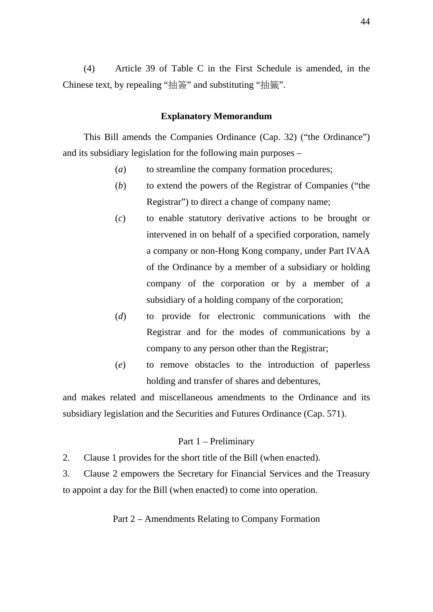(4) Article 39 of Table C in the First Schedule is amended, in the Chinese text, by repealing "抽簽" and substituting "抽籤".

#### **Explanatory Memorandum**

This Bill amends the Companies Ordinance (Cap. 32) ("the Ordinance") and its subsidiary legislation for the following main purposes –

- (*a*) to streamline the company formation procedures;
- (*b*) to extend the powers of the Registrar of Companies ("the Registrar") to direct a change of company name;
- (*c*) to enable statutory derivative actions to be brought or intervened in on behalf of a specified corporation, namely a company or non-Hong Kong company, under Part IVAA of the Ordinance by a member of a subsidiary or holding company of the corporation or by a member of a subsidiary of a holding company of the corporation;
- (*d*) to provide for electronic communications with the Registrar and for the modes of communications by a company to any person other than the Registrar;
- (*e*) to remove obstacles to the introduction of paperless holding and transfer of shares and debentures,

and makes related and miscellaneous amendments to the Ordinance and its subsidiary legislation and the Securities and Futures Ordinance (Cap. 571).

#### Part 1 – Preliminary

2. Clause 1 provides for the short title of the Bill (when enacted).

3. Clause 2 empowers the Secretary for Financial Services and the Treasury to appoint a day for the Bill (when enacted) to come into operation.

Part 2 – Amendments Relating to Company Formation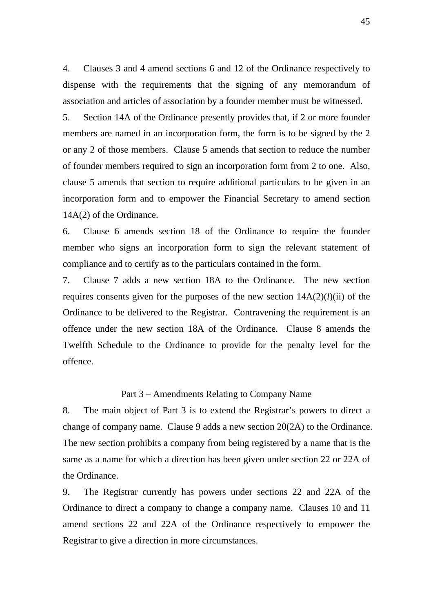4. Clauses 3 and 4 amend sections 6 and 12 of the Ordinance respectively to dispense with the requirements that the signing of any memorandum of association and articles of association by a founder member must be witnessed.

5. Section 14A of the Ordinance presently provides that, if 2 or more founder members are named in an incorporation form, the form is to be signed by the 2 or any 2 of those members. Clause 5 amends that section to reduce the number of founder members required to sign an incorporation form from 2 to one. Also, clause 5 amends that section to require additional particulars to be given in an incorporation form and to empower the Financial Secretary to amend section 14A(2) of the Ordinance.

6. Clause 6 amends section 18 of the Ordinance to require the founder member who signs an incorporation form to sign the relevant statement of compliance and to certify as to the particulars contained in the form.

7. Clause 7 adds a new section 18A to the Ordinance. The new section requires consents given for the purposes of the new section 14A(2)(*l*)(ii) of the Ordinance to be delivered to the Registrar. Contravening the requirement is an offence under the new section 18A of the Ordinance. Clause 8 amends the Twelfth Schedule to the Ordinance to provide for the penalty level for the offence.

#### Part 3 – Amendments Relating to Company Name

8. The main object of Part 3 is to extend the Registrar's powers to direct a change of company name. Clause 9 adds a new section 20(2A) to the Ordinance. The new section prohibits a company from being registered by a name that is the same as a name for which a direction has been given under section 22 or 22A of the Ordinance.

9. The Registrar currently has powers under sections 22 and 22A of the Ordinance to direct a company to change a company name. Clauses 10 and 11 amend sections 22 and 22A of the Ordinance respectively to empower the Registrar to give a direction in more circumstances.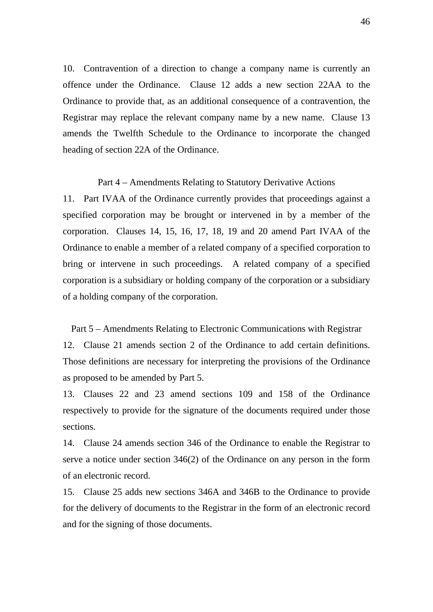10. Contravention of a direction to change a company name is currently an offence under the Ordinance. Clause 12 adds a new section 22AA to the Ordinance to provide that, as an additional consequence of a contravention, the Registrar may replace the relevant company name by a new name. Clause 13 amends the Twelfth Schedule to the Ordinance to incorporate the changed heading of section 22A of the Ordinance.

Part 4 – Amendments Relating to Statutory Derivative Actions

11. Part IVAA of the Ordinance currently provides that proceedings against a specified corporation may be brought or intervened in by a member of the corporation. Clauses 14, 15, 16, 17, 18, 19 and 20 amend Part IVAA of the Ordinance to enable a member of a related company of a specified corporation to bring or intervene in such proceedings. A related company of a specified corporation is a subsidiary or holding company of the corporation or a subsidiary of a holding company of the corporation.

Part 5 – Amendments Relating to Electronic Communications with Registrar 12. Clause 21 amends section 2 of the Ordinance to add certain definitions. Those definitions are necessary for interpreting the provisions of the Ordinance as proposed to be amended by Part 5.

13. Clauses 22 and 23 amend sections 109 and 158 of the Ordinance respectively to provide for the signature of the documents required under those sections.

14. Clause 24 amends section 346 of the Ordinance to enable the Registrar to serve a notice under section 346(2) of the Ordinance on any person in the form of an electronic record.

15. Clause 25 adds new sections 346A and 346B to the Ordinance to provide for the delivery of documents to the Registrar in the form of an electronic record and for the signing of those documents.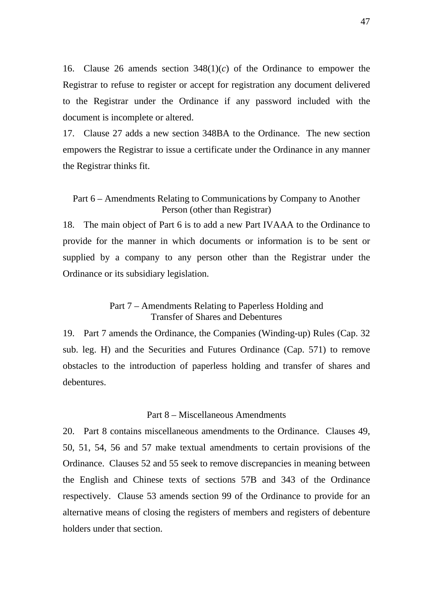16. Clause 26 amends section 348(1)(*c*) of the Ordinance to empower the Registrar to refuse to register or accept for registration any document delivered to the Registrar under the Ordinance if any password included with the document is incomplete or altered.

17. Clause 27 adds a new section 348BA to the Ordinance. The new section empowers the Registrar to issue a certificate under the Ordinance in any manner the Registrar thinks fit.

### Part 6 – Amendments Relating to Communications by Company to Another Person (other than Registrar)

18. The main object of Part 6 is to add a new Part IVAAA to the Ordinance to provide for the manner in which documents or information is to be sent or supplied by a company to any person other than the Registrar under the Ordinance or its subsidiary legislation.

### Part 7 – Amendments Relating to Paperless Holding and Transfer of Shares and Debentures

19. Part 7 amends the Ordinance, the Companies (Winding-up) Rules (Cap. 32 sub. leg. H) and the Securities and Futures Ordinance (Cap. 571) to remove obstacles to the introduction of paperless holding and transfer of shares and debentures.

#### Part 8 – Miscellaneous Amendments

20. Part 8 contains miscellaneous amendments to the Ordinance. Clauses 49, 50, 51, 54, 56 and 57 make textual amendments to certain provisions of the Ordinance. Clauses 52 and 55 seek to remove discrepancies in meaning between the English and Chinese texts of sections 57B and 343 of the Ordinance respectively. Clause 53 amends section 99 of the Ordinance to provide for an alternative means of closing the registers of members and registers of debenture holders under that section.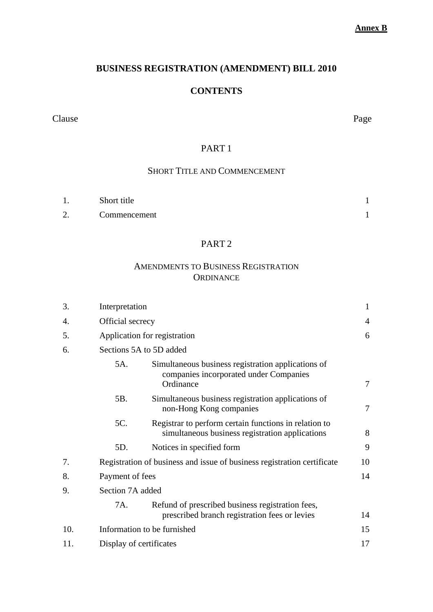#### **Annex B**

## **BUSINESS REGISTRATION (AMENDMENT) BILL 2010**

# **CONTENTS**

Clause Page

## PART 1

## SHORT TITLE AND COMMENCEMENT

|                        | Short title  |  |
|------------------------|--------------|--|
| $\bigcirc$<br><u>L</u> | Commencement |  |

## PART 2

### AMENDMENTS TO BUSINESS REGISTRATION **ORDINANCE**

| 3.  | Interpretation          |                                                                                                           | $\mathbf{1}$   |
|-----|-------------------------|-----------------------------------------------------------------------------------------------------------|----------------|
| 4.  | Official secrecy        |                                                                                                           | $\overline{4}$ |
| 5.  |                         | Application for registration                                                                              | 6              |
| 6.  |                         | Sections 5A to 5D added                                                                                   |                |
|     | 5A.                     | Simultaneous business registration applications of<br>companies incorporated under Companies<br>Ordinance | $\tau$         |
|     | 5B.                     | Simultaneous business registration applications of<br>non-Hong Kong companies                             | 7              |
|     | 5C.                     | Registrar to perform certain functions in relation to<br>simultaneous business registration applications  | 8              |
|     | 5D.                     | Notices in specified form                                                                                 | 9              |
| 7.  |                         | Registration of business and issue of business registration certificate                                   | 10             |
| 8.  | Payment of fees         |                                                                                                           | 14             |
| 9.  | Section 7A added        |                                                                                                           |                |
|     | 7A.                     | Refund of prescribed business registration fees,<br>prescribed branch registration fees or levies         | 14             |
| 10. |                         | Information to be furnished                                                                               | 15             |
| 11. | Display of certificates |                                                                                                           | 17             |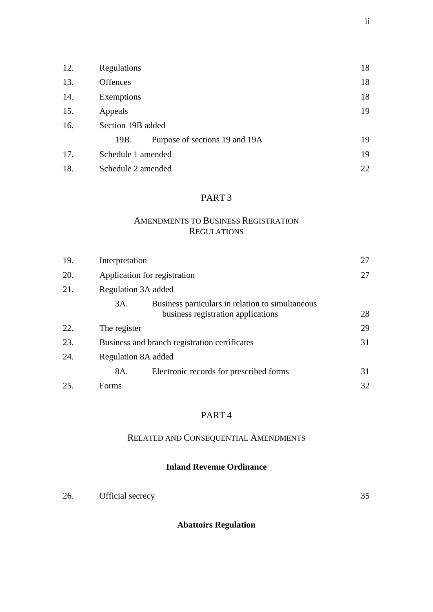| 12. | Regulations                            | 18 |
|-----|----------------------------------------|----|
| 13. | <b>Offences</b>                        | 18 |
| 14. | Exemptions                             | 18 |
| 15. | Appeals                                | 19 |
| 16. | Section 19B added                      |    |
|     | Purpose of sections 19 and 19A<br>19B. | 19 |
| 17. | Schedule 1 amended                     | 19 |
| 18. | Schedule 2 amended                     | 22 |

# PART 3

## AMENDMENTS TO BUSINESS REGISTRATION **REGULATIONS**

| 19. | Interpretation               |                                                                                        | 27 |
|-----|------------------------------|----------------------------------------------------------------------------------------|----|
| 20. | Application for registration |                                                                                        | 27 |
| 21. | Regulation 3A added          |                                                                                        |    |
|     | 3A.                          | Business particulars in relation to simultaneous<br>business registration applications | 28 |
| 22. | The register                 |                                                                                        | 29 |
| 23. |                              | Business and branch registration certificates                                          | 31 |
| 24. | Regulation 8A added          |                                                                                        |    |
|     | 8A.                          | Electronic records for prescribed forms                                                | 31 |
| 25. | Forms                        |                                                                                        | 32 |

## PART 4

# RELATED AND CONSEQUENTIAL AMENDMENTS

### **Inland Revenue Ordinance**

| 26. | Official secrecy | 35 |
|-----|------------------|----|
|     |                  |    |

**Abattoirs Regulation**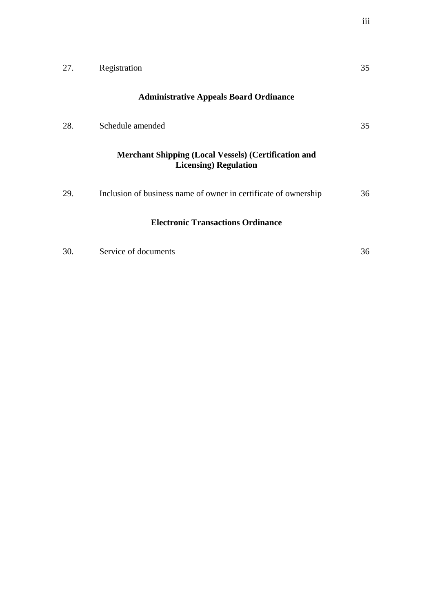| 27. | Registration                                                                                 | 35 |
|-----|----------------------------------------------------------------------------------------------|----|
|     | <b>Administrative Appeals Board Ordinance</b>                                                |    |
| 28. | Schedule amended                                                                             | 35 |
|     | <b>Merchant Shipping (Local Vessels) (Certification and</b><br><b>Licensing</b> ) Regulation |    |
| 29. | Inclusion of business name of owner in certificate of ownership                              | 36 |
|     | <b>Electronic Transactions Ordinance</b>                                                     |    |
| 30. | Service of documents                                                                         | 36 |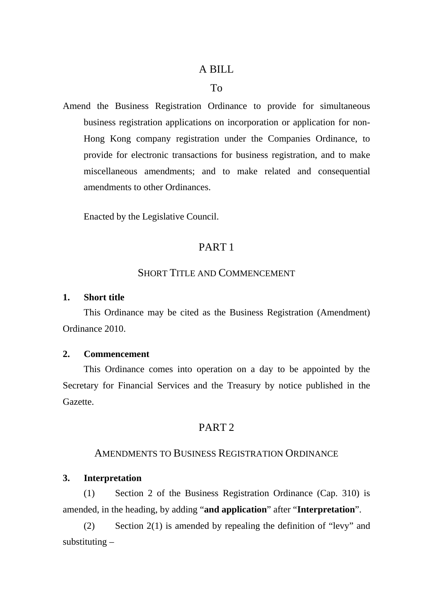## A BILL

#### To

Amend the Business Registration Ordinance to provide for simultaneous business registration applications on incorporation or application for non-Hong Kong company registration under the Companies Ordinance, to provide for electronic transactions for business registration, and to make miscellaneous amendments; and to make related and consequential amendments to other Ordinances.

Enacted by the Legislative Council.

## PART 1

## SHORT TITLE AND COMMENCEMENT

#### **1. Short title**

This Ordinance may be cited as the Business Registration (Amendment) Ordinance 2010.

### **2. Commencement**

This Ordinance comes into operation on a day to be appointed by the Secretary for Financial Services and the Treasury by notice published in the Gazette.

## PART 2

#### AMENDMENTS TO BUSINESS REGISTRATION ORDINANCE

#### **3. Interpretation**

(1) Section 2 of the Business Registration Ordinance (Cap. 310) is amended, in the heading, by adding "**and application**" after "**Interpretation**".

(2) Section 2(1) is amended by repealing the definition of "levy" and substituting –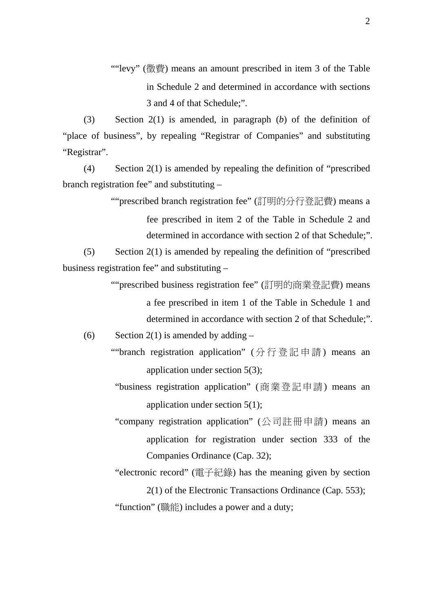""levy" (徵費) means an amount prescribed in item 3 of the Table in Schedule 2 and determined in accordance with sections 3 and 4 of that Schedule;".

(3) Section 2(1) is amended, in paragraph (*b*) of the definition of "place of business", by repealing "Registrar of Companies" and substituting "Registrar".

(4) Section 2(1) is amended by repealing the definition of "prescribed branch registration fee" and substituting –

""prescribed branch registration fee" (訂明的分行登記費) means a

fee prescribed in item 2 of the Table in Schedule 2 and determined in accordance with section 2 of that Schedule;".

(5) Section 2(1) is amended by repealing the definition of "prescribed business registration fee" and substituting –

""prescribed business registration fee" (訂明的商業登記費) means

a fee prescribed in item 1 of the Table in Schedule 1 and determined in accordance with section 2 of that Schedule;".

(6) Section 2(1) is amended by adding  $-$ 

""branch registration application" ( 分行登記申請 ) means an application under section 5(3);

"business registration application" (商業登記申請) means an application under section 5(1);

"company registration application" (公司註冊申請) means an application for registration under section 333 of the Companies Ordinance (Cap. 32);

"electronic record" (電子紀錄) has the meaning given by section 2(1) of the Electronic Transactions Ordinance (Cap. 553); "function" (職能) includes a power and a duty;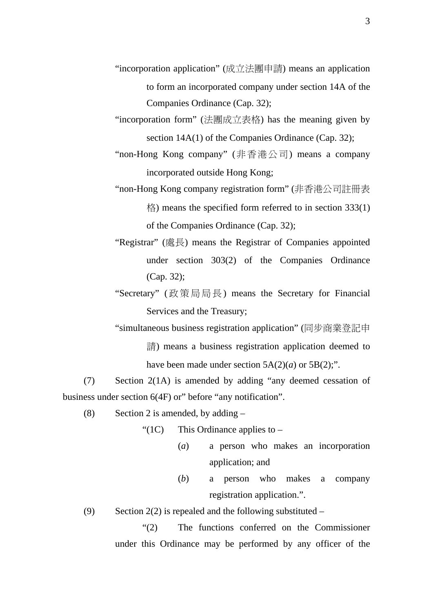- "incorporation application" (成立法團申請) means an application to form an incorporated company under section 14A of the Companies Ordinance (Cap. 32);
- "incorporation form" (法團成立表格) has the meaning given by section 14A(1) of the Companies Ordinance (Cap. 32);
- "non-Hong Kong company" (非香港公司) means a company incorporated outside Hong Kong;
- "non-Hong Kong company registration form" (非香港公司註冊表 格) means the specified form referred to in section  $333(1)$ of the Companies Ordinance (Cap. 32);
- "Registrar" (處長) means the Registrar of Companies appointed under section 303(2) of the Companies Ordinance (Cap. 32);
- "Secretary" (政策局局長) means the Secretary for Financial Services and the Treasury;
- "simultaneous business registration application" (同步商業登記申 請) means a business registration application deemed to have been made under section  $5A(2)(a)$  or  $5B(2)$ ;".

(7) Section 2(1A) is amended by adding "any deemed cessation of business under section 6(4F) or" before "any notification".

- (8) Section 2 is amended, by adding  $-$ 
	- "(1C) This Ordinance applies to  $-$ 
		- (*a*) a person who makes an incorporation application; and
		- (*b*) a person who makes a company registration application.".
- (9) Section 2(2) is repealed and the following substituted –

"(2) The functions conferred on the Commissioner under this Ordinance may be performed by any officer of the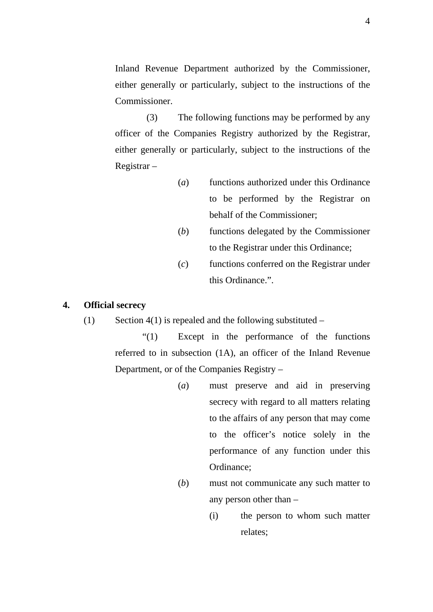Inland Revenue Department authorized by the Commissioner, either generally or particularly, subject to the instructions of the Commissioner.

(3) The following functions may be performed by any officer of the Companies Registry authorized by the Registrar, either generally or particularly, subject to the instructions of the Registrar –

- (*a*) functions authorized under this Ordinance to be performed by the Registrar on behalf of the Commissioner;
- (*b*) functions delegated by the Commissioner to the Registrar under this Ordinance;
- (*c*) functions conferred on the Registrar under this Ordinance.".

#### **4. Official secrecy**

(1) Section 4(1) is repealed and the following substituted –

"(1) Except in the performance of the functions referred to in subsection (1A), an officer of the Inland Revenue Department, or of the Companies Registry –

- (*a*) must preserve and aid in preserving secrecy with regard to all matters relating to the affairs of any person that may come to the officer's notice solely in the performance of any function under this Ordinance;
- (*b*) must not communicate any such matter to any person other than –
	- (i) the person to whom such matter relates;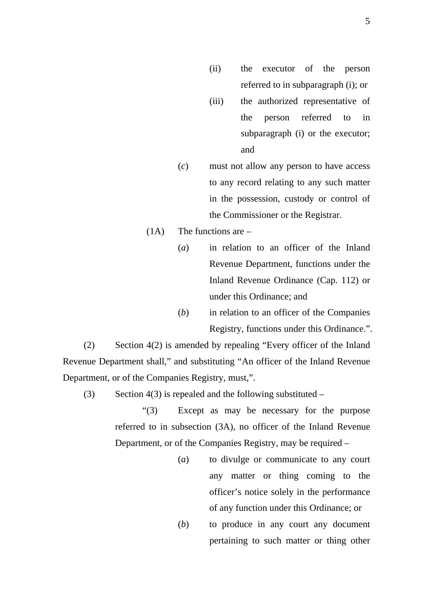- (ii) the executor of the person referred to in subparagraph (i); or
- (iii) the authorized representative of the person referred to in subparagraph (i) or the executor; and
- (*c*) must not allow any person to have access to any record relating to any such matter in the possession, custody or control of the Commissioner or the Registrar.

#### $(1A)$  The functions are –

- (*a*) in relation to an officer of the Inland Revenue Department, functions under the Inland Revenue Ordinance (Cap. 112) or under this Ordinance; and
- (*b*) in relation to an officer of the Companies Registry, functions under this Ordinance.".

(2) Section 4(2) is amended by repealing "Every officer of the Inland Revenue Department shall," and substituting "An officer of the Inland Revenue Department, or of the Companies Registry, must,".

(3) Section 4(3) is repealed and the following substituted –

"(3) Except as may be necessary for the purpose referred to in subsection (3A), no officer of the Inland Revenue Department, or of the Companies Registry, may be required –

- (*a*) to divulge or communicate to any court any matter or thing coming to the officer's notice solely in the performance of any function under this Ordinance; or
- (*b*) to produce in any court any document pertaining to such matter or thing other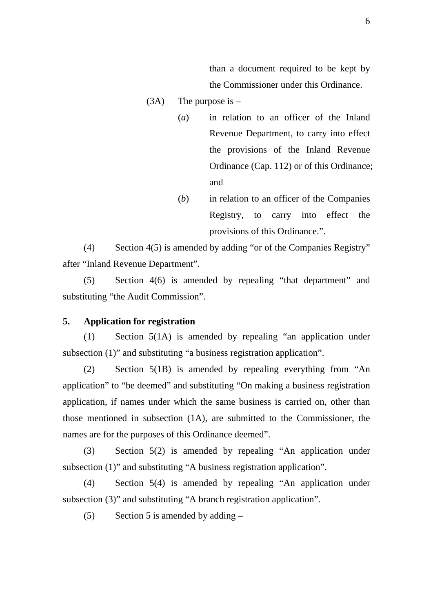than a document required to be kept by the Commissioner under this Ordinance.

#### $(3A)$  The purpose is –

- (*a*) in relation to an officer of the Inland Revenue Department, to carry into effect the provisions of the Inland Revenue Ordinance (Cap. 112) or of this Ordinance; and
- (*b*) in relation to an officer of the Companies Registry, to carry into effect the provisions of this Ordinance.".

(4) Section 4(5) is amended by adding "or of the Companies Registry" after "Inland Revenue Department".

(5) Section 4(6) is amended by repealing "that department" and substituting "the Audit Commission".

#### **5. Application for registration**

(1) Section 5(1A) is amended by repealing "an application under subsection (1)" and substituting "a business registration application".

(2) Section 5(1B) is amended by repealing everything from "An application" to "be deemed" and substituting "On making a business registration application, if names under which the same business is carried on, other than those mentioned in subsection (1A), are submitted to the Commissioner, the names are for the purposes of this Ordinance deemed".

(3) Section 5(2) is amended by repealing "An application under subsection (1)" and substituting "A business registration application".

(4) Section 5(4) is amended by repealing "An application under subsection (3)" and substituting "A branch registration application".

(5) Section 5 is amended by adding  $-$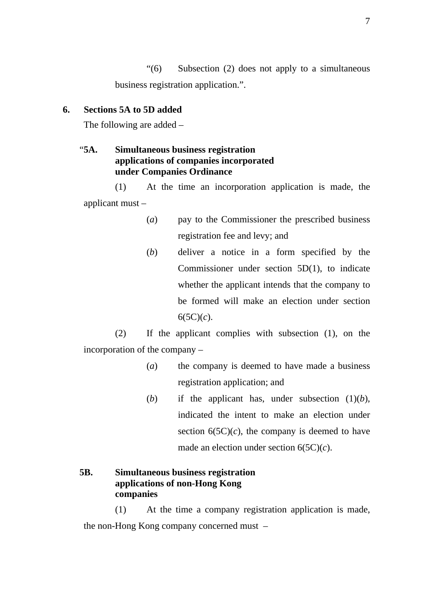"(6) Subsection (2) does not apply to a simultaneous business registration application.".

### **6. Sections 5A to 5D added**

The following are added –

## "**5A. Simultaneous business registration applications of companies incorporated under Companies Ordinance**

(1) At the time an incorporation application is made, the applicant must –

- (*a*) pay to the Commissioner the prescribed business registration fee and levy; and
- (*b*) deliver a notice in a form specified by the Commissioner under section 5D(1), to indicate whether the applicant intends that the company to be formed will make an election under section  $6(5C)(c)$ .

(2) If the applicant complies with subsection (1), on the incorporation of the company –

- (*a*) the company is deemed to have made a business registration application; and
- (*b*) if the applicant has, under subsection  $(1)(b)$ , indicated the intent to make an election under section  $6(5C)(c)$ , the company is deemed to have made an election under section 6(5C)(*c*).

## **5B. Simultaneous business registration applications of non-Hong Kong companies**

(1) At the time a company registration application is made, the non-Hong Kong company concerned must –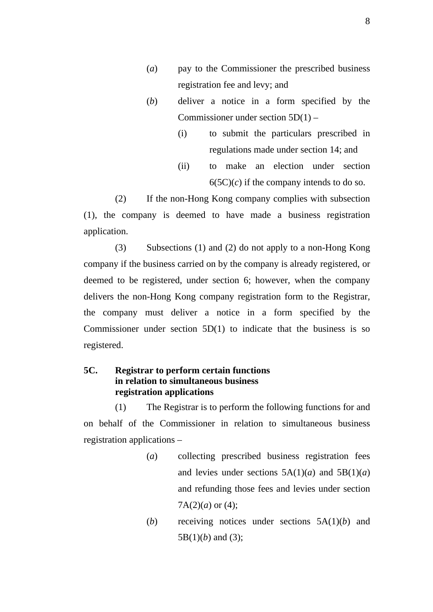- (*a*) pay to the Commissioner the prescribed business registration fee and levy; and
- (*b*) deliver a notice in a form specified by the Commissioner under section 5D(1) –
	- (i) to submit the particulars prescribed in regulations made under section 14; and
	- (ii) to make an election under section  $6(5C)(c)$  if the company intends to do so.

(2) If the non-Hong Kong company complies with subsection (1), the company is deemed to have made a business registration application.

(3) Subsections (1) and (2) do not apply to a non-Hong Kong company if the business carried on by the company is already registered, or deemed to be registered, under section 6; however, when the company delivers the non-Hong Kong company registration form to the Registrar, the company must deliver a notice in a form specified by the Commissioner under section 5D(1) to indicate that the business is so registered.

## **5C. Registrar to perform certain functions in relation to simultaneous business registration applications**

(1) The Registrar is to perform the following functions for and on behalf of the Commissioner in relation to simultaneous business registration applications –

- (*a*) collecting prescribed business registration fees and levies under sections  $5A(1)(a)$  and  $5B(1)(a)$ and refunding those fees and levies under section  $7A(2)(a)$  or  $(4)$ ;
- (*b*) receiving notices under sections 5A(1)(*b*) and 5B(1)(*b*) and (3);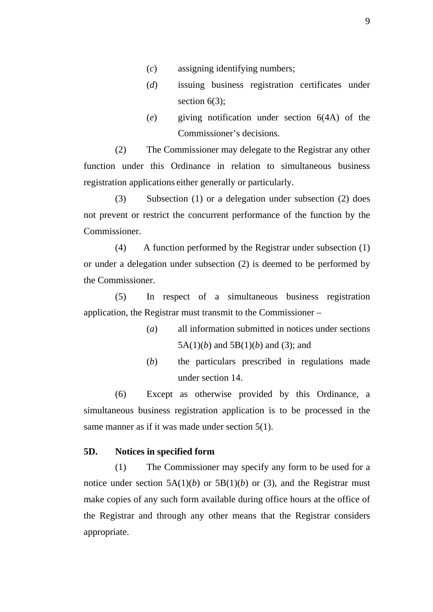- (*c*) assigning identifying numbers;
- (*d*) issuing business registration certificates under section 6(3);
- (*e*) giving notification under section 6(4A) of the Commissioner's decisions.

(2) The Commissioner may delegate to the Registrar any other function under this Ordinance in relation to simultaneous business registration applications either generally or particularly.

(3) Subsection (1) or a delegation under subsection (2) does not prevent or restrict the concurrent performance of the function by the Commissioner.

(4) A function performed by the Registrar under subsection (1) or under a delegation under subsection (2) is deemed to be performed by the Commissioner.

(5) In respect of a simultaneous business registration application, the Registrar must transmit to the Commissioner –

- (*a*) all information submitted in notices under sections 5A(1)(*b*) and 5B(1)(*b*) and (3); and
- (*b*) the particulars prescribed in regulations made under section 14.

(6) Except as otherwise provided by this Ordinance, a simultaneous business registration application is to be processed in the same manner as if it was made under section 5(1).

#### **5D. Notices in specified form**

(1) The Commissioner may specify any form to be used for a notice under section  $5A(1)(b)$  or  $5B(1)(b)$  or (3), and the Registrar must make copies of any such form available during office hours at the office of the Registrar and through any other means that the Registrar considers appropriate.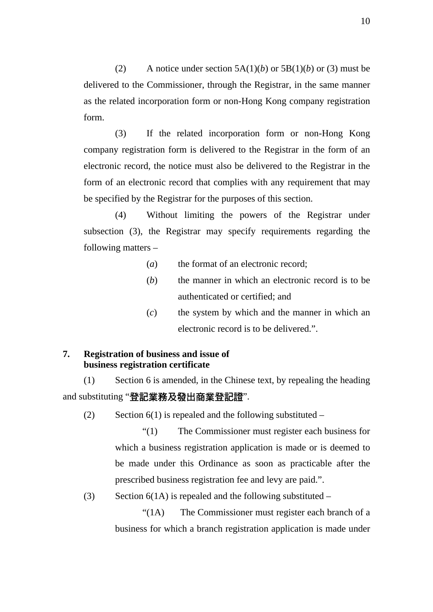(2) A notice under section  $5A(1)(b)$  or  $5B(1)(b)$  or (3) must be delivered to the Commissioner, through the Registrar, in the same manner as the related incorporation form or non-Hong Kong company registration form.

(3) If the related incorporation form or non-Hong Kong company registration form is delivered to the Registrar in the form of an electronic record, the notice must also be delivered to the Registrar in the form of an electronic record that complies with any requirement that may be specified by the Registrar for the purposes of this section.

(4) Without limiting the powers of the Registrar under subsection (3), the Registrar may specify requirements regarding the following matters –

- (*a*) the format of an electronic record;
- (*b*) the manner in which an electronic record is to be authenticated or certified; and
- (*c*) the system by which and the manner in which an electronic record is to be delivered.".
- **7. Registration of business and issue of business registration certificate**

(1) Section 6 is amended, in the Chinese text, by repealing the heading and substituting "登記業務及發出商業登記證".

(2) Section  $6(1)$  is repealed and the following substituted –

"(1) The Commissioner must register each business for which a business registration application is made or is deemed to be made under this Ordinance as soon as practicable after the prescribed business registration fee and levy are paid.".

(3) Section  $6(1A)$  is repealed and the following substituted –

"(1A) The Commissioner must register each branch of a business for which a branch registration application is made under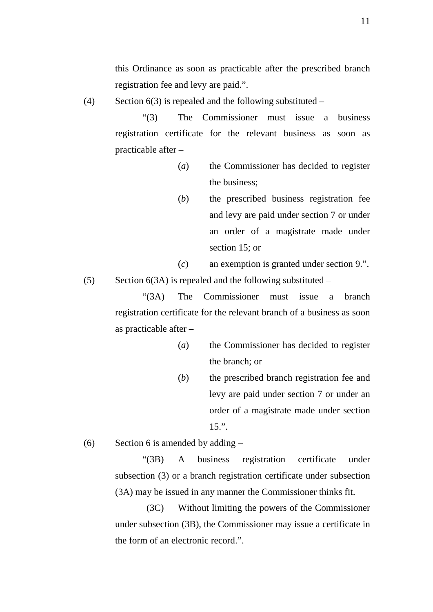this Ordinance as soon as practicable after the prescribed branch registration fee and levy are paid.".

(4) Section  $6(3)$  is repealed and the following substituted –

"(3) The Commissioner must issue a business registration certificate for the relevant business as soon as practicable after –

- (*a*) the Commissioner has decided to register the business;
- (*b*) the prescribed business registration fee and levy are paid under section 7 or under an order of a magistrate made under section 15; or
- (*c*) an exemption is granted under section 9.".

(5) Section  $6(3A)$  is repealed and the following substituted –

"(3A) The Commissioner must issue a branch registration certificate for the relevant branch of a business as soon as practicable after –

- (*a*) the Commissioner has decided to register the branch; or
- (*b*) the prescribed branch registration fee and levy are paid under section 7 or under an order of a magistrate made under section 15.".

(6) Section 6 is amended by adding  $-$ 

"(3B) A business registration certificate under subsection (3) or a branch registration certificate under subsection (3A) may be issued in any manner the Commissioner thinks fit.

(3C) Without limiting the powers of the Commissioner under subsection (3B), the Commissioner may issue a certificate in the form of an electronic record.".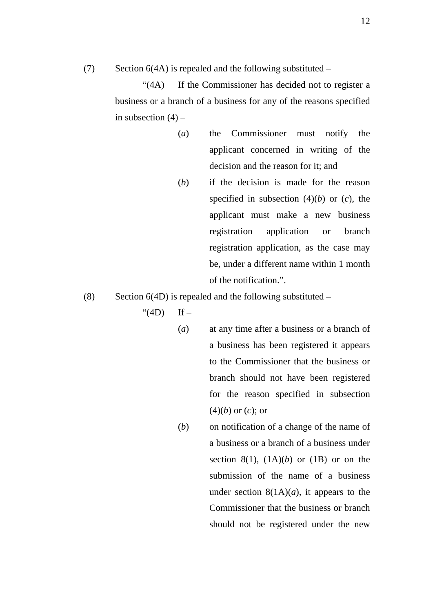(7) Section  $6(4A)$  is repealed and the following substituted –

"(4A) If the Commissioner has decided not to register a business or a branch of a business for any of the reasons specified in subsection  $(4)$  –

- (*a*) the Commissioner must notify the applicant concerned in writing of the decision and the reason for it; and
- (*b*) if the decision is made for the reason specified in subsection  $(4)(b)$  or  $(c)$ , the applicant must make a new business registration application or branch registration application, as the case may be, under a different name within 1 month of the notification.".

(8) Section  $6(4D)$  is repealed and the following substituted –

" $(4D)$  If –

- (*a*) at any time after a business or a branch of a business has been registered it appears to the Commissioner that the business or branch should not have been registered for the reason specified in subsection (4)(*b*) or (*c*); or
- (*b*) on notification of a change of the name of a business or a branch of a business under section 8(1),  $(1A)(b)$  or  $(1B)$  or on the submission of the name of a business under section  $8(1A)(a)$ , it appears to the Commissioner that the business or branch should not be registered under the new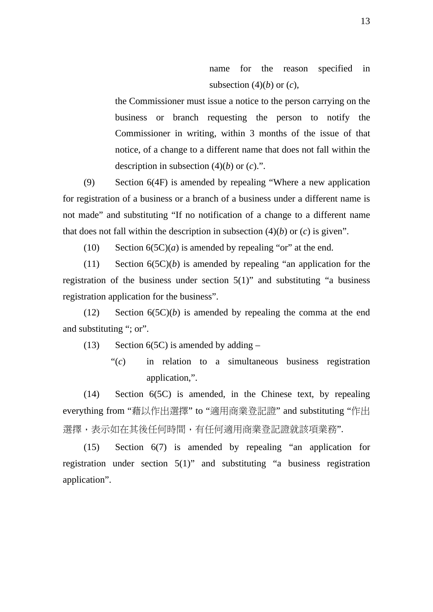name for the reason specified in subsection  $(4)(b)$  or  $(c)$ ,

the Commissioner must issue a notice to the person carrying on the business or branch requesting the person to notify the Commissioner in writing, within 3 months of the issue of that notice, of a change to a different name that does not fall within the description in subsection  $(4)(b)$  or  $(c)$ .".

(9) Section 6(4F) is amended by repealing "Where a new application for registration of a business or a branch of a business under a different name is not made" and substituting "If no notification of a change to a different name that does not fall within the description in subsection  $(4)(b)$  or  $(c)$  is given".

(10) Section  $6(5C)(a)$  is amended by repealing "or" at the end.

(11) Section 6(5C)(*b*) is amended by repealing "an application for the registration of the business under section 5(1)" and substituting "a business registration application for the business".

 $(12)$  Section  $6(5C)(b)$  is amended by repealing the comma at the end and substituting "; or".

(13) Section 6(5C) is amended by adding  $-$ 

"(*c*) in relation to a simultaneous business registration application,".

(14) Section 6(5C) is amended, in the Chinese text, by repealing everything from "藉以作出選擇" to "適用商業登記證" and substituting "作出 選擇,表示如在其後任何時間,有任何適用商業登記證就該項業務".

(15) Section 6(7) is amended by repealing "an application for registration under section 5(1)" and substituting "a business registration application".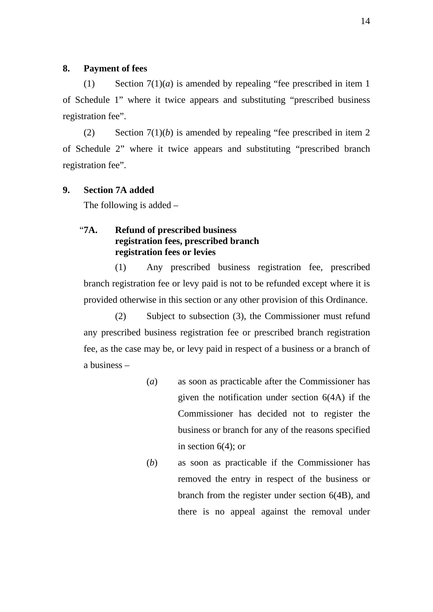## **8. Payment of fees**

(1) Section 7(1)(*a*) is amended by repealing "fee prescribed in item 1 of Schedule 1" where it twice appears and substituting "prescribed business registration fee".

(2) Section 7(1)(*b*) is amended by repealing "fee prescribed in item 2 of Schedule 2" where it twice appears and substituting "prescribed branch registration fee".

## **9. Section 7A added**

The following is added –

## "**7A. Refund of prescribed business registration fees, prescribed branch registration fees or levies**

(1) Any prescribed business registration fee, prescribed branch registration fee or levy paid is not to be refunded except where it is provided otherwise in this section or any other provision of this Ordinance.

(2) Subject to subsection (3), the Commissioner must refund any prescribed business registration fee or prescribed branch registration fee, as the case may be, or levy paid in respect of a business or a branch of a business –

- (*a*) as soon as practicable after the Commissioner has given the notification under section 6(4A) if the Commissioner has decided not to register the business or branch for any of the reasons specified in section  $6(4)$ ; or
- (*b*) as soon as practicable if the Commissioner has removed the entry in respect of the business or branch from the register under section 6(4B), and there is no appeal against the removal under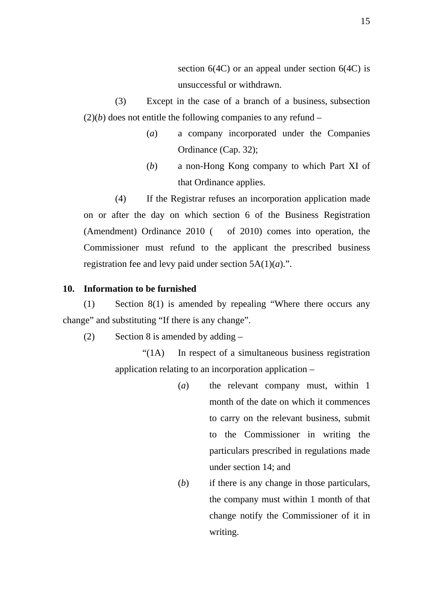section 6(4C) or an appeal under section 6(4C) is unsuccessful or withdrawn.

(3) Except in the case of a branch of a business, subsection  $(2)(b)$  does not entitle the following companies to any refund –

- (*a*) a company incorporated under the Companies Ordinance (Cap. 32);
- (*b*) a non-Hong Kong company to which Part XI of that Ordinance applies.

(4) If the Registrar refuses an incorporation application made on or after the day on which section 6 of the Business Registration (Amendment) Ordinance 2010 ( of 2010) comes into operation, the Commissioner must refund to the applicant the prescribed business registration fee and levy paid under section 5A(1)(*a*).".

#### **10. Information to be furnished**

(1) Section 8(1) is amended by repealing "Where there occurs any change" and substituting "If there is any change".

(2) Section 8 is amended by adding  $-$ 

"(1A) In respect of a simultaneous business registration application relating to an incorporation application –

- (*a*) the relevant company must, within 1 month of the date on which it commences to carry on the relevant business, submit to the Commissioner in writing the particulars prescribed in regulations made under section 14; and
- (*b*) if there is any change in those particulars, the company must within 1 month of that change notify the Commissioner of it in writing.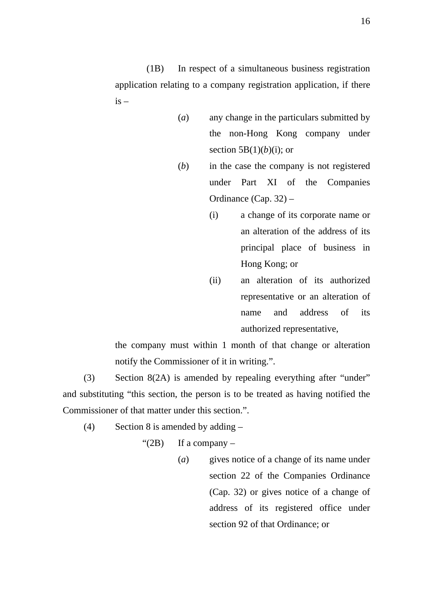(1B) In respect of a simultaneous business registration application relating to a company registration application, if there  $i<sub>s</sub>$  –

- (*a*) any change in the particulars submitted by the non-Hong Kong company under section 5B(1)(*b*)(i); or
- (*b*) in the case the company is not registered under Part XI of the Companies Ordinance (Cap. 32) –
	- (i) a change of its corporate name or an alteration of the address of its principal place of business in Hong Kong; or
	- (ii) an alteration of its authorized representative or an alteration of name and address of its authorized representative,

the company must within 1 month of that change or alteration notify the Commissioner of it in writing.".

(3) Section 8(2A) is amended by repealing everything after "under" and substituting "this section, the person is to be treated as having notified the Commissioner of that matter under this section.".

(4) Section 8 is amended by adding –

- "(2B) If a company  $-$ 
	- (*a*) gives notice of a change of its name under section 22 of the Companies Ordinance (Cap. 32) or gives notice of a change of address of its registered office under section 92 of that Ordinance; or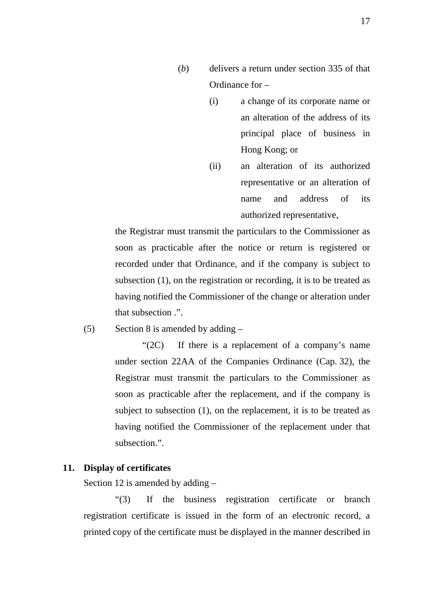- (*b*) delivers a return under section 335 of that Ordinance for –
	- (i) a change of its corporate name or an alteration of the address of its principal place of business in Hong Kong; or
	- (ii) an alteration of its authorized representative or an alteration of name and address of its authorized representative,

the Registrar must transmit the particulars to the Commissioner as soon as practicable after the notice or return is registered or recorded under that Ordinance, and if the company is subject to subsection (1), on the registration or recording, it is to be treated as having notified the Commissioner of the change or alteration under that subsection .".

(5) Section 8 is amended by adding  $-$ 

" $(2C)$  If there is a replacement of a company's name under section 22AA of the Companies Ordinance (Cap. 32), the Registrar must transmit the particulars to the Commissioner as soon as practicable after the replacement, and if the company is subject to subsection (1), on the replacement, it is to be treated as having notified the Commissioner of the replacement under that subsection.".

#### **11. Display of certificates**

Section 12 is amended by adding –

"(3) If the business registration certificate or branch registration certificate is issued in the form of an electronic record, a printed copy of the certificate must be displayed in the manner described in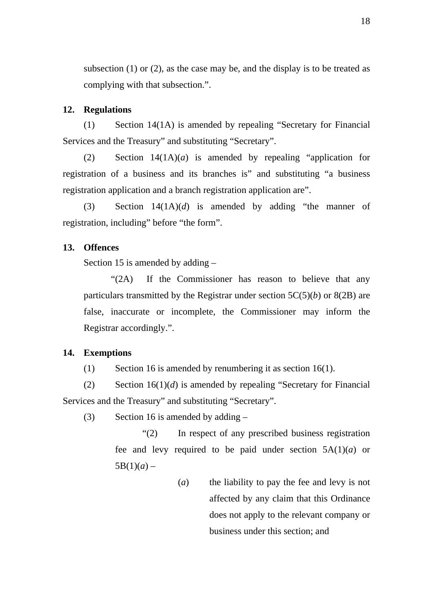subsection (1) or (2), as the case may be, and the display is to be treated as complying with that subsection.".

#### **12. Regulations**

(1) Section 14(1A) is amended by repealing "Secretary for Financial Services and the Treasury" and substituting "Secretary".

(2) Section 14(1A)(*a*) is amended by repealing "application for registration of a business and its branches is" and substituting "a business registration application and a branch registration application are".

(3) Section 14(1A)(*d*) is amended by adding "the manner of registration, including" before "the form".

#### **13. Offences**

Section 15 is amended by adding –

"(2A) If the Commissioner has reason to believe that any particulars transmitted by the Registrar under section 5C(5)(*b*) or 8(2B) are false, inaccurate or incomplete, the Commissioner may inform the Registrar accordingly.".

#### **14. Exemptions**

(1) Section 16 is amended by renumbering it as section 16(1).

(2) Section 16(1)(*d*) is amended by repealing "Secretary for Financial Services and the Treasury" and substituting "Secretary".

(3) Section 16 is amended by adding  $-$ 

"(2) In respect of any prescribed business registration fee and levy required to be paid under section  $5A(1)(a)$  or  $5B(1)(a) -$ 

> (*a*) the liability to pay the fee and levy is not affected by any claim that this Ordinance does not apply to the relevant company or business under this section; and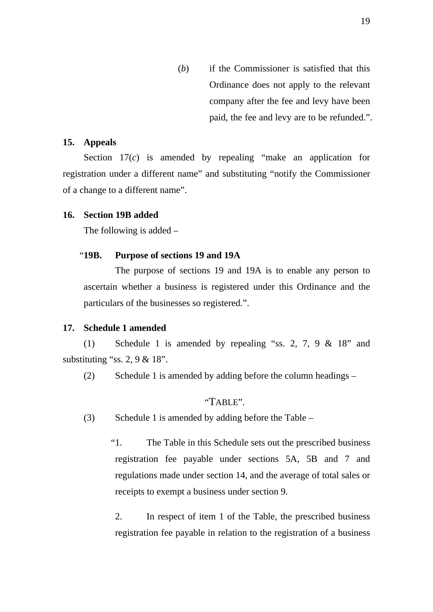(*b*) if the Commissioner is satisfied that this Ordinance does not apply to the relevant company after the fee and levy have been paid, the fee and levy are to be refunded.".

## **15. Appeals**

Section 17(*c*) is amended by repealing "make an application for registration under a different name" and substituting "notify the Commissioner of a change to a different name".

#### **16. Section 19B added**

The following is added –

#### "**19B. Purpose of sections 19 and 19A**

The purpose of sections 19 and 19A is to enable any person to ascertain whether a business is registered under this Ordinance and the particulars of the businesses so registered.".

#### **17. Schedule 1 amended**

(1) Schedule 1 is amended by repealing "ss. 2, 7, 9 & 18" and substituting "ss.  $2, 9 \& 18$ ".

(2) Schedule 1 is amended by adding before the column headings –

### "TABLE".

(3) Schedule 1 is amended by adding before the Table –

"1. The Table in this Schedule sets out the prescribed business registration fee payable under sections 5A, 5B and 7 and regulations made under section 14, and the average of total sales or receipts to exempt a business under section 9.

2. In respect of item 1 of the Table, the prescribed business registration fee payable in relation to the registration of a business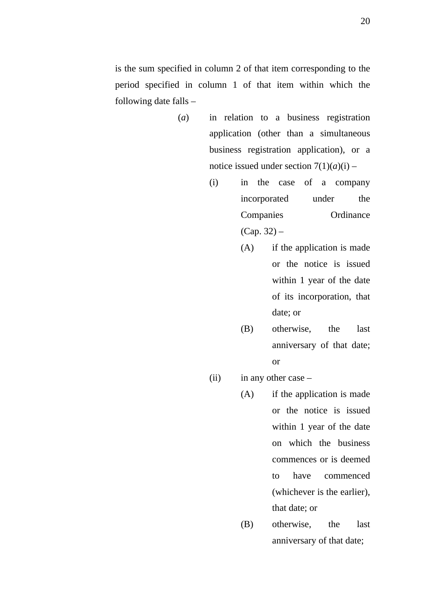is the sum specified in column 2 of that item corresponding to the period specified in column 1 of that item within which the following date falls –

- (*a*) in relation to a business registration application (other than a simultaneous business registration application), or a notice issued under section  $7(1)(a)(i)$  –
	- (i) in the case of a company incorporated under the Companies Ordinance (Cap. 32) –
		- (A) if the application is made or the notice is issued within 1 year of the date of its incorporation, that date; or
		- (B) otherwise, the last anniversary of that date; or
	- (ii) in any other case
		- (A) if the application is made or the notice is issued within 1 year of the date on which the business commences or is deemed to have commenced (whichever is the earlier), that date; or
		- (B) otherwise, the last anniversary of that date;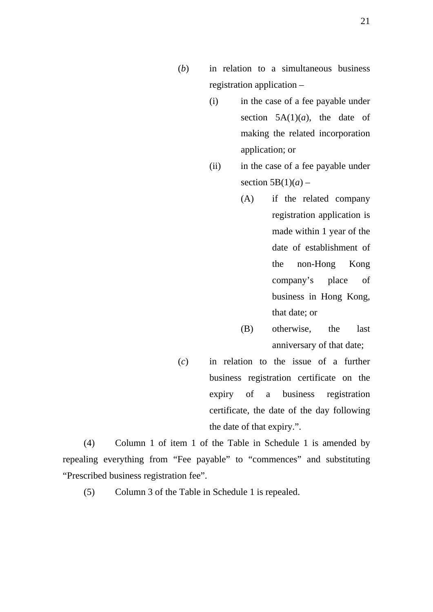- (i) in the case of a fee payable under section  $5A(1)(a)$ , the date of making the related incorporation application; or
- (ii) in the case of a fee payable under section  $5B(1)(a)$  –
	- (A) if the related company registration application is made within 1 year of the date of establishment of the non-Hong Kong company's place of business in Hong Kong, that date; or
	- (B) otherwise, the last anniversary of that date;
- (*c*) in relation to the issue of a further business registration certificate on the expiry of a business registration certificate, the date of the day following the date of that expiry.".

(4) Column 1 of item 1 of the Table in Schedule 1 is amended by repealing everything from "Fee payable" to "commences" and substituting "Prescribed business registration fee".

(5) Column 3 of the Table in Schedule 1 is repealed.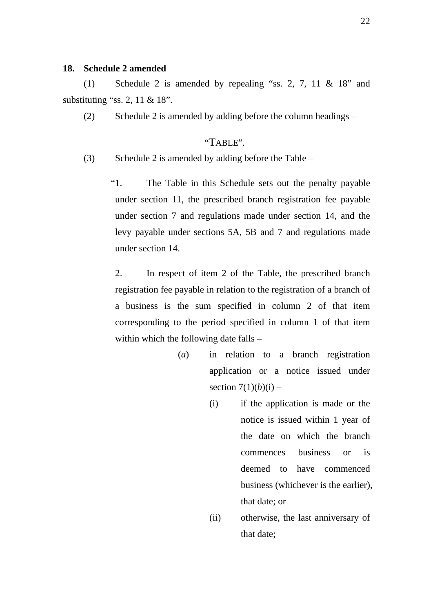## **18. Schedule 2 amended**

(1) Schedule 2 is amended by repealing "ss. 2, 7, 11 & 18" and substituting "ss. 2, 11 & 18".

(2) Schedule 2 is amended by adding before the column headings –

## "TABLE".

#### (3) Schedule 2 is amended by adding before the Table –

"1. The Table in this Schedule sets out the penalty payable under section 11, the prescribed branch registration fee payable under section 7 and regulations made under section 14, and the levy payable under sections 5A, 5B and 7 and regulations made under section 14.

2. In respect of item 2 of the Table, the prescribed branch registration fee payable in relation to the registration of a branch of a business is the sum specified in column 2 of that item corresponding to the period specified in column 1 of that item within which the following date falls –

- (*a*) in relation to a branch registration application or a notice issued under section  $7(1)(b)(i)$  –
	- (i) if the application is made or the notice is issued within 1 year of the date on which the branch commences business or is deemed to have commenced business (whichever is the earlier), that date; or
	- (ii) otherwise, the last anniversary of that date;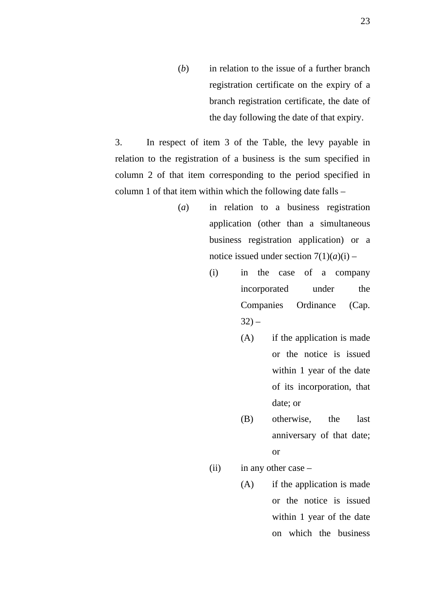(*b*) in relation to the issue of a further branch registration certificate on the expiry of a branch registration certificate, the date of the day following the date of that expiry.

3. In respect of item 3 of the Table, the levy payable in relation to the registration of a business is the sum specified in column 2 of that item corresponding to the period specified in column 1 of that item within which the following date falls –

- (*a*) in relation to a business registration application (other than a simultaneous business registration application) or a notice issued under section  $7(1)(a)(i)$  –
	- (i) in the case of a company incorporated under the Companies Ordinance (Cap.  $32$ ) –
		- (A) if the application is made or the notice is issued within 1 year of the date of its incorporation, that date; or
		- (B) otherwise, the last anniversary of that date; or
	- (ii) in any other case
		- (A) if the application is made or the notice is issued within 1 year of the date on which the business

23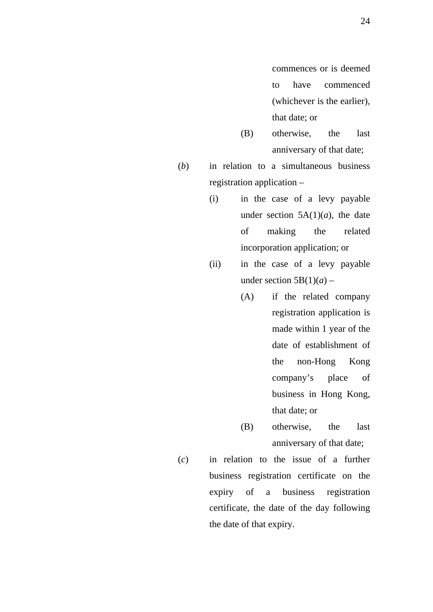commences or is deemed to have commenced (whichever is the earlier), that date; or

- (B) otherwise, the last anniversary of that date;
- (*b*) in relation to a simultaneous business registration application –
	- (i) in the case of a levy payable under section  $5A(1)(a)$ , the date of making the related incorporation application; or
	- (ii) in the case of a levy payable under section  $5B(1)(a)$  –
		- (A) if the related company registration application is made within 1 year of the date of establishment of the non-Hong Kong company's place of business in Hong Kong, that date; or
		- (B) otherwise, the last anniversary of that date;
- (*c*) in relation to the issue of a further business registration certificate on the expiry of a business registration certificate, the date of the day following the date of that expiry.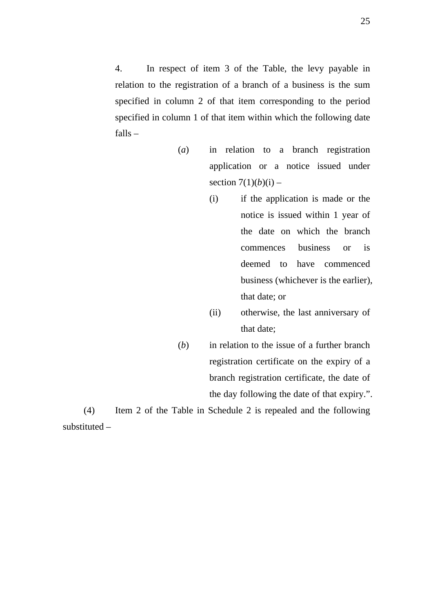4. In respect of item 3 of the Table, the levy payable in relation to the registration of a branch of a business is the sum specified in column 2 of that item corresponding to the period specified in column 1 of that item within which the following date falls –

- (*a*) in relation to a branch registration application or a notice issued under section  $7(1)(b)(i)$  –
	- (i) if the application is made or the notice is issued within 1 year of the date on which the branch commences business or is deemed to have commenced business (whichever is the earlier), that date; or
	- (ii) otherwise, the last anniversary of that date;
- (*b*) in relation to the issue of a further branch registration certificate on the expiry of a branch registration certificate, the date of the day following the date of that expiry.".

(4) Item 2 of the Table in Schedule 2 is repealed and the following substituted –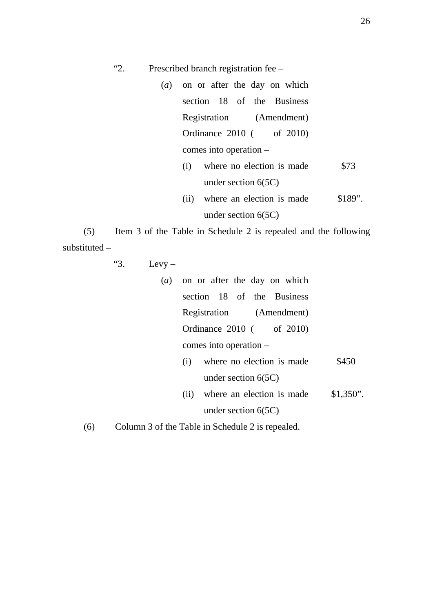"2. Prescribed branch registration fee –

- (*a*) on or after the day on which section 18 of the Business Registration (Amendment) Ordinance 2010 ( of 2010) comes into operation – (i) where no election is made under section 6(5C) \$73
	- (ii) where an election is made under section 6(5C) \$189".

(5) Item 3 of the Table in Schedule 2 is repealed and the following substituted –

"3. Levy –

| (a) on or after the day on which |       |
|----------------------------------|-------|
| section 18 of the Business       |       |
| Registration (Amendment)         |       |
| Ordinance 2010 ( of 2010)        |       |
| comes into operation $-$         |       |
| where no election is made<br>(1) | \$450 |
| under section $6(5C)$            |       |

 (ii) where an election is made under section 6(5C) \$1,350".

(6) Column 3 of the Table in Schedule 2 is repealed.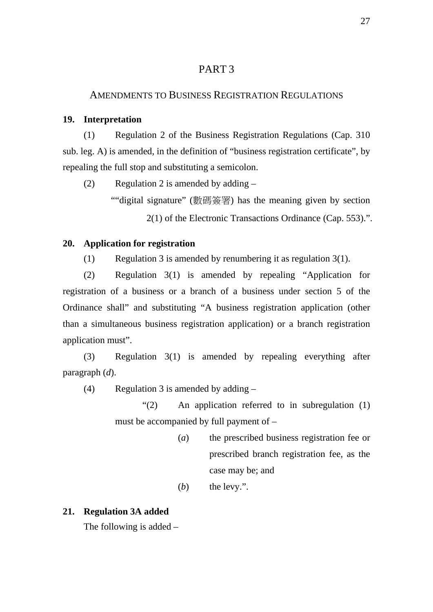## PART 3

### AMENDMENTS TO BUSINESS REGISTRATION REGULATIONS

#### **19. Interpretation**

(1) Regulation 2 of the Business Registration Regulations (Cap. 310 sub. leg. A) is amended, in the definition of "business registration certificate", by repealing the full stop and substituting a semicolon.

(2) Regulation 2 is amended by adding –

""digital signature" (數碼簽署) has the meaning given by section 2(1) of the Electronic Transactions Ordinance (Cap. 553).".

#### **20. Application for registration**

(1) Regulation 3 is amended by renumbering it as regulation 3(1).

(2) Regulation 3(1) is amended by repealing "Application for registration of a business or a branch of a business under section 5 of the Ordinance shall" and substituting "A business registration application (other than a simultaneous business registration application) or a branch registration application must".

(3) Regulation 3(1) is amended by repealing everything after paragraph (*d*).

(4) Regulation 3 is amended by adding –

"(2) An application referred to in subregulation (1) must be accompanied by full payment of –

- (*a*) the prescribed business registration fee or prescribed branch registration fee, as the case may be; and
- (*b*) the levy.".

#### **21. Regulation 3A added**

The following is added –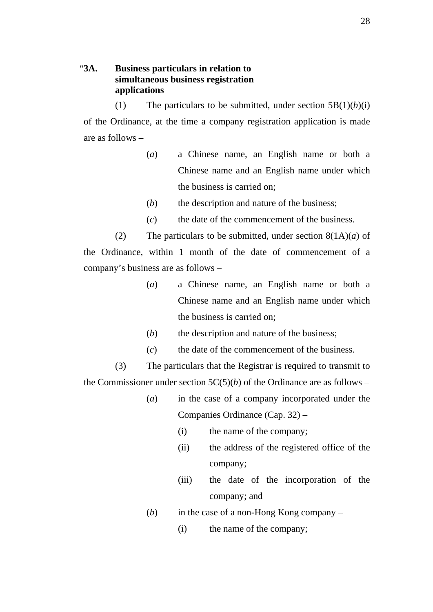## "**3A. Business particulars in relation to simultaneous business registration applications**

(1) The particulars to be submitted, under section  $5B(1)(b)(i)$ of the Ordinance, at the time a company registration application is made are as follows –

- (*a*) a Chinese name, an English name or both a Chinese name and an English name under which the business is carried on;
- (b) the description and nature of the business:
- (*c*) the date of the commencement of the business.

(2) The particulars to be submitted, under section 8(1A)(*a*) of the Ordinance, within 1 month of the date of commencement of a company's business are as follows –

- (*a*) a Chinese name, an English name or both a Chinese name and an English name under which the business is carried on;
- (b) the description and nature of the business;
- (*c*) the date of the commencement of the business.

(3) The particulars that the Registrar is required to transmit to the Commissioner under section  $5C(5)(b)$  of the Ordinance are as follows –

- (*a*) in the case of a company incorporated under the Companies Ordinance (Cap. 32) –
	- (i) the name of the company;
	- (ii) the address of the registered office of the company;
	- (iii) the date of the incorporation of the company; and
- (*b*) in the case of a non-Hong Kong company
	- (i) the name of the company;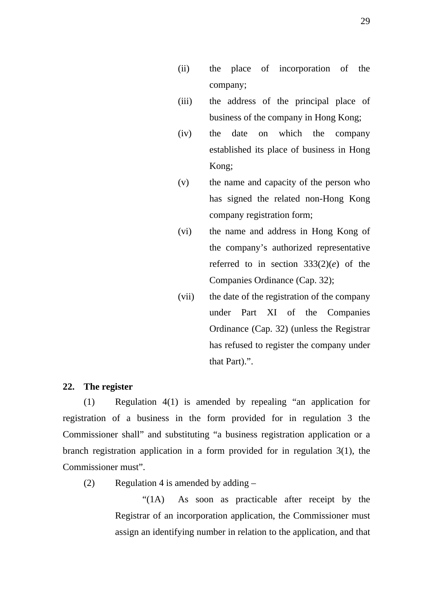- (iii) the address of the principal place of business of the company in Hong Kong;
- (iv) the date on which the company established its place of business in Hong Kong;
- (v) the name and capacity of the person who has signed the related non-Hong Kong company registration form;
- (vi) the name and address in Hong Kong of the company's authorized representative referred to in section 333(2)(*e*) of the Companies Ordinance (Cap. 32);
- (vii) the date of the registration of the company under Part XI of the Companies Ordinance (Cap. 32) (unless the Registrar has refused to register the company under that Part).".

## **22. The register**

(1) Regulation 4(1) is amended by repealing "an application for registration of a business in the form provided for in regulation 3 the Commissioner shall" and substituting "a business registration application or a branch registration application in a form provided for in regulation 3(1), the Commissioner must".

(2) Regulation 4 is amended by adding –

"(1A) As soon as practicable after receipt by the Registrar of an incorporation application, the Commissioner must assign an identifying number in relation to the application, and that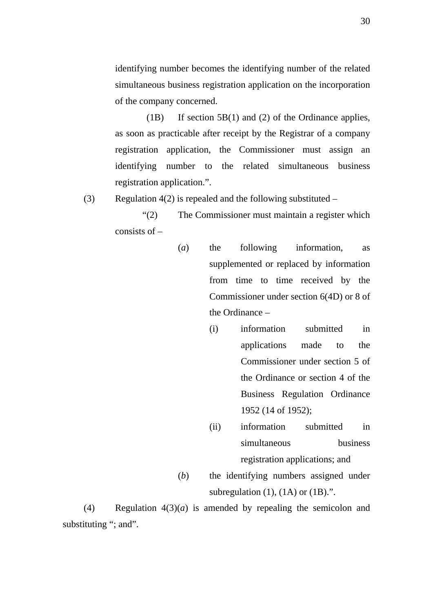identifying number becomes the identifying number of the related simultaneous business registration application on the incorporation of the company concerned.

(1B) If section 5B(1) and (2) of the Ordinance applies, as soon as practicable after receipt by the Registrar of a company registration application, the Commissioner must assign an identifying number to the related simultaneous business registration application.".

(3) Regulation  $4(2)$  is repealed and the following substituted –

"(2) The Commissioner must maintain a register which consists of –

- (*a*) the following information, as supplemented or replaced by information from time to time received by the Commissioner under section 6(4D) or 8 of the Ordinance –
	- (i) information submitted in applications made to the Commissioner under section 5 of the Ordinance or section 4 of the Business Regulation Ordinance 1952 (14 of 1952);

(ii) information submitted in simultaneous business registration applications; and

(*b*) the identifying numbers assigned under subregulation  $(1)$ ,  $(1A)$  or  $(1B)$ .".

(4) Regulation 4(3)(*a*) is amended by repealing the semicolon and substituting "; and".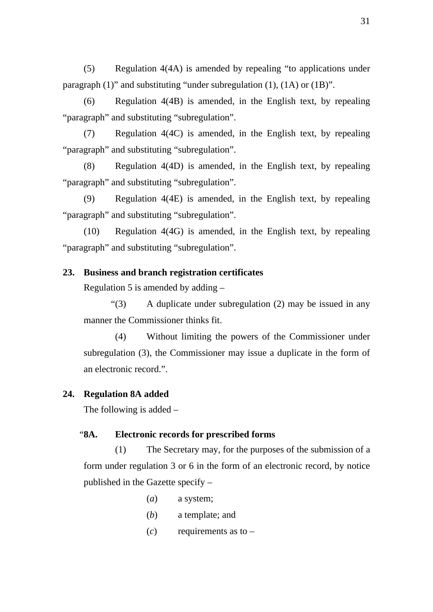(5) Regulation 4(4A) is amended by repealing "to applications under paragraph (1)" and substituting "under subregulation (1), (1A) or (1B)".

(6) Regulation 4(4B) is amended, in the English text, by repealing "paragraph" and substituting "subregulation".

(7) Regulation 4(4C) is amended, in the English text, by repealing "paragraph" and substituting "subregulation".

(8) Regulation 4(4D) is amended, in the English text, by repealing "paragraph" and substituting "subregulation".

(9) Regulation 4(4E) is amended, in the English text, by repealing "paragraph" and substituting "subregulation".

(10) Regulation 4(4G) is amended, in the English text, by repealing "paragraph" and substituting "subregulation".

#### **23. Business and branch registration certificates**

Regulation 5 is amended by adding  $-$ 

"(3) A duplicate under subregulation (2) may be issued in any manner the Commissioner thinks fit.

(4) Without limiting the powers of the Commissioner under subregulation (3), the Commissioner may issue a duplicate in the form of an electronic record.".

#### **24. Regulation 8A added**

The following is added –

#### "**8A. Electronic records for prescribed forms**

(1) The Secretary may, for the purposes of the submission of a form under regulation 3 or 6 in the form of an electronic record, by notice published in the Gazette specify –

- (*a*) a system;
- (*b*) a template; and
- $(c)$  requirements as to –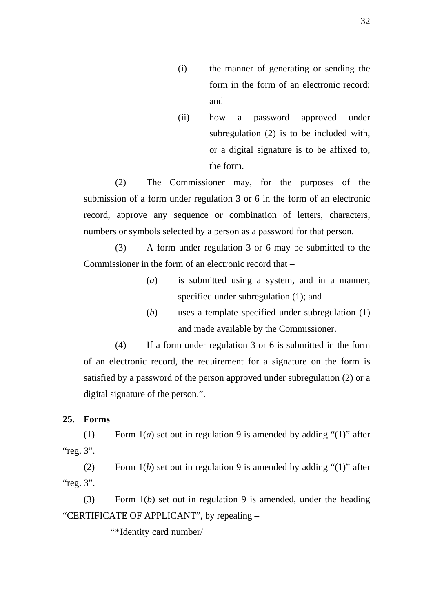- (i) the manner of generating or sending the form in the form of an electronic record; and
- (ii) how a password approved under subregulation (2) is to be included with, or a digital signature is to be affixed to, the form.

(2) The Commissioner may, for the purposes of the submission of a form under regulation 3 or 6 in the form of an electronic record, approve any sequence or combination of letters, characters, numbers or symbols selected by a person as a password for that person.

(3) A form under regulation 3 or 6 may be submitted to the Commissioner in the form of an electronic record that –

- (*a*) is submitted using a system, and in a manner, specified under subregulation (1); and
- (*b*) uses a template specified under subregulation (1) and made available by the Commissioner.

(4) If a form under regulation 3 or 6 is submitted in the form of an electronic record, the requirement for a signature on the form is satisfied by a password of the person approved under subregulation (2) or a digital signature of the person.".

## **25. Forms**

(1) Form 1(*a*) set out in regulation 9 is amended by adding "(1)" after "reg. 3".

(2) Form  $1(b)$  set out in regulation 9 is amended by adding "(1)" after "reg. 3".

(3) Form 1(*b*) set out in regulation 9 is amended, under the heading "CERTIFICATE OF APPLICANT", by repealing –

" \*Identity card number/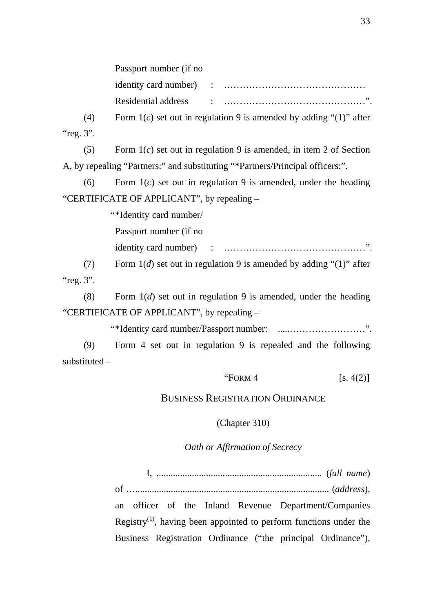Passport number (if no identity card number) : ……………………………………… Residential address : ………………………………………".

(4) Form 1(*c*) set out in regulation 9 is amended by adding "(1)" after "reg. 3".

(5) Form 1(*c*) set out in regulation 9 is amended, in item 2 of Section A, by repealing "Partners:" and substituting "\*Partners/Principal officers:".

(6) Form 1(*c*) set out in regulation 9 is amended, under the heading "CERTIFICATE OF APPLICANT", by repealing –

" \*Identity card number/

Passport number (if no

identity card number) : ………………………………………".

(7) Form 1(*d*) set out in regulation 9 is amended by adding "(1)" after "reg. 3".

(8) Form 1(*d*) set out in regulation 9 is amended, under the heading "CERTIFICATE OF APPLICANT", by repealing –

" \*Identity card number/Passport number: .....……………………".

(9) Form 4 set out in regulation 9 is repealed and the following substituted –

"FORM 4  $[s. 4(2)]$ 

BUSINESS REGISTRATION ORDINANCE

(Chapter 310)

*Oath or Affirmation of Secrecy*

I, ...................................................................... (*full name*) of ….................................................................................. (*address*), an officer of the Inland Revenue Department/Companies Registry<sup>(1)</sup>, having been appointed to perform functions under the Business Registration Ordinance ("the principal Ordinance"),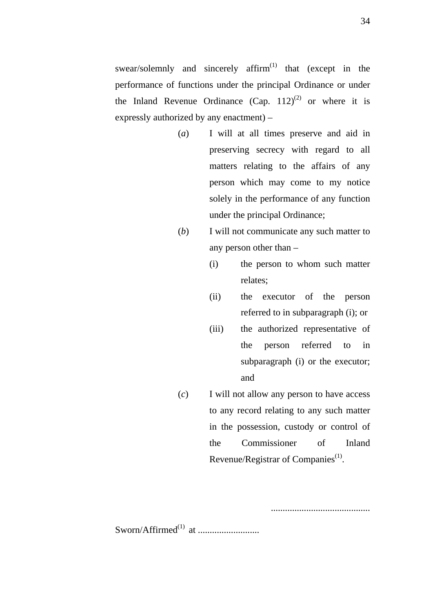swear/solemnly and sincerely affirm<sup>(1)</sup> that (except in the performance of functions under the principal Ordinance or under the Inland Revenue Ordinance  $(Cap. 112)^{(2)}$  or where it is expressly authorized by any enactment) –

- (*a*) I will at all times preserve and aid in preserving secrecy with regard to all matters relating to the affairs of any person which may come to my notice solely in the performance of any function under the principal Ordinance;
- (*b*) I will not communicate any such matter to any person other than –
	- (i) the person to whom such matter relates;
	- (ii) the executor of the person referred to in subparagraph (i); or
	- (iii) the authorized representative of the person referred to in subparagraph (i) or the executor; and
- (*c*) I will not allow any person to have access to any record relating to any such matter in the possession, custody or control of the Commissioner of Inland Revenue/Registrar of Companies<sup>(1)</sup>.

..........................................

 $Sworn/Affirmed^{(1)}$  at  $\ldots$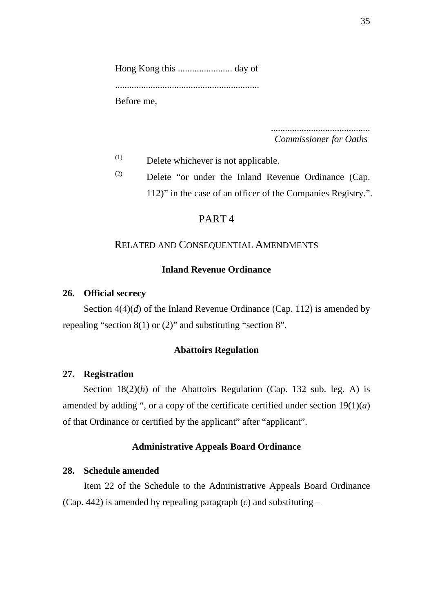Hong Kong this ....................... day of

.............................................................

Before me,

.......................................... *Commissioner for Oaths*

(1) Delete whichever is not applicable.

(2) Delete "or under the Inland Revenue Ordinance (Cap. 112)" in the case of an officer of the Companies Registry.".

## PART 4

### RELATED AND CONSEQUENTIAL AMENDMENTS

## **Inland Revenue Ordinance**

#### **26. Official secrecy**

Section 4(4)(*d*) of the Inland Revenue Ordinance (Cap. 112) is amended by repealing "section 8(1) or (2)" and substituting "section 8".

#### **Abattoirs Regulation**

#### **27. Registration**

Section 18(2)(*b*) of the Abattoirs Regulation (Cap. 132 sub. leg. A) is amended by adding ", or a copy of the certificate certified under section  $19(1)(a)$ of that Ordinance or certified by the applicant" after "applicant".

#### **Administrative Appeals Board Ordinance**

#### **28. Schedule amended**

Item 22 of the Schedule to the Administrative Appeals Board Ordinance (Cap. 442) is amended by repealing paragraph (*c*) and substituting –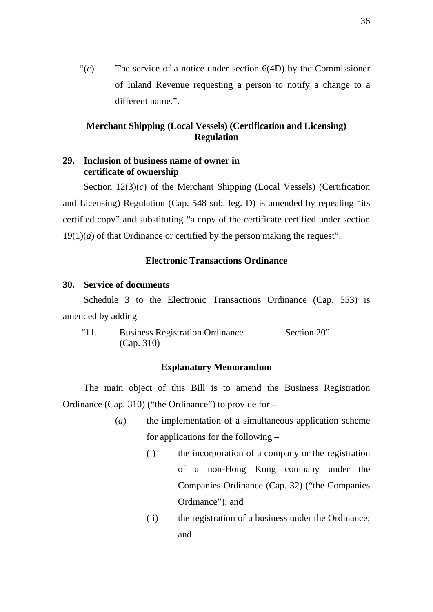"(*c*) The service of a notice under section 6(4D) by the Commissioner of Inland Revenue requesting a person to notify a change to a different name.".

## **Merchant Shipping (Local Vessels) (Certification and Licensing) Regulation**

## **29. Inclusion of business name of owner in certificate of ownership**

Section 12(3)(*c*) of the Merchant Shipping (Local Vessels) (Certification and Licensing) Regulation (Cap. 548 sub. leg. D) is amended by repealing "its certified copy" and substituting "a copy of the certificate certified under section  $19(1)(a)$  of that Ordinance or certified by the person making the request".

## **Electronic Transactions Ordinance**

## **30. Service of documents**

Schedule 3 to the Electronic Transactions Ordinance (Cap. 553) is amended by adding –

"11. Business Registration Ordinance (Cap. 310) Section 20".

#### **Explanatory Memorandum**

The main object of this Bill is to amend the Business Registration Ordinance (Cap. 310) ("the Ordinance") to provide for –

- (*a*) the implementation of a simultaneous application scheme for applications for the following –
	- (i) the incorporation of a company or the registration of a non-Hong Kong company under the Companies Ordinance (Cap. 32) ("the Companies Ordinance"); and
	- (ii) the registration of a business under the Ordinance; and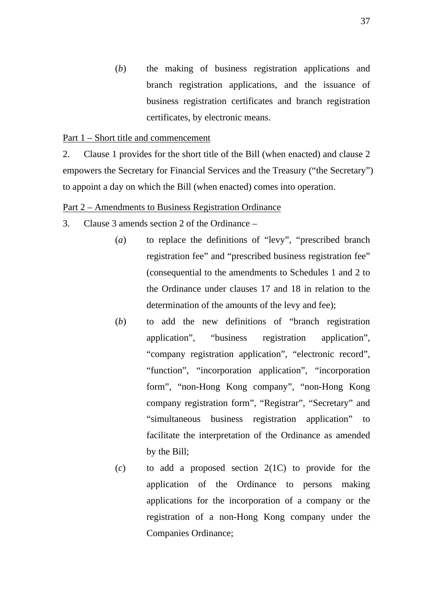(*b*) the making of business registration applications and branch registration applications, and the issuance of business registration certificates and branch registration certificates, by electronic means.

### Part 1 – Short title and commencement

2. Clause 1 provides for the short title of the Bill (when enacted) and clause 2 empowers the Secretary for Financial Services and the Treasury ("the Secretary") to appoint a day on which the Bill (when enacted) comes into operation.

#### Part 2 – Amendments to Business Registration Ordinance

- 3. Clause 3 amends section 2 of the Ordinance
	- (*a*) to replace the definitions of "levy", "prescribed branch registration fee" and "prescribed business registration fee" (consequential to the amendments to Schedules 1 and 2 to the Ordinance under clauses 17 and 18 in relation to the determination of the amounts of the levy and fee);
	- (*b*) to add the new definitions of "branch registration application", "business registration application", "company registration application", "electronic record", "function", "incorporation application", "incorporation form", "non-Hong Kong company", "non-Hong Kong company registration form", "Registrar", "Secretary" and "simultaneous business registration application" to facilitate the interpretation of the Ordinance as amended by the Bill;
	- (*c*) to add a proposed section 2(1C) to provide for the application of the Ordinance to persons making applications for the incorporation of a company or the registration of a non-Hong Kong company under the Companies Ordinance;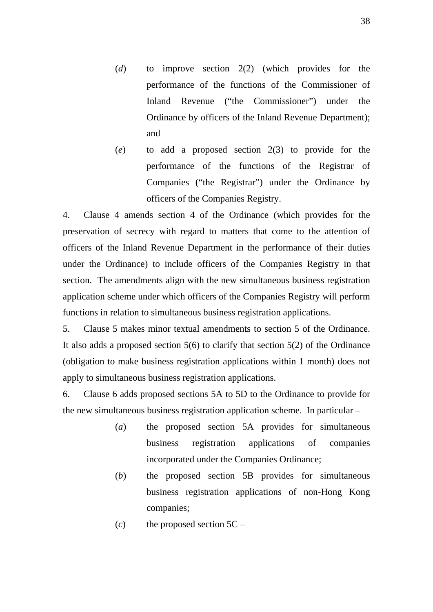- (*d*) to improve section 2(2) (which provides for the performance of the functions of the Commissioner of Inland Revenue ("the Commissioner") under the Ordinance by officers of the Inland Revenue Department); and
- (*e*) to add a proposed section 2(3) to provide for the performance of the functions of the Registrar of Companies ("the Registrar") under the Ordinance by officers of the Companies Registry.

4. Clause 4 amends section 4 of the Ordinance (which provides for the preservation of secrecy with regard to matters that come to the attention of officers of the Inland Revenue Department in the performance of their duties under the Ordinance) to include officers of the Companies Registry in that section. The amendments align with the new simultaneous business registration application scheme under which officers of the Companies Registry will perform functions in relation to simultaneous business registration applications.

5. Clause 5 makes minor textual amendments to section 5 of the Ordinance. It also adds a proposed section 5(6) to clarify that section 5(2) of the Ordinance (obligation to make business registration applications within 1 month) does not apply to simultaneous business registration applications.

6. Clause 6 adds proposed sections 5A to 5D to the Ordinance to provide for the new simultaneous business registration application scheme. In particular –

- (*a*) the proposed section 5A provides for simultaneous business registration applications of companies incorporated under the Companies Ordinance;
- (*b*) the proposed section 5B provides for simultaneous business registration applications of non-Hong Kong companies;
- $(c)$  the proposed section  $5C -$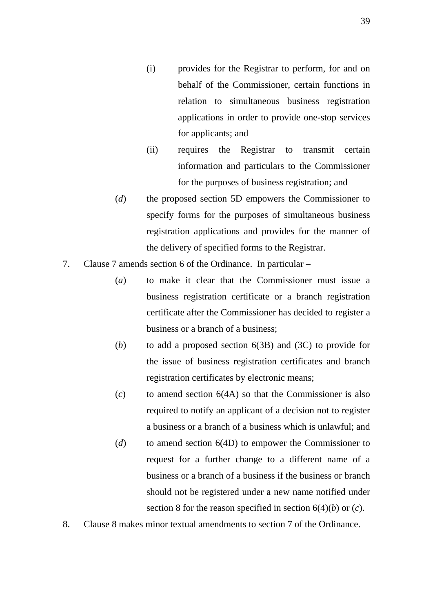- (i) provides for the Registrar to perform, for and on behalf of the Commissioner, certain functions in relation to simultaneous business registration applications in order to provide one-stop services for applicants; and
- (ii) requires the Registrar to transmit certain information and particulars to the Commissioner for the purposes of business registration; and
- (*d*) the proposed section 5D empowers the Commissioner to specify forms for the purposes of simultaneous business registration applications and provides for the manner of the delivery of specified forms to the Registrar.
- 7. Clause 7 amends section 6 of the Ordinance. In particular
	- (*a*) to make it clear that the Commissioner must issue a business registration certificate or a branch registration certificate after the Commissioner has decided to register a business or a branch of a business;
	- (*b*) to add a proposed section 6(3B) and (3C) to provide for the issue of business registration certificates and branch registration certificates by electronic means;
	- (*c*) to amend section 6(4A) so that the Commissioner is also required to notify an applicant of a decision not to register a business or a branch of a business which is unlawful; and
	- (*d*) to amend section 6(4D) to empower the Commissioner to request for a further change to a different name of a business or a branch of a business if the business or branch should not be registered under a new name notified under section 8 for the reason specified in section 6(4)(*b*) or (*c*).
- 8. Clause 8 makes minor textual amendments to section 7 of the Ordinance.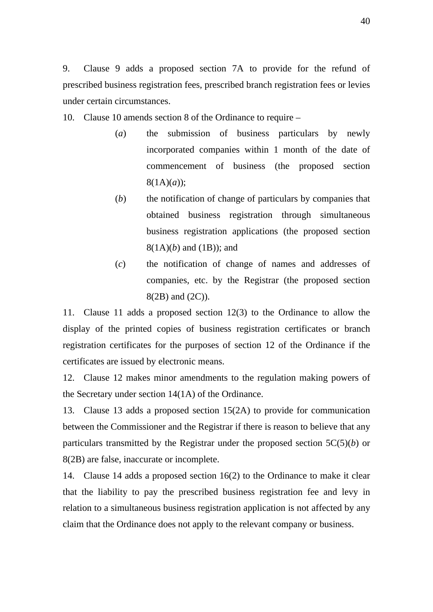9. Clause 9 adds a proposed section 7A to provide for the refund of prescribed business registration fees, prescribed branch registration fees or levies under certain circumstances.

10. Clause 10 amends section 8 of the Ordinance to require –

- (*a*) the submission of business particulars by newly incorporated companies within 1 month of the date of commencement of business (the proposed section 8(1A)(*a*));
- (*b*) the notification of change of particulars by companies that obtained business registration through simultaneous business registration applications (the proposed section 8(1A)(*b*) and (1B)); and
- (*c*) the notification of change of names and addresses of companies, etc. by the Registrar (the proposed section 8(2B) and (2C)).

11. Clause 11 adds a proposed section 12(3) to the Ordinance to allow the display of the printed copies of business registration certificates or branch registration certificates for the purposes of section 12 of the Ordinance if the certificates are issued by electronic means.

12. Clause 12 makes minor amendments to the regulation making powers of the Secretary under section 14(1A) of the Ordinance.

13. Clause 13 adds a proposed section 15(2A) to provide for communication between the Commissioner and the Registrar if there is reason to believe that any particulars transmitted by the Registrar under the proposed section 5C(5)(*b*) or 8(2B) are false, inaccurate or incomplete.

14. Clause 14 adds a proposed section 16(2) to the Ordinance to make it clear that the liability to pay the prescribed business registration fee and levy in relation to a simultaneous business registration application is not affected by any claim that the Ordinance does not apply to the relevant company or business.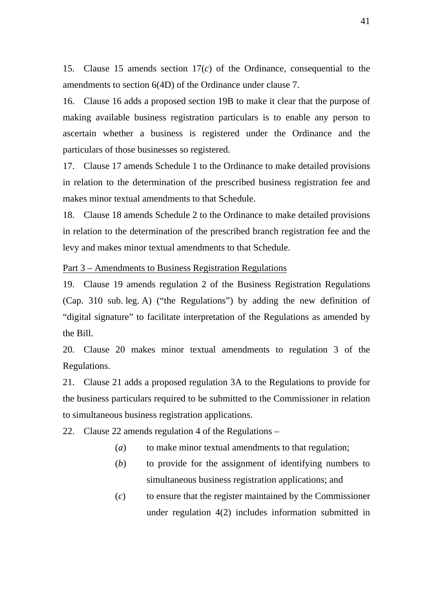15. Clause 15 amends section 17(*c*) of the Ordinance, consequential to the amendments to section 6(4D) of the Ordinance under clause 7.

16. Clause 16 adds a proposed section 19B to make it clear that the purpose of making available business registration particulars is to enable any person to ascertain whether a business is registered under the Ordinance and the particulars of those businesses so registered.

17. Clause 17 amends Schedule 1 to the Ordinance to make detailed provisions in relation to the determination of the prescribed business registration fee and makes minor textual amendments to that Schedule.

18. Clause 18 amends Schedule 2 to the Ordinance to make detailed provisions in relation to the determination of the prescribed branch registration fee and the levy and makes minor textual amendments to that Schedule.

Part 3 – Amendments to Business Registration Regulations

19. Clause 19 amends regulation 2 of the Business Registration Regulations (Cap. 310 sub. leg. A) ("the Regulations") by adding the new definition of "digital signature" to facilitate interpretation of the Regulations as amended by the Bill.

20. Clause 20 makes minor textual amendments to regulation 3 of the Regulations.

21. Clause 21 adds a proposed regulation 3A to the Regulations to provide for the business particulars required to be submitted to the Commissioner in relation to simultaneous business registration applications.

22. Clause 22 amends regulation 4 of the Regulations –

- (*a*) to make minor textual amendments to that regulation;
- (*b*) to provide for the assignment of identifying numbers to simultaneous business registration applications; and
- (*c*) to ensure that the register maintained by the Commissioner under regulation 4(2) includes information submitted in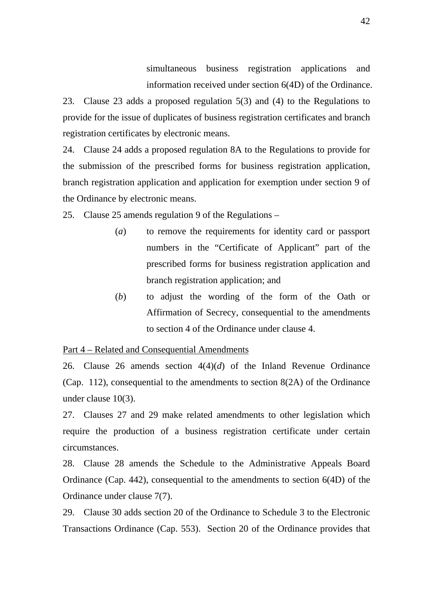simultaneous business registration applications and information received under section 6(4D) of the Ordinance.

23. Clause 23 adds a proposed regulation 5(3) and (4) to the Regulations to provide for the issue of duplicates of business registration certificates and branch registration certificates by electronic means.

24. Clause 24 adds a proposed regulation 8A to the Regulations to provide for the submission of the prescribed forms for business registration application, branch registration application and application for exemption under section 9 of the Ordinance by electronic means.

25. Clause 25 amends regulation 9 of the Regulations –

- (*a*) to remove the requirements for identity card or passport numbers in the "Certificate of Applicant" part of the prescribed forms for business registration application and branch registration application; and
- (*b*) to adjust the wording of the form of the Oath or Affirmation of Secrecy, consequential to the amendments to section 4 of the Ordinance under clause 4.

#### Part 4 – Related and Consequential Amendments

26. Clause 26 amends section 4(4)(*d*) of the Inland Revenue Ordinance (Cap. 112), consequential to the amendments to section 8(2A) of the Ordinance under clause 10(3).

27. Clauses 27 and 29 make related amendments to other legislation which require the production of a business registration certificate under certain circumstances.

28. Clause 28 amends the Schedule to the Administrative Appeals Board Ordinance (Cap. 442), consequential to the amendments to section 6(4D) of the Ordinance under clause 7(7).

29. Clause 30 adds section 20 of the Ordinance to Schedule 3 to the Electronic Transactions Ordinance (Cap. 553). Section 20 of the Ordinance provides that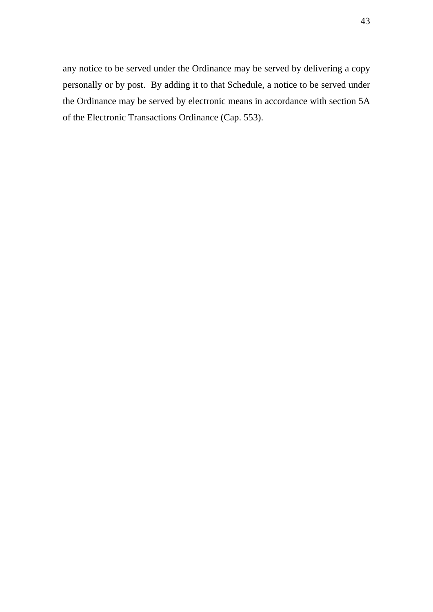any notice to be served under the Ordinance may be served by delivering a copy personally or by post. By adding it to that Schedule, a notice to be served under the Ordinance may be served by electronic means in accordance with section 5A of the Electronic Transactions Ordinance (Cap. 553).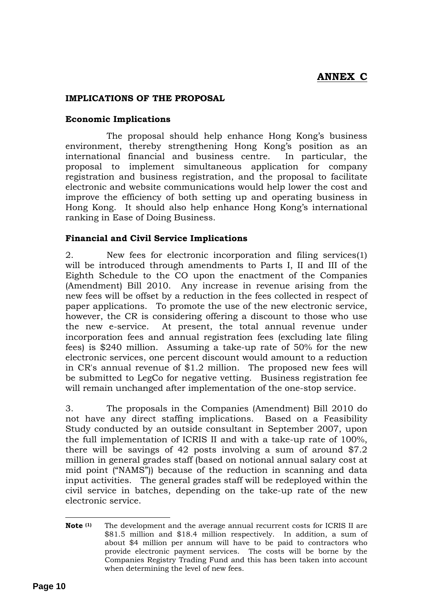# **ANNEX C**

### **IMPLICATIONS OF THE PROPOSAL**

#### **Economic Implications**

 The proposal should help enhance Hong Kong's business environment, thereby strengthening Hong Kong's position as an international financial and business centre. In particular, the proposal to implement simultaneous application for company registration and business registration, and the proposal to facilitate electronic and website communications would help lower the cost and improve the efficiency of both setting up and operating business in Hong Kong. It should also help enhance Hong Kong's international ranking in Ease of Doing Business.

### **Financial and Civil Service Implications**

2. New fees for electronic incorporation and filing services[\(1\)](#page-107-0) will be introduced through amendments to Parts I, II and III of the Eighth Schedule to the CO upon the enactment of the Companies (Amendment) Bill 2010. Any increase in revenue arising from the new fees will be offset by a reduction in the fees collected in respect of paper applications. To promote the use of the new electronic service, however, the CR is considering offering a discount to those who use the new e-service. At present, the total annual revenue under incorporation fees and annual registration fees (excluding late filing fees) is \$240 million. Assuming a take-up rate of 50% for the new electronic services, one percent discount would amount to a reduction in CR's annual revenue of \$1.2 million. The proposed new fees will be submitted to LegCo for negative vetting. Business registration fee will remain unchanged after implementation of the one-stop service.

3. The proposals in the Companies (Amendment) Bill 2010 do not have any direct staffing implications. Based on a Feasibility Study conducted by an outside consultant in September 2007, upon the full implementation of ICRIS II and with a take-up rate of 100%, there will be savings of 42 posts involving a sum of around \$7.2 million in general grades staff (based on notional annual salary cost at mid point ("NAMS")) because of the reduction in scanning and data input activities. The general grades staff will be redeployed within the civil service in batches, depending on the take-up rate of the new electronic service.

<span id="page-107-0"></span><sup>1</sup> **Note** <sup>(1)</sup> The development and the average annual recurrent costs for ICRIS II are \$81.5 million and \$18.4 million respectively. In addition, a sum of about \$4 million per annum will have to be paid to contractors who provide electronic payment services. The costs will be borne by the Companies Registry Trading Fund and this has been taken into account when determining the level of new fees.